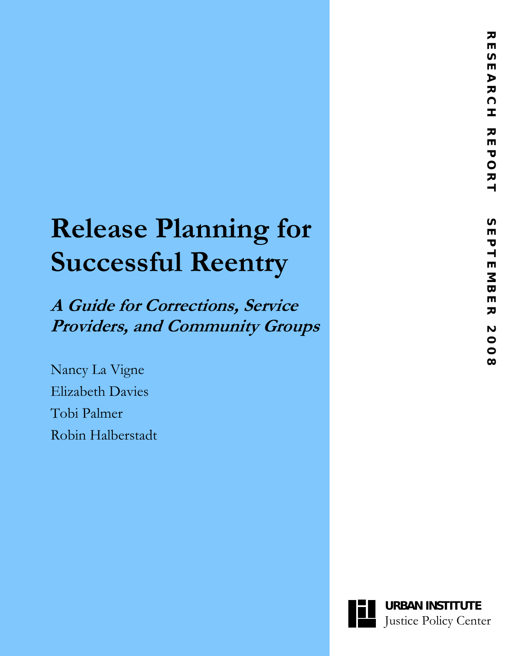ᅎ  $\blacksquare$  $\sim$  $\blacksquare$ 

# **Release Planning for Successful Reentry**

**A Guide for Corrections, Service Providers, and Community Groups**

Nancy La Vigne Elizabeth Davies Tobi Palmer Robin Halberstadt

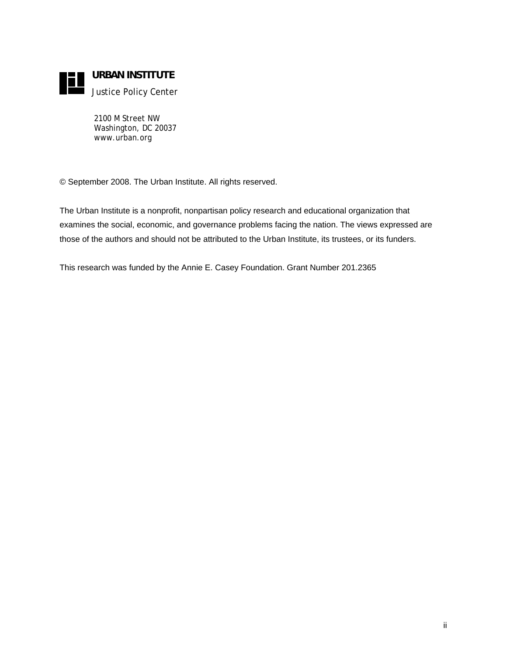

**URBAN INSTITUTE** 

Justice Policy Center

2100 M Street NW Washington, DC 20037 www.urban.org

© September 2008. The Urban Institute. All rights reserved.

The Urban Institute is a nonprofit, nonpartisan policy research and educational organization that examines the social, economic, and governance problems facing the nation. The views expressed are those of the authors and should not be attributed to the Urban Institute, its trustees, or its funders.

This research was funded by the Annie E. Casey Foundation. Grant Number 201.2365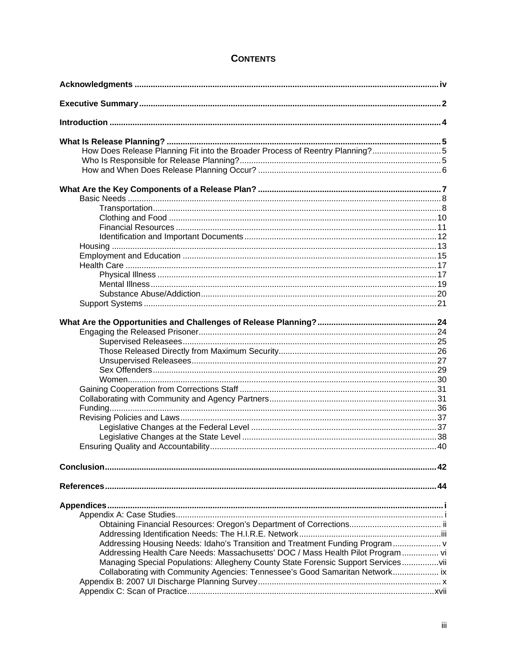# **CONTENTS**

| How Does Release Planning Fit into the Broader Process of Reentry Planning?5      |  |
|-----------------------------------------------------------------------------------|--|
|                                                                                   |  |
|                                                                                   |  |
|                                                                                   |  |
|                                                                                   |  |
|                                                                                   |  |
|                                                                                   |  |
|                                                                                   |  |
|                                                                                   |  |
|                                                                                   |  |
|                                                                                   |  |
|                                                                                   |  |
|                                                                                   |  |
|                                                                                   |  |
|                                                                                   |  |
|                                                                                   |  |
|                                                                                   |  |
|                                                                                   |  |
|                                                                                   |  |
|                                                                                   |  |
|                                                                                   |  |
|                                                                                   |  |
|                                                                                   |  |
|                                                                                   |  |
|                                                                                   |  |
|                                                                                   |  |
|                                                                                   |  |
|                                                                                   |  |
|                                                                                   |  |
|                                                                                   |  |
|                                                                                   |  |
|                                                                                   |  |
|                                                                                   |  |
|                                                                                   |  |
|                                                                                   |  |
|                                                                                   |  |
|                                                                                   |  |
|                                                                                   |  |
|                                                                                   |  |
| Addressing Housing Needs: Idaho's Transition and Treatment Funding Program        |  |
| Addressing Health Care Needs: Massachusetts' DOC / Mass Health Pilot Program vi   |  |
| Managing Special Populations: Allegheny County State Forensic Support Servicesvii |  |
| Collaborating with Community Agencies: Tennessee's Good Samaritan Network ix      |  |
|                                                                                   |  |
|                                                                                   |  |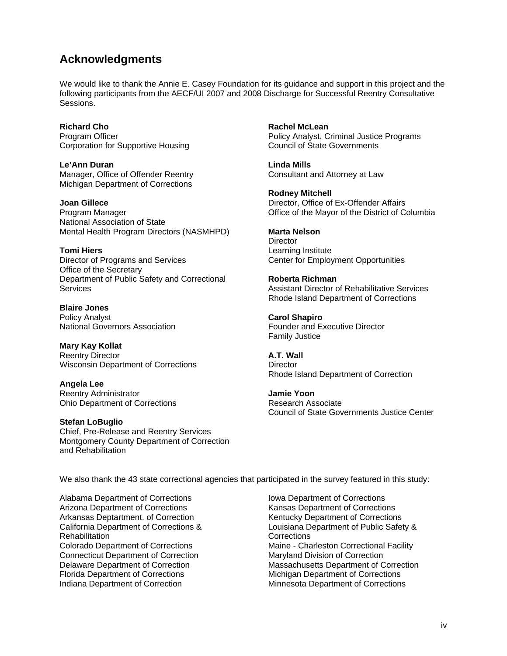# **Acknowledgments**

We would like to thank the Annie E. Casey Foundation for its guidance and support in this project and the following participants from the AECF/UI 2007 and 2008 Discharge for Successful Reentry Consultative **Sessions** 

**Richard Cho**  Program Officer Corporation for Supportive Housing

**Le'Ann Duran**  Manager, Office of Offender Reentry Michigan Department of Corrections

**Joan Gillece**  Program Manager National Association of State Mental Health Program Directors (NASMHPD)

**Tomi Hiers**  Director of Programs and Services Office of the Secretary Department of Public Safety and Correctional **Services** 

**Blaire Jones**  Policy Analyst National Governors Association

**Mary Kay Kollat**  Reentry Director Wisconsin Department of Corrections

**Angela Lee**  Reentry Administrator Ohio Department of Corrections

**Stefan LoBuglio**  Chief, Pre-Release and Reentry Services Montgomery County Department of Correction and Rehabilitation

**Rachel McLean**  Policy Analyst, Criminal Justice Programs Council of State Governments

**Linda Mills**  Consultant and Attorney at Law

**Rodney Mitchell**  Director, Office of Ex-Offender Affairs Office of the Mayor of the District of Columbia

**Marta Nelson Director** Learning Institute Center for Employment Opportunities

**Roberta Richman**  Assistant Director of Rehabilitative Services Rhode Island Department of Corrections

**Carol Shapiro**  Founder and Executive Director Family Justice

**A.T. Wall Director** Rhode Island Department of Correction

**Jamie Yoon**  Research Associate Council of State Governments Justice Center

We also thank the 43 state correctional agencies that participated in the survey featured in this study:

Alabama Department of Corrections Arizona Department of Corrections Arkansas Deptartment. of Correction California Department of Corrections & Rehabilitation Colorado Department of Corrections Connecticut Department of Correction Delaware Department of Correction Florida Department of Corrections Indiana Department of Correction

Iowa Department of Corrections Kansas Department of Corrections Kentucky Department of Corrections Louisiana Department of Public Safety & Corrections Maine - Charleston Correctional Facility Maryland Division of Correction Massachusetts Department of Correction Michigan Department of Corrections Minnesota Department of Corrections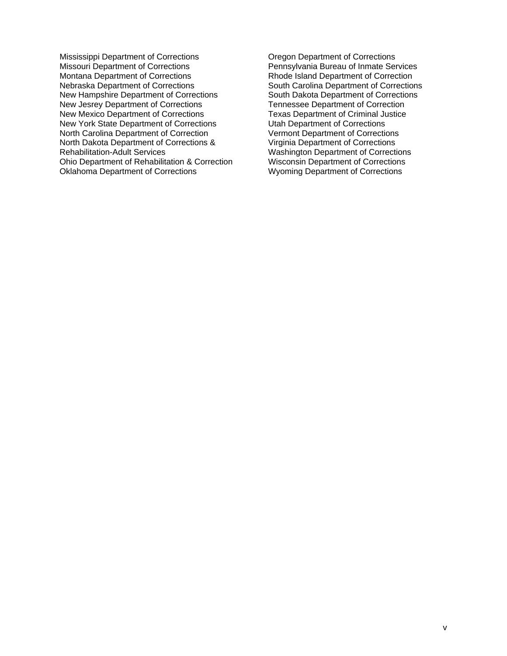Mississippi Department of Corrections Missouri Department of Corrections Montana Department of Corrections Nebraska Department of Corrections New Hampshire Department of Corrections New Jesrey Department of Corrections New Mexico Department of Corrections New York State Department of Corrections North Carolina Department of Correction North Dakota Department of Corrections & Rehabilitation-Adult Services Ohio Department of Rehabilitation & Correction Oklahoma Department of Corrections

Oregon Department of Corrections Pennsylvania Bureau of Inmate Services Rhode Island Department of Correction South Carolina Department of Corrections South Dakota Department of Corrections Tennessee Department of Correction Texas Department of Criminal Justice Utah Department of Corrections Vermont Department of Corrections Virginia Department of Corrections Washington Department of Corrections Wisconsin Department of Corrections Wyoming Department of Corrections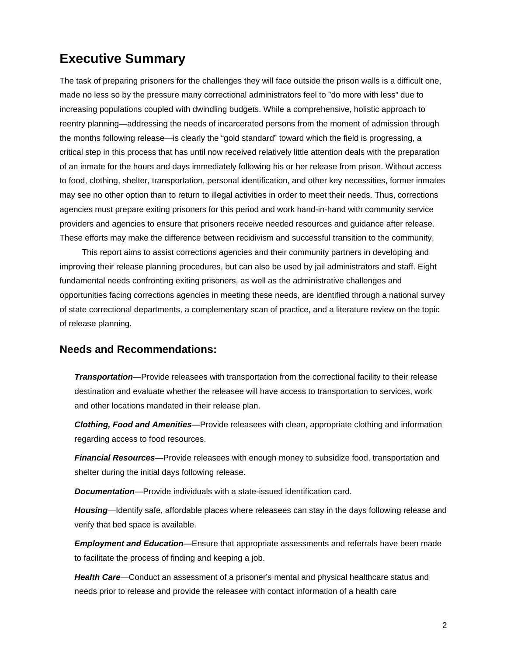# **Executive Summary**

The task of preparing prisoners for the challenges they will face outside the prison walls is a difficult one, made no less so by the pressure many correctional administrators feel to "do more with less" due to increasing populations coupled with dwindling budgets. While a comprehensive, holistic approach to reentry planning—addressing the needs of incarcerated persons from the moment of admission through the months following release—is clearly the "gold standard" toward which the field is progressing, a critical step in this process that has until now received relatively little attention deals with the preparation of an inmate for the hours and days immediately following his or her release from prison. Without access to food, clothing, shelter, transportation, personal identification, and other key necessities, former inmates may see no other option than to return to illegal activities in order to meet their needs. Thus, corrections agencies must prepare exiting prisoners for this period and work hand-in-hand with community service providers and agencies to ensure that prisoners receive needed resources and guidance after release. These efforts may make the difference between recidivism and successful transition to the community,

This report aims to assist corrections agencies and their community partners in developing and improving their release planning procedures, but can also be used by jail administrators and staff. Eight fundamental needs confronting exiting prisoners, as well as the administrative challenges and opportunities facing corrections agencies in meeting these needs, are identified through a national survey of state correctional departments, a complementary scan of practice, and a literature review on the topic of release planning.

# **Needs and Recommendations:**

*Transportation*—Provide releasees with transportation from the correctional facility to their release destination and evaluate whether the releasee will have access to transportation to services, work and other locations mandated in their release plan.

*Clothing, Food and Amenities*—Provide releasees with clean, appropriate clothing and information regarding access to food resources.

*Financial Resources*—Provide releasees with enough money to subsidize food, transportation and shelter during the initial days following release.

*Documentation*—Provide individuals with a state-issued identification card.

*Housing*—Identify safe, affordable places where releasees can stay in the days following release and verify that bed space is available.

*Employment and Education*—Ensure that appropriate assessments and referrals have been made to facilitate the process of finding and keeping a job.

*Health Care*—Conduct an assessment of a prisoner's mental and physical healthcare status and needs prior to release and provide the releasee with contact information of a health care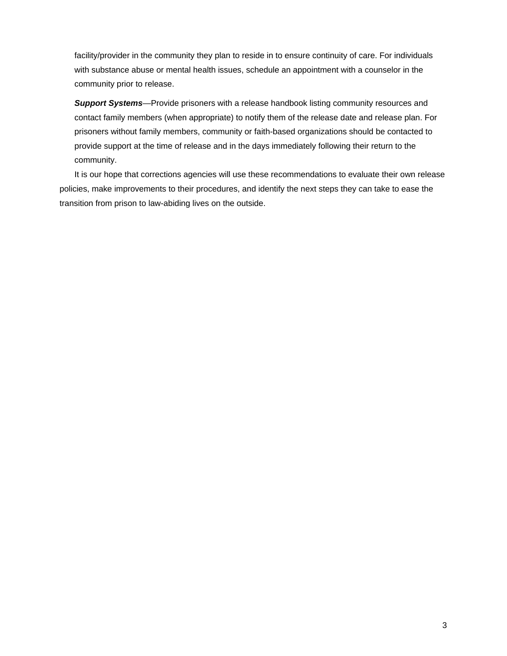facility/provider in the community they plan to reside in to ensure continuity of care. For individuals with substance abuse or mental health issues, schedule an appointment with a counselor in the community prior to release.

*Support Systems*—Provide prisoners with a release handbook listing community resources and contact family members (when appropriate) to notify them of the release date and release plan. For prisoners without family members, community or faith-based organizations should be contacted to provide support at the time of release and in the days immediately following their return to the community.

It is our hope that corrections agencies will use these recommendations to evaluate their own release policies, make improvements to their procedures, and identify the next steps they can take to ease the transition from prison to law-abiding lives on the outside.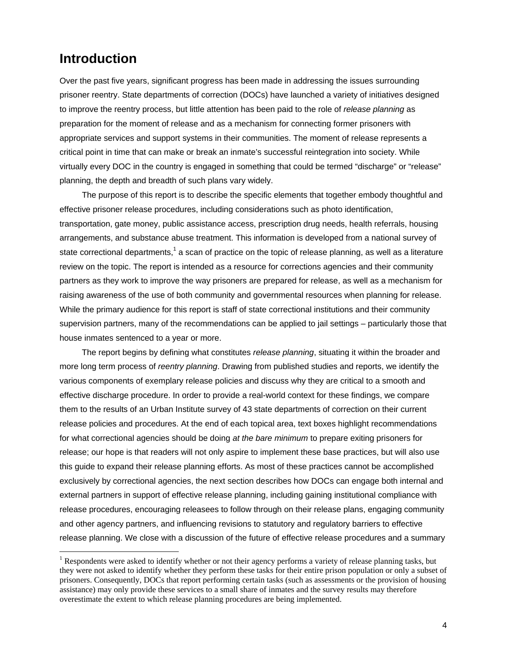# **Introduction**

 $\overline{a}$ 

Over the past five years, significant progress has been made in addressing the issues surrounding prisoner reentry. State departments of correction (DOCs) have launched a variety of initiatives designed to improve the reentry process, but little attention has been paid to the role of *release planning* as preparation for the moment of release and as a mechanism for connecting former prisoners with appropriate services and support systems in their communities. The moment of release represents a critical point in time that can make or break an inmate's successful reintegration into society. While virtually every DOC in the country is engaged in something that could be termed "discharge" or "release" planning, the depth and breadth of such plans vary widely.

The purpose of this report is to describe the specific elements that together embody thoughtful and effective prisoner release procedures, including considerations such as photo identification, transportation, gate money, public assistance access, prescription drug needs, health referrals, housing arrangements, and substance abuse treatment. This information is developed from a national survey of state correctional departments,<sup>1</sup> a scan of practice on the topic of release planning, as well as a literature review on the topic. The report is intended as a resource for corrections agencies and their community partners as they work to improve the way prisoners are prepared for release, as well as a mechanism for raising awareness of the use of both community and governmental resources when planning for release. While the primary audience for this report is staff of state correctional institutions and their community supervision partners, many of the recommendations can be applied to jail settings – particularly those that house inmates sentenced to a year or more.

The report begins by defining what constitutes *release planning*, situating it within the broader and more long term process of *reentry planning*. Drawing from published studies and reports, we identify the various components of exemplary release policies and discuss why they are critical to a smooth and effective discharge procedure. In order to provide a real-world context for these findings, we compare them to the results of an Urban Institute survey of 43 state departments of correction on their current release policies and procedures. At the end of each topical area, text boxes highlight recommendations for what correctional agencies should be doing *at the bare minimum* to prepare exiting prisoners for release; our hope is that readers will not only aspire to implement these base practices, but will also use this guide to expand their release planning efforts. As most of these practices cannot be accomplished exclusively by correctional agencies, the next section describes how DOCs can engage both internal and external partners in support of effective release planning, including gaining institutional compliance with release procedures, encouraging releasees to follow through on their release plans, engaging community and other agency partners, and influencing revisions to statutory and regulatory barriers to effective release planning. We close with a discussion of the future of effective release procedures and a summary

<sup>&</sup>lt;sup>1</sup> Respondents were asked to identify whether or not their agency performs a variety of release planning tasks, but they were not asked to identify whether they perform these tasks for their entire prison population or only a subset of prisoners. Consequently, DOCs that report performing certain tasks (such as assessments or the provision of housing assistance) may only provide these services to a small share of inmates and the survey results may therefore overestimate the extent to which release planning procedures are being implemented.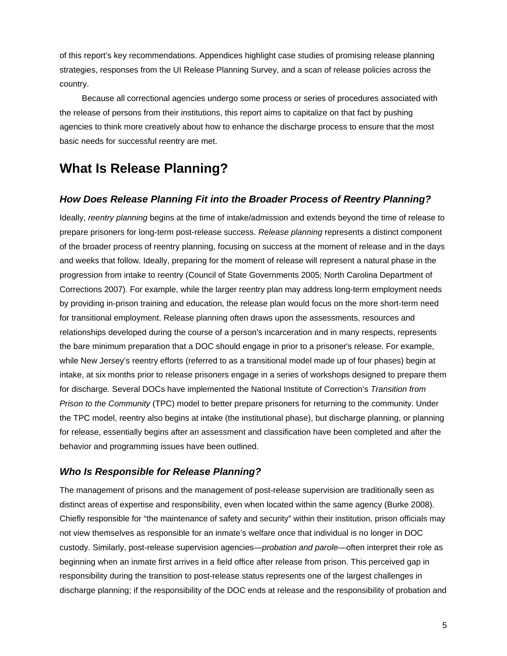of this report's key recommendations. Appendices highlight case studies of promising release planning strategies, responses from the UI Release Planning Survey, and a scan of release policies across the country.

Because all correctional agencies undergo some process or series of procedures associated with the release of persons from their institutions, this report aims to capitalize on that fact by pushing agencies to think more creatively about how to enhance the discharge process to ensure that the most basic needs for successful reentry are met.

# **What Is Release Planning?**

# *How Does Release Planning Fit into the Broader Process of Reentry Planning?*

Ideally, *reentry planning* begins at the time of intake/admission and extends beyond the time of release to prepare prisoners for long-term post-release success. *Release planning* represents a distinct component of the broader process of reentry planning, focusing on success at the moment of release and in the days and weeks that follow. Ideally, preparing for the moment of release will represent a natural phase in the progression from intake to reentry (Council of State Governments 2005; North Carolina Department of Corrections 2007). For example, while the larger reentry plan may address long-term employment needs by providing in-prison training and education, the release plan would focus on the more short-term need for transitional employment. Release planning often draws upon the assessments, resources and relationships developed during the course of a person's incarceration and in many respects, represents the bare minimum preparation that a DOC should engage in prior to a prisoner's release. For example, while New Jersey's reentry efforts (referred to as a transitional model made up of four phases) begin at intake, at six months prior to release prisoners engage in a series of workshops designed to prepare them for discharge. Several DOCs have implemented the National Institute of Correction's *Transition from Prison to the Community* (TPC) model to better prepare prisoners for returning to the community. Under the TPC model, reentry also begins at intake (the institutional phase), but discharge planning, or planning for release, essentially begins after an assessment and classification have been completed and after the behavior and programming issues have been outlined.

# *Who Is Responsible for Release Planning?*

The management of prisons and the management of post-release supervision are traditionally seen as distinct areas of expertise and responsibility, even when located within the same agency (Burke 2008). Chiefly responsible for "the maintenance of safety and security" within their institution, prison officials may not view themselves as responsible for an inmate's welfare once that individual is no longer in DOC custody. Similarly, post-release supervision agencies—*probation and parole*—often interpret their role as beginning when an inmate first arrives in a field office after release from prison. This perceived gap in responsibility during the transition to post-release status represents one of the largest challenges in discharge planning; if the responsibility of the DOC ends at release and the responsibility of probation and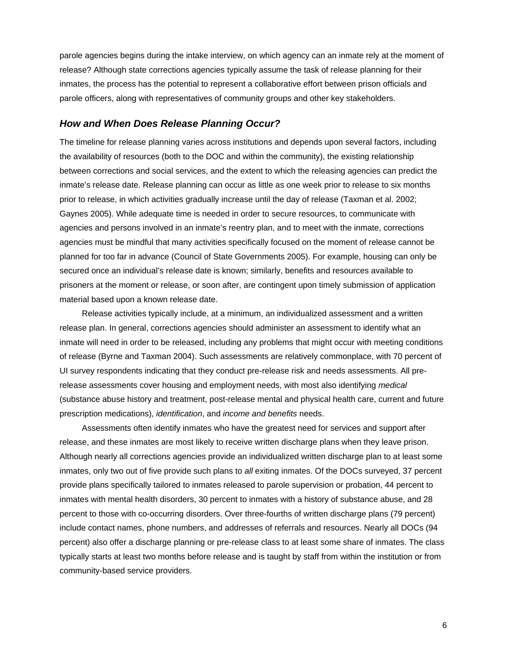parole agencies begins during the intake interview, on which agency can an inmate rely at the moment of release? Although state corrections agencies typically assume the task of release planning for their inmates, the process has the potential to represent a collaborative effort between prison officials and parole officers, along with representatives of community groups and other key stakeholders.

## *How and When Does Release Planning Occur?*

The timeline for release planning varies across institutions and depends upon several factors, including the availability of resources (both to the DOC and within the community), the existing relationship between corrections and social services, and the extent to which the releasing agencies can predict the inmate's release date. Release planning can occur as little as one week prior to release to six months prior to release, in which activities gradually increase until the day of release (Taxman et al. 2002; Gaynes 2005). While adequate time is needed in order to secure resources, to communicate with agencies and persons involved in an inmate's reentry plan, and to meet with the inmate, corrections agencies must be mindful that many activities specifically focused on the moment of release cannot be planned for too far in advance (Council of State Governments 2005). For example, housing can only be secured once an individual's release date is known; similarly, benefits and resources available to prisoners at the moment or release, or soon after, are contingent upon timely submission of application material based upon a known release date.

Release activities typically include, at a minimum, an individualized assessment and a written release plan. In general, corrections agencies should administer an assessment to identify what an inmate will need in order to be released, including any problems that might occur with meeting conditions of release (Byrne and Taxman 2004). Such assessments are relatively commonplace, with 70 percent of UI survey respondents indicating that they conduct pre-release risk and needs assessments. All prerelease assessments cover housing and employment needs, with most also identifying *medical* (substance abuse history and treatment, post-release mental and physical health care, current and future prescription medications), *identification*, and *income and benefits* needs.

Assessments often identify inmates who have the greatest need for services and support after release, and these inmates are most likely to receive written discharge plans when they leave prison. Although nearly all corrections agencies provide an individualized written discharge plan to at least some inmates, only two out of five provide such plans to *all* exiting inmates. Of the DOCs surveyed, 37 percent provide plans specifically tailored to inmates released to parole supervision or probation, 44 percent to inmates with mental health disorders, 30 percent to inmates with a history of substance abuse, and 28 percent to those with co-occurring disorders. Over three-fourths of written discharge plans (79 percent) include contact names, phone numbers, and addresses of referrals and resources. Nearly all DOCs (94 percent) also offer a discharge planning or pre-release class to at least some share of inmates. The class typically starts at least two months before release and is taught by staff from within the institution or from community-based service providers.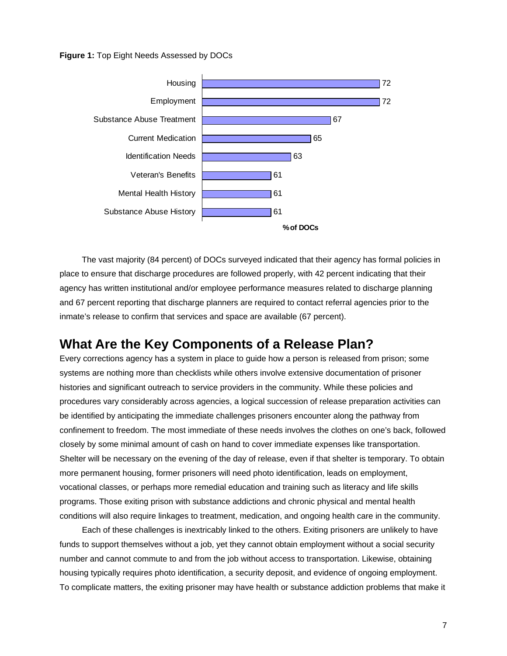**Figure 1:** Top Eight Needs Assessed by DOCs



The vast majority (84 percent) of DOCs surveyed indicated that their agency has formal policies in place to ensure that discharge procedures are followed properly, with 42 percent indicating that their agency has written institutional and/or employee performance measures related to discharge planning and 67 percent reporting that discharge planners are required to contact referral agencies prior to the inmate's release to confirm that services and space are available (67 percent).

# **What Are the Key Components of a Release Plan?**

Every corrections agency has a system in place to guide how a person is released from prison; some systems are nothing more than checklists while others involve extensive documentation of prisoner histories and significant outreach to service providers in the community. While these policies and procedures vary considerably across agencies, a logical succession of release preparation activities can be identified by anticipating the immediate challenges prisoners encounter along the pathway from confinement to freedom. The most immediate of these needs involves the clothes on one's back, followed closely by some minimal amount of cash on hand to cover immediate expenses like transportation. Shelter will be necessary on the evening of the day of release, even if that shelter is temporary. To obtain more permanent housing, former prisoners will need photo identification, leads on employment, vocational classes, or perhaps more remedial education and training such as literacy and life skills programs. Those exiting prison with substance addictions and chronic physical and mental health conditions will also require linkages to treatment, medication, and ongoing health care in the community.

Each of these challenges is inextricably linked to the others. Exiting prisoners are unlikely to have funds to support themselves without a job, yet they cannot obtain employment without a social security number and cannot commute to and from the job without access to transportation. Likewise, obtaining housing typically requires photo identification, a security deposit, and evidence of ongoing employment. To complicate matters, the exiting prisoner may have health or substance addiction problems that make it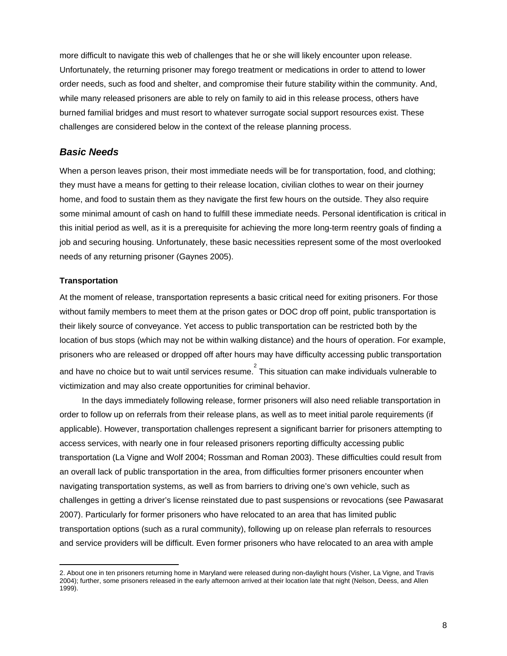more difficult to navigate this web of challenges that he or she will likely encounter upon release. Unfortunately, the returning prisoner may forego treatment or medications in order to attend to lower order needs, such as food and shelter, and compromise their future stability within the community. And, while many released prisoners are able to rely on family to aid in this release process, others have burned familial bridges and must resort to whatever surrogate social support resources exist. These challenges are considered below in the context of the release planning process.

# *Basic Needs*

When a person leaves prison, their most immediate needs will be for transportation, food, and clothing; they must have a means for getting to their release location, civilian clothes to wear on their journey home, and food to sustain them as they navigate the first few hours on the outside. They also require some minimal amount of cash on hand to fulfill these immediate needs. Personal identification is critical in this initial period as well, as it is a prerequisite for achieving the more long-term reentry goals of finding a job and securing housing. Unfortunately, these basic necessities represent some of the most overlooked needs of any returning prisoner (Gaynes 2005).

### **Transportation**

 $\overline{a}$ 

At the moment of release, transportation represents a basic critical need for exiting prisoners. For those without family members to meet them at the prison gates or DOC drop off point, public transportation is their likely source of conveyance. Yet access to public transportation can be restricted both by the location of bus stops (which may not be within walking distance) and the hours of operation. For example, prisoners who are released or dropped off after hours may have difficulty accessing public transportation and have no choice but to wait until services resume.  $2$  This situation can make individuals vulnerable to victimization and may also create opportunities for criminal behavior.

In the days immediately following release, former prisoners will also need reliable transportation in order to follow up on referrals from their release plans, as well as to meet initial parole requirements (if applicable). However, transportation challenges represent a significant barrier for prisoners attempting to access services, with nearly one in four released prisoners reporting difficulty accessing public transportation (La Vigne and Wolf 2004; Rossman and Roman 2003). These difficulties could result from an overall lack of public transportation in the area, from difficulties former prisoners encounter when navigating transportation systems, as well as from barriers to driving one's own vehicle, such as challenges in getting a driver's license reinstated due to past suspensions or revocations (see Pawasarat 2007). Particularly for former prisoners who have relocated to an area that has limited public transportation options (such as a rural community), following up on release plan referrals to resources and service providers will be difficult. Even former prisoners who have relocated to an area with ample

<sup>2.</sup> About one in ten prisoners returning home in Maryland were released during non-daylight hours (Visher, La Vigne, and Travis 2004); further, some prisoners released in the early afternoon arrived at their location late that night (Nelson, Deess, and Allen 1999).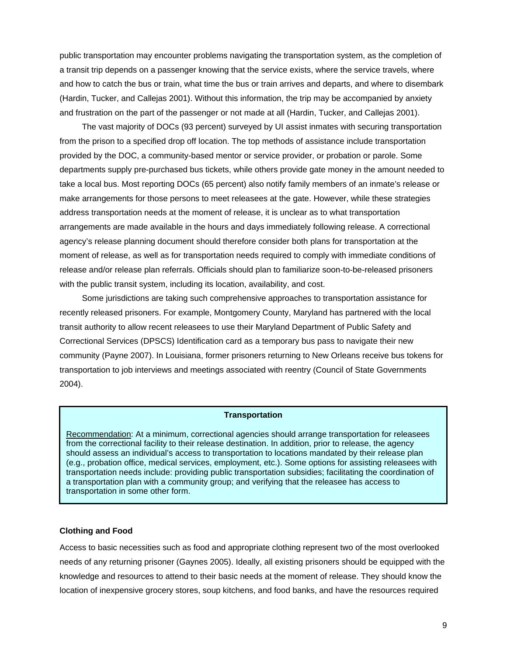public transportation may encounter problems navigating the transportation system, as the completion of a transit trip depends on a passenger knowing that the service exists, where the service travels, where and how to catch the bus or train, what time the bus or train arrives and departs, and where to disembark (Hardin, Tucker, and Callejas 2001). Without this information, the trip may be accompanied by anxiety and frustration on the part of the passenger or not made at all (Hardin, Tucker, and Callejas 2001).

The vast majority of DOCs (93 percent) surveyed by UI assist inmates with securing transportation from the prison to a specified drop off location. The top methods of assistance include transportation provided by the DOC, a community-based mentor or service provider, or probation or parole. Some departments supply pre-purchased bus tickets, while others provide gate money in the amount needed to take a local bus. Most reporting DOCs (65 percent) also notify family members of an inmate's release or make arrangements for those persons to meet releasees at the gate. However, while these strategies address transportation needs at the moment of release, it is unclear as to what transportation arrangements are made available in the hours and days immediately following release. A correctional agency's release planning document should therefore consider both plans for transportation at the moment of release, as well as for transportation needs required to comply with immediate conditions of release and/or release plan referrals. Officials should plan to familiarize soon-to-be-released prisoners with the public transit system, including its location, availability, and cost.

Some jurisdictions are taking such comprehensive approaches to transportation assistance for recently released prisoners. For example, Montgomery County, Maryland has partnered with the local transit authority to allow recent releasees to use their Maryland Department of Public Safety and Correctional Services (DPSCS) Identification card as a temporary bus pass to navigate their new community (Payne 2007). In Louisiana, former prisoners returning to New Orleans receive bus tokens for transportation to job interviews and meetings associated with reentry (Council of State Governments 2004).

#### **Transportation**

' Recommendation: At a minimum, correctional agencies should arrange transportation for releasees from the correctional facility to their release destination. In addition, prior to release, the agency should assess an individual's access to transportation to locations mandated by their release plan (e.g., probation office, medical services, employment, etc.). Some options for assisting releasees with transportation needs include: providing public transportation subsidies; facilitating the coordination of a transportation plan with a community group; and verifying that the releasee has access to transportation in some other form.

#### **Clothing and Food**

Access to basic necessities such as food and appropriate clothing represent two of the most overlooked needs of any returning prisoner (Gaynes 2005). Ideally, all existing prisoners should be equipped with the knowledge and resources to attend to their basic needs at the moment of release. They should know the location of inexpensive grocery stores, soup kitchens, and food banks, and have the resources required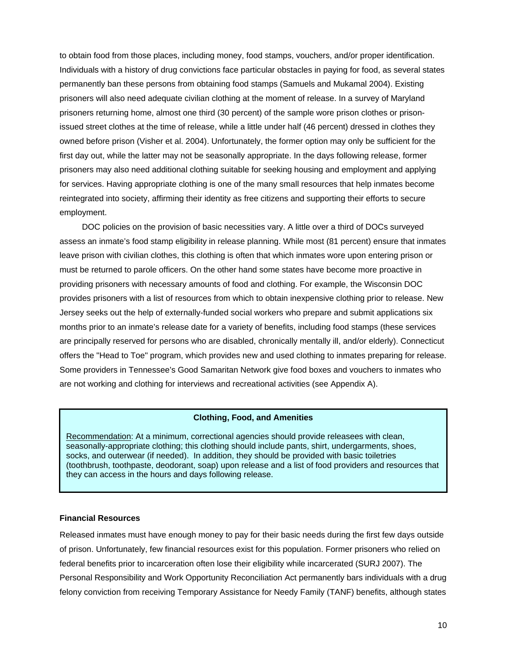to obtain food from those places, including money, food stamps, vouchers, and/or proper identification. Individuals with a history of drug convictions face particular obstacles in paying for food, as several states permanently ban these persons from obtaining food stamps (Samuels and Mukamal 2004). Existing prisoners will also need adequate civilian clothing at the moment of release. In a survey of Maryland prisoners returning home, almost one third (30 percent) of the sample wore prison clothes or prisonissued street clothes at the time of release, while a little under half (46 percent) dressed in clothes they owned before prison (Visher et al. 2004). Unfortunately, the former option may only be sufficient for the first day out, while the latter may not be seasonally appropriate. In the days following release, former prisoners may also need additional clothing suitable for seeking housing and employment and applying for services. Having appropriate clothing is one of the many small resources that help inmates become reintegrated into society, affirming their identity as free citizens and supporting their efforts to secure employment.

DOC policies on the provision of basic necessities vary. A little over a third of DOCs surveyed assess an inmate's food stamp eligibility in release planning. While most (81 percent) ensure that inmates leave prison with civilian clothes, this clothing is often that which inmates wore upon entering prison or must be returned to parole officers. On the other hand some states have become more proactive in providing prisoners with necessary amounts of food and clothing. For example, the Wisconsin DOC provides prisoners with a list of resources from which to obtain inexpensive clothing prior to release. New Jersey seeks out the help of externally-funded social workers who prepare and submit applications six months prior to an inmate's release date for a variety of benefits, including food stamps (these services are principally reserved for persons who are disabled, chronically mentally ill, and/or elderly). Connecticut offers the "Head to Toe" program, which provides new and used clothing to inmates preparing for release. Some providers in Tennessee's Good Samaritan Network give food boxes and vouchers to inmates who are not working and clothing for interviews and recreational activities (see Appendix A).

#### **Clothing, Food, and Amenities**

Recommendation: At a minimum, correctional agencies should provide releasees with clean, seasonally-appropriate clothing; this clothing should include pants, shirt, undergarments, shoes, socks, and outerwear (if needed). In addition, they should be provided with basic toiletries (toothbrush, toothpaste, deodorant, soap) upon release and a list of food providers and resources that they can access in the hours and days following release.

#### **Financial Resources**

Released inmates must have enough money to pay for their basic needs during the first few days outside of prison. Unfortunately, few financial resources exist for this population. Former prisoners who relied on federal benefits prior to incarceration often lose their eligibility while incarcerated (SURJ 2007). The Personal Responsibility and Work Opportunity Reconciliation Act permanently bars individuals with a drug felony conviction from receiving Temporary Assistance for Needy Family (TANF) benefits, although states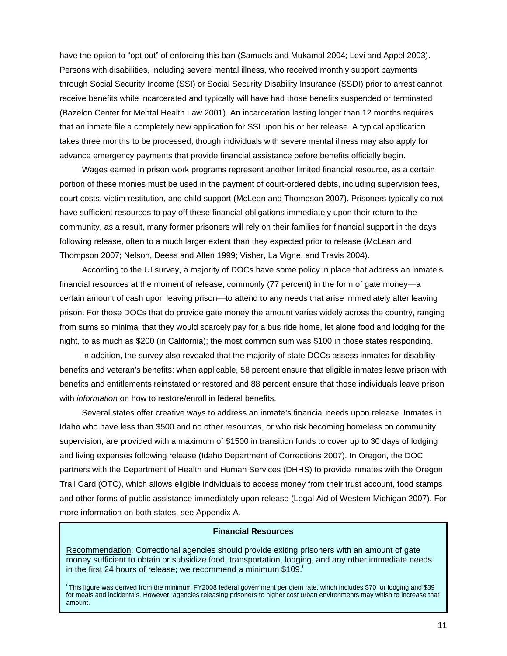have the option to "opt out" of enforcing this ban (Samuels and Mukamal 2004; Levi and Appel 2003). Persons with disabilities, including severe mental illness, who received monthly support payments through Social Security Income (SSI) or Social Security Disability Insurance (SSDI) prior to arrest cannot receive benefits while incarcerated and typically will have had those benefits suspended or terminated (Bazelon Center for Mental Health Law 2001). An incarceration lasting longer than 12 months requires that an inmate file a completely new application for SSI upon his or her release. A typical application takes three months to be processed, though individuals with severe mental illness may also apply for advance emergency payments that provide financial assistance before benefits officially begin.

Wages earned in prison work programs represent another limited financial resource, as a certain portion of these monies must be used in the payment of court-ordered debts, including supervision fees, court costs, victim restitution, and child support (McLean and Thompson 2007). Prisoners typically do not have sufficient resources to pay off these financial obligations immediately upon their return to the community, as a result, many former prisoners will rely on their families for financial support in the days following release, often to a much larger extent than they expected prior to release (McLean and Thompson 2007; Nelson, Deess and Allen 1999; Visher, La Vigne, and Travis 2004).

According to the UI survey, a majority of DOCs have some policy in place that address an inmate's financial resources at the moment of release, commonly (77 percent) in the form of gate money—a certain amount of cash upon leaving prison—to attend to any needs that arise immediately after leaving prison. For those DOCs that do provide gate money the amount varies widely across the country, ranging from sums so minimal that they would scarcely pay for a bus ride home, let alone food and lodging for the night, to as much as \$200 (in California); the most common sum was \$100 in those states responding.

In addition, the survey also revealed that the majority of state DOCs assess inmates for disability benefits and veteran's benefits; when applicable, 58 percent ensure that eligible inmates leave prison with benefits and entitlements reinstated or restored and 88 percent ensure that those individuals leave prison with *information* on how to restore/enroll in federal benefits.

Several states offer creative ways to address an inmate's financial needs upon release. Inmates in Idaho who have less than \$500 and no other resources, or who risk becoming homeless on community supervision, are provided with a maximum of \$1500 in transition funds to cover up to 30 days of lodging and living expenses following release (Idaho Department of Corrections 2007). In Oregon, the DOC partners with the Department of Health and Human Services (DHHS) to provide inmates with the Oregon Trail Card (OTC), which allows eligible individuals to access money from their trust account, food stamps and other forms of public assistance immediately upon release (Legal Aid of Western Michigan 2007). For more information on both states, see Appendix A.

#### **Financial Resources**

Recommendation: Correctional agencies should provide exiting prisoners with an amount of gate money sufficient to obtain or subsidize food, transportation, lodging, and any other immediate needs in the first 24 hours of release; we recommend a minimum \$109.

i This figure was derived from the minimum FY2008 federal government per diem rate, which includes \$70 for lodging and \$39 for meals and incidentals. However, agencies releasing prisoners to higher cost urban environments may whish to increase that amount.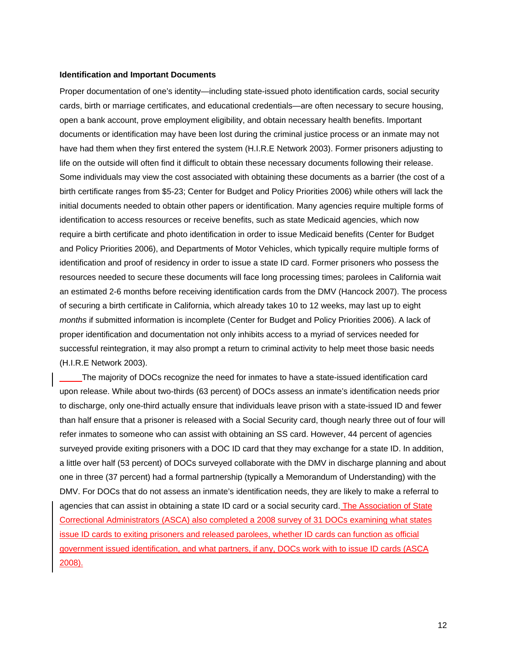#### **Identification and Important Documents**

Proper documentation of one's identity—including state-issued photo identification cards, social security cards, birth or marriage certificates, and educational credentials—are often necessary to secure housing, open a bank account, prove employment eligibility, and obtain necessary health benefits. Important documents or identification may have been lost during the criminal justice process or an inmate may not have had them when they first entered the system (H.I.R.E Network 2003). Former prisoners adjusting to life on the outside will often find it difficult to obtain these necessary documents following their release. Some individuals may view the cost associated with obtaining these documents as a barrier (the cost of a birth certificate ranges from \$5-23; Center for Budget and Policy Priorities 2006) while others will lack the initial documents needed to obtain other papers or identification. Many agencies require multiple forms of identification to access resources or receive benefits, such as state Medicaid agencies, which now require a birth certificate and photo identification in order to issue Medicaid benefits (Center for Budget and Policy Priorities 2006), and Departments of Motor Vehicles, which typically require multiple forms of identification and proof of residency in order to issue a state ID card. Former prisoners who possess the resources needed to secure these documents will face long processing times; parolees in California wait an estimated 2-6 months before receiving identification cards from the DMV (Hancock 2007). The process of securing a birth certificate in California, which already takes 10 to 12 weeks, may last up to eight *months* if submitted information is incomplete (Center for Budget and Policy Priorities 2006). A lack of proper identification and documentation not only inhibits access to a myriad of services needed for successful reintegration, it may also prompt a return to criminal activity to help meet those basic needs (H.I.R.E Network 2003).

The majority of DOCs recognize the need for inmates to have a state-issued identification card upon release. While about two-thirds (63 percent) of DOCs assess an inmate's identification needs prior to discharge, only one-third actually ensure that individuals leave prison with a state-issued ID and fewer than half ensure that a prisoner is released with a Social Security card, though nearly three out of four will refer inmates to someone who can assist with obtaining an SS card. However, 44 percent of agencies surveyed provide exiting prisoners with a DOC ID card that they may exchange for a state ID. In addition, a little over half (53 percent) of DOCs surveyed collaborate with the DMV in discharge planning and about one in three (37 percent) had a formal partnership (typically a Memorandum of Understanding) with the DMV. For DOCs that do not assess an inmate's identification needs, they are likely to make a referral to agencies that can assist in obtaining a state ID card or a social security card. The Association of State Correctional Administrators (ASCA) also completed a 2008 survey of 31 DOCs examining what states issue ID cards to exiting prisoners and released parolees, whether ID cards can function as official government issued identification, and what partners, if any, DOCs work with to issue ID cards (ASCA 2008).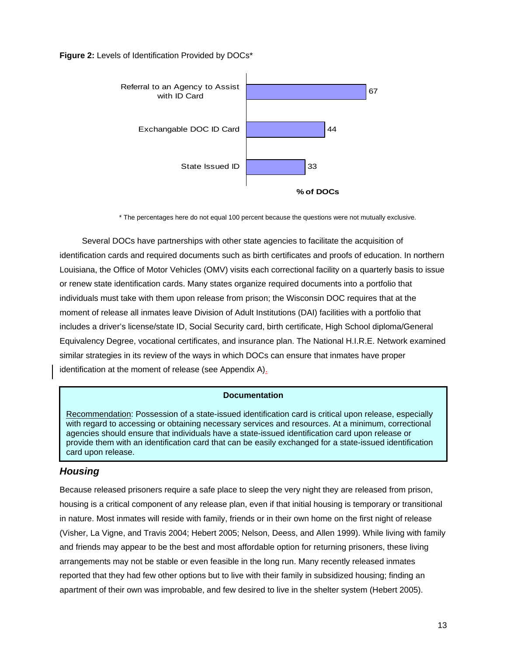#### **Figure 2:** Levels of Identification Provided by DOCs\*



\* The percentages here do not equal 100 percent because the questions were not mutually exclusive.

 Several DOCs have partnerships with other state agencies to facilitate the acquisition of identification cards and required documents such as birth certificates and proofs of education. In northern Louisiana, the Office of Motor Vehicles (OMV) visits each correctional facility on a quarterly basis to issue or renew state identification cards. Many states organize required documents into a portfolio that individuals must take with them upon release from prison; the Wisconsin DOC requires that at the moment of release all inmates leave Division of Adult Institutions (DAI) facilities with a portfolio that includes a driver's license/state ID, Social Security card, birth certificate, High School diploma/General Equivalency Degree, vocational certificates, and insurance plan. The National H.I.R.E. Network examined similar strategies in its review of the ways in which DOCs can ensure that inmates have proper identification at the moment of release (see Appendix A).

#### **Documentation**

Recommendation: Possession of a state-issued identification card is critical upon release, especially with regard to accessing or obtaining necessary services and resources. At a minimum, correctional agencies should ensure that individuals have a state-issued identification card upon release or provide them with an identification card that can be easily exchanged for a state-issued identification card upon release.

## *Housing*

Because released prisoners require a safe place to sleep the very night they are released from prison, housing is a critical component of any release plan, even if that initial housing is temporary or transitional in nature. Most inmates will reside with family, friends or in their own home on the first night of release (Visher, La Vigne, and Travis 2004; Hebert 2005; Nelson, Deess, and Allen 1999). While living with family and friends may appear to be the best and most affordable option for returning prisoners, these living arrangements may not be stable or even feasible in the long run. Many recently released inmates reported that they had few other options but to live with their family in subsidized housing; finding an apartment of their own was improbable, and few desired to live in the shelter system (Hebert 2005).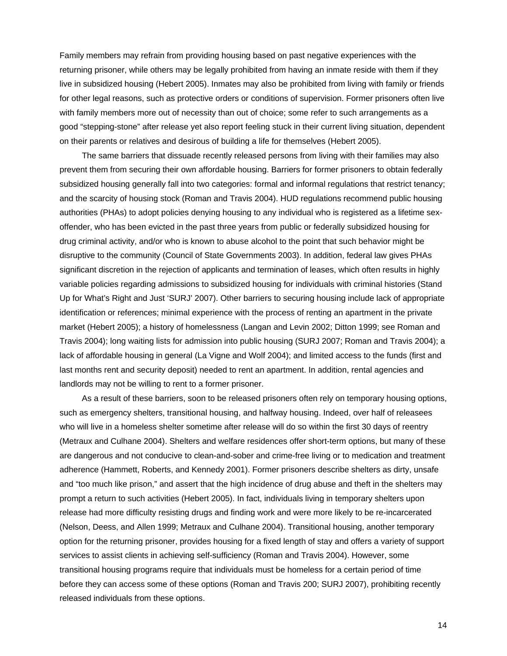Family members may refrain from providing housing based on past negative experiences with the returning prisoner, while others may be legally prohibited from having an inmate reside with them if they live in subsidized housing (Hebert 2005). Inmates may also be prohibited from living with family or friends for other legal reasons, such as protective orders or conditions of supervision. Former prisoners often live with family members more out of necessity than out of choice; some refer to such arrangements as a good "stepping-stone" after release yet also report feeling stuck in their current living situation, dependent on their parents or relatives and desirous of building a life for themselves (Hebert 2005).

The same barriers that dissuade recently released persons from living with their families may also prevent them from securing their own affordable housing. Barriers for former prisoners to obtain federally subsidized housing generally fall into two categories: formal and informal regulations that restrict tenancy; and the scarcity of housing stock (Roman and Travis 2004). HUD regulations recommend public housing authorities (PHAs) to adopt policies denying housing to any individual who is registered as a lifetime sexoffender, who has been evicted in the past three years from public or federally subsidized housing for drug criminal activity, and/or who is known to abuse alcohol to the point that such behavior might be disruptive to the community (Council of State Governments 2003). In addition, federal law gives PHAs significant discretion in the rejection of applicants and termination of leases, which often results in highly variable policies regarding admissions to subsidized housing for individuals with criminal histories (Stand Up for What's Right and Just 'SURJ' 2007). Other barriers to securing housing include lack of appropriate identification or references; minimal experience with the process of renting an apartment in the private market (Hebert 2005); a history of homelessness (Langan and Levin 2002; Ditton 1999; see Roman and Travis 2004); long waiting lists for admission into public housing (SURJ 2007; Roman and Travis 2004); a lack of affordable housing in general (La Vigne and Wolf 2004); and limited access to the funds (first and last months rent and security deposit) needed to rent an apartment. In addition, rental agencies and landlords may not be willing to rent to a former prisoner.

As a result of these barriers, soon to be released prisoners often rely on temporary housing options, such as emergency shelters, transitional housing, and halfway housing. Indeed, over half of releasees who will live in a homeless shelter sometime after release will do so within the first 30 days of reentry (Metraux and Culhane 2004). Shelters and welfare residences offer short-term options, but many of these are dangerous and not conducive to clean-and-sober and crime-free living or to medication and treatment adherence (Hammett, Roberts, and Kennedy 2001). Former prisoners describe shelters as dirty, unsafe and "too much like prison," and assert that the high incidence of drug abuse and theft in the shelters may prompt a return to such activities (Hebert 2005). In fact, individuals living in temporary shelters upon release had more difficulty resisting drugs and finding work and were more likely to be re-incarcerated (Nelson, Deess, and Allen 1999; Metraux and Culhane 2004). Transitional housing, another temporary option for the returning prisoner, provides housing for a fixed length of stay and offers a variety of support services to assist clients in achieving self-sufficiency (Roman and Travis 2004). However, some transitional housing programs require that individuals must be homeless for a certain period of time before they can access some of these options (Roman and Travis 200; SURJ 2007), prohibiting recently released individuals from these options.

14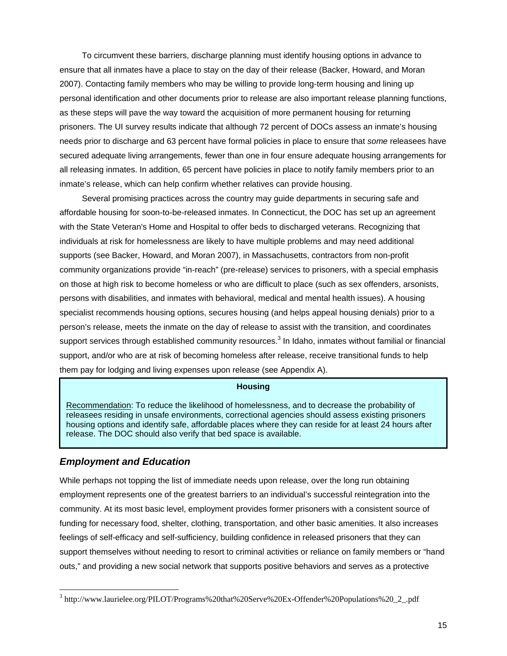To circumvent these barriers, discharge planning must identify housing options in advance to ensure that all inmates have a place to stay on the day of their release (Backer, Howard, and Moran 2007). Contacting family members who may be willing to provide long-term housing and lining up personal identification and other documents prior to release are also important release planning functions, as these steps will pave the way toward the acquisition of more permanent housing for returning prisoners. The UI survey results indicate that although 72 percent of DOCs assess an inmate's housing needs prior to discharge and 63 percent have formal policies in place to ensure that *some* releasees have secured adequate living arrangements, fewer than one in four ensure adequate housing arrangements for all releasing inmates. In addition, 65 percent have policies in place to notify family members prior to an inmate's release, which can help confirm whether relatives can provide housing.

Several promising practices across the country may guide departments in securing safe and affordable housing for soon-to-be-released inmates. In Connecticut, the DOC has set up an agreement with the State Veteran's Home and Hospital to offer beds to discharged veterans. Recognizing that individuals at risk for homelessness are likely to have multiple problems and may need additional supports (see Backer, Howard, and Moran 2007), in Massachusetts, contractors from non-profit community organizations provide "in-reach" (pre-release) services to prisoners, with a special emphasis on those at high risk to become homeless or who are difficult to place (such as sex offenders, arsonists, persons with disabilities, and inmates with behavioral, medical and mental health issues). A housing specialist recommends housing options, secures housing (and helps appeal housing denials) prior to a person's release, meets the inmate on the day of release to assist with the transition, and coordinates support services through established community resources.<sup>3</sup> In Idaho, inmates without familial or financial support, and/or who are at risk of becoming homeless after release, receive transitional funds to help them pay for lodging and living expenses upon release (see Appendix A).

#### **Housing**

Recommendation: To reduce the likelihood of homelessness, and to decrease the probability of releasees residing in unsafe environments, correctional agencies should assess existing prisoners housing options and identify safe, affordable places where they can reside for at least 24 hours after release. The DOC should also verify that bed space is available.

## *Employment and Education*

 $\overline{a}$ 

While perhaps not topping the list of immediate needs upon release, over the long run obtaining employment represents one of the greatest barriers to an individual's successful reintegration into the community. At its most basic level, employment provides former prisoners with a consistent source of funding for necessary food, shelter, clothing, transportation, and other basic amenities. It also increases feelings of self-efficacy and self-sufficiency, building confidence in released prisoners that they can support themselves without needing to resort to criminal activities or reliance on family members or "hand outs," and providing a new social network that supports positive behaviors and serves as a protective

<sup>&</sup>lt;sup>3</sup> http://www.laurielee.org/PILOT/Programs%20that%20Serve%20Ex-Offender%20Populations%20\_2\_.pdf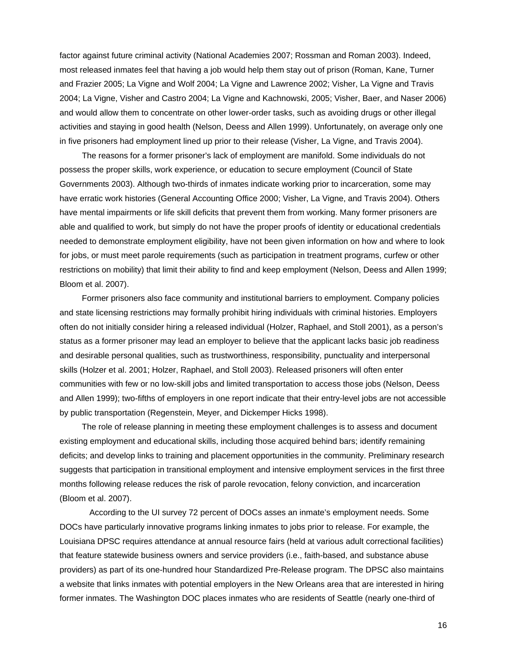factor against future criminal activity (National Academies 2007; Rossman and Roman 2003). Indeed, most released inmates feel that having a job would help them stay out of prison (Roman, Kane, Turner and Frazier 2005; La Vigne and Wolf 2004; La Vigne and Lawrence 2002; Visher, La Vigne and Travis 2004; La Vigne, Visher and Castro 2004; La Vigne and Kachnowski, 2005; Visher, Baer, and Naser 2006) and would allow them to concentrate on other lower-order tasks, such as avoiding drugs or other illegal activities and staying in good health (Nelson, Deess and Allen 1999). Unfortunately, on average only one in five prisoners had employment lined up prior to their release (Visher, La Vigne, and Travis 2004).

The reasons for a former prisoner's lack of employment are manifold. Some individuals do not possess the proper skills, work experience, or education to secure employment (Council of State Governments 2003). Although two-thirds of inmates indicate working prior to incarceration, some may have erratic work histories (General Accounting Office 2000; Visher, La Vigne, and Travis 2004). Others have mental impairments or life skill deficits that prevent them from working. Many former prisoners are able and qualified to work, but simply do not have the proper proofs of identity or educational credentials needed to demonstrate employment eligibility, have not been given information on how and where to look for jobs, or must meet parole requirements (such as participation in treatment programs, curfew or other restrictions on mobility) that limit their ability to find and keep employment (Nelson, Deess and Allen 1999; Bloom et al. 2007).

Former prisoners also face community and institutional barriers to employment. Company policies and state licensing restrictions may formally prohibit hiring individuals with criminal histories. Employers often do not initially consider hiring a released individual (Holzer, Raphael, and Stoll 2001), as a person's status as a former prisoner may lead an employer to believe that the applicant lacks basic job readiness and desirable personal qualities, such as trustworthiness, responsibility, punctuality and interpersonal skills (Holzer et al. 2001; Holzer, Raphael, and Stoll 2003). Released prisoners will often enter communities with few or no low-skill jobs and limited transportation to access those jobs (Nelson, Deess and Allen 1999); two-fifths of employers in one report indicate that their entry-level jobs are not accessible by public transportation (Regenstein, Meyer, and Dickemper Hicks 1998).

The role of release planning in meeting these employment challenges is to assess and document existing employment and educational skills, including those acquired behind bars; identify remaining deficits; and develop links to training and placement opportunities in the community. Preliminary research suggests that participation in transitional employment and intensive employment services in the first three months following release reduces the risk of parole revocation, felony conviction, and incarceration (Bloom et al. 2007).

 According to the UI survey 72 percent of DOCs asses an inmate's employment needs. Some DOCs have particularly innovative programs linking inmates to jobs prior to release. For example, the Louisiana DPSC requires attendance at annual resource fairs (held at various adult correctional facilities) that feature statewide business owners and service providers (i.e., faith-based, and substance abuse providers) as part of its one-hundred hour Standardized Pre-Release program. The DPSC also maintains a website that links inmates with potential employers in the New Orleans area that are interested in hiring former inmates. The Washington DOC places inmates who are residents of Seattle (nearly one-third of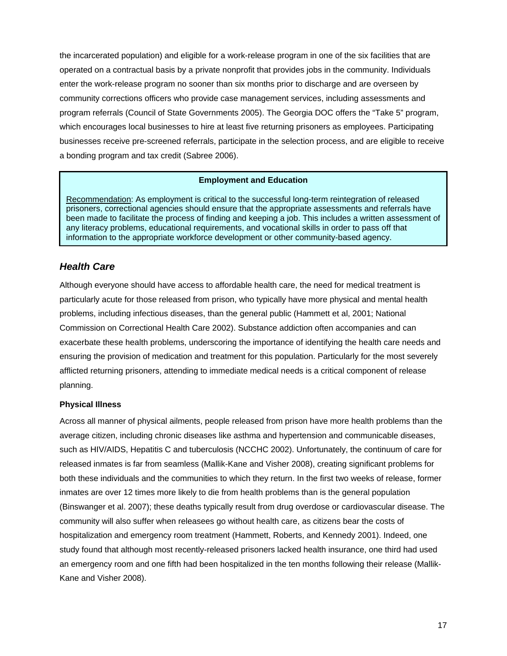the incarcerated population) and eligible for a work-release program in one of the six facilities that are operated on a contractual basis by a private nonprofit that provides jobs in the community. Individuals enter the work-release program no sooner than six months prior to discharge and are overseen by community corrections officers who provide case management services, including assessments and program referrals (Council of State Governments 2005). The Georgia DOC offers the "Take 5" program, which encourages local businesses to hire at least five returning prisoners as employees. Participating businesses receive pre-screened referrals, participate in the selection process, and are eligible to receive a bonding program and tax credit (Sabree 2006).

#### **Employment and Education**

Recommendation: As employment is critical to the successful long-term reintegration of released prisoners, correctional agencies should ensure that the appropriate assessments and referrals have been made to facilitate the process of finding and keeping a job. This includes a written assessment of any literacy problems, educational requirements, and vocational skills in order to pass off that information to the appropriate workforce development or other community-based agency.

## *Health Care*

Although everyone should have access to affordable health care, the need for medical treatment is particularly acute for those released from prison, who typically have more physical and mental health problems, including infectious diseases, than the general public (Hammett et al, 2001; National Commission on Correctional Health Care 2002). Substance addiction often accompanies and can exacerbate these health problems, underscoring the importance of identifying the health care needs and ensuring the provision of medication and treatment for this population. Particularly for the most severely afflicted returning prisoners, attending to immediate medical needs is a critical component of release planning.

#### **Physical Illness**

Across all manner of physical ailments, people released from prison have more health problems than the average citizen, including chronic diseases like asthma and hypertension and communicable diseases, such as HIV/AIDS, Hepatitis C and tuberculosis (NCCHC 2002). Unfortunately, the continuum of care for released inmates is far from seamless (Mallik-Kane and Visher 2008), creating significant problems for both these individuals and the communities to which they return. In the first two weeks of release, former inmates are over 12 times more likely to die from health problems than is the general population (Binswanger et al. 2007); these deaths typically result from drug overdose or cardiovascular disease. The community will also suffer when releasees go without health care, as citizens bear the costs of hospitalization and emergency room treatment (Hammett, Roberts, and Kennedy 2001). Indeed, one study found that although most recently-released prisoners lacked health insurance, one third had used an emergency room and one fifth had been hospitalized in the ten months following their release (Mallik-Kane and Visher 2008).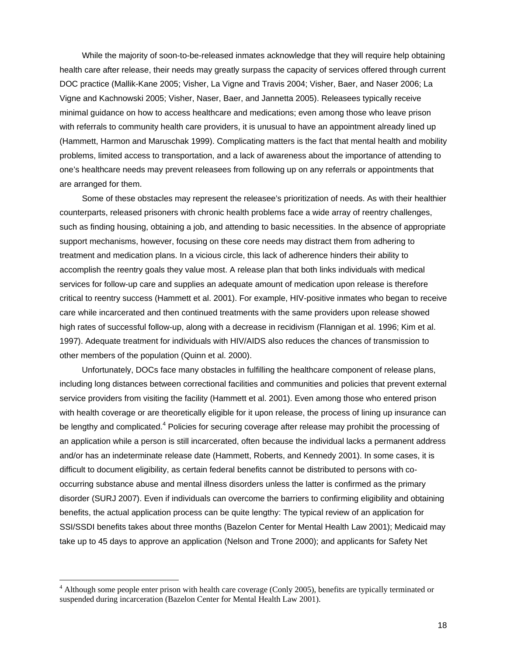While the majority of soon-to-be-released inmates acknowledge that they will require help obtaining health care after release, their needs may greatly surpass the capacity of services offered through current DOC practice (Mallik-Kane 2005; Visher, La Vigne and Travis 2004; Visher, Baer, and Naser 2006; La Vigne and Kachnowski 2005; Visher, Naser, Baer, and Jannetta 2005). Releasees typically receive minimal guidance on how to access healthcare and medications; even among those who leave prison with referrals to community health care providers, it is unusual to have an appointment already lined up (Hammett, Harmon and Maruschak 1999). Complicating matters is the fact that mental health and mobility problems, limited access to transportation, and a lack of awareness about the importance of attending to one's healthcare needs may prevent releasees from following up on any referrals or appointments that are arranged for them.

Some of these obstacles may represent the releasee's prioritization of needs. As with their healthier counterparts, released prisoners with chronic health problems face a wide array of reentry challenges, such as finding housing, obtaining a job, and attending to basic necessities. In the absence of appropriate support mechanisms, however, focusing on these core needs may distract them from adhering to treatment and medication plans. In a vicious circle, this lack of adherence hinders their ability to accomplish the reentry goals they value most. A release plan that both links individuals with medical services for follow-up care and supplies an adequate amount of medication upon release is therefore critical to reentry success (Hammett et al. 2001). For example, HIV-positive inmates who began to receive care while incarcerated and then continued treatments with the same providers upon release showed high rates of successful follow-up, along with a decrease in recidivism (Flannigan et al. 1996; Kim et al. 1997). Adequate treatment for individuals with HIV/AIDS also reduces the chances of transmission to other members of the population (Quinn et al. 2000).

Unfortunately, DOCs face many obstacles in fulfilling the healthcare component of release plans, including long distances between correctional facilities and communities and policies that prevent external service providers from visiting the facility (Hammett et al. 2001). Even among those who entered prison with health coverage or are theoretically eligible for it upon release, the process of lining up insurance can be lengthy and complicated.<sup>4</sup> Policies for securing coverage after release may prohibit the processing of an application while a person is still incarcerated, often because the individual lacks a permanent address and/or has an indeterminate release date (Hammett, Roberts, and Kennedy 2001). In some cases, it is difficult to document eligibility, as certain federal benefits cannot be distributed to persons with cooccurring substance abuse and mental illness disorders unless the latter is confirmed as the primary disorder (SURJ 2007). Even if individuals can overcome the barriers to confirming eligibility and obtaining benefits, the actual application process can be quite lengthy: The typical review of an application for SSI/SSDI benefits takes about three months (Bazelon Center for Mental Health Law 2001); Medicaid may take up to 45 days to approve an application (Nelson and Trone 2000); and applicants for Safety Net

 $\overline{a}$ 

<sup>&</sup>lt;sup>4</sup> Although some people enter prison with health care coverage (Conly 2005), benefits are typically terminated or suspended during incarceration (Bazelon Center for Mental Health Law 2001).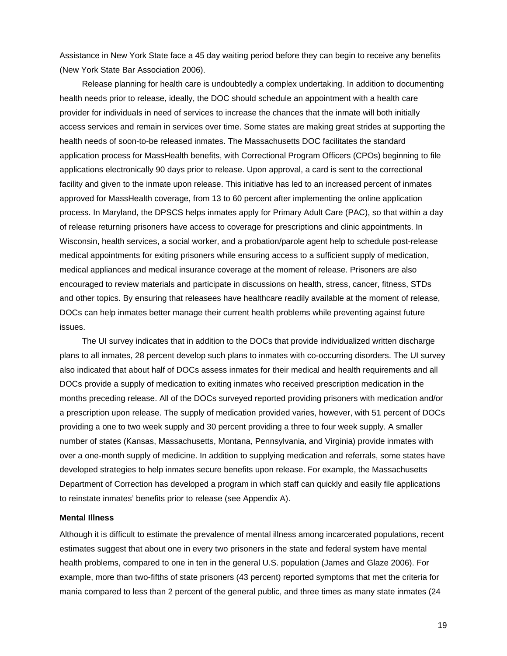Assistance in New York State face a 45 day waiting period before they can begin to receive any benefits (New York State Bar Association 2006).

Release planning for health care is undoubtedly a complex undertaking. In addition to documenting health needs prior to release, ideally, the DOC should schedule an appointment with a health care provider for individuals in need of services to increase the chances that the inmate will both initially access services and remain in services over time. Some states are making great strides at supporting the health needs of soon-to-be released inmates. The Massachusetts DOC facilitates the standard application process for MassHealth benefits, with Correctional Program Officers (CPOs) beginning to file applications electronically 90 days prior to release. Upon approval, a card is sent to the correctional facility and given to the inmate upon release. This initiative has led to an increased percent of inmates approved for MassHealth coverage, from 13 to 60 percent after implementing the online application process. In Maryland, the DPSCS helps inmates apply for Primary Adult Care (PAC), so that within a day of release returning prisoners have access to coverage for prescriptions and clinic appointments. In Wisconsin, health services, a social worker, and a probation/parole agent help to schedule post-release medical appointments for exiting prisoners while ensuring access to a sufficient supply of medication, medical appliances and medical insurance coverage at the moment of release. Prisoners are also encouraged to review materials and participate in discussions on health, stress, cancer, fitness, STDs and other topics. By ensuring that releasees have healthcare readily available at the moment of release, DOCs can help inmates better manage their current health problems while preventing against future issues.

The UI survey indicates that in addition to the DOCs that provide individualized written discharge plans to all inmates, 28 percent develop such plans to inmates with co-occurring disorders. The UI survey also indicated that about half of DOCs assess inmates for their medical and health requirements and all DOCs provide a supply of medication to exiting inmates who received prescription medication in the months preceding release. All of the DOCs surveyed reported providing prisoners with medication and/or a prescription upon release. The supply of medication provided varies, however, with 51 percent of DOCs providing a one to two week supply and 30 percent providing a three to four week supply. A smaller number of states (Kansas, Massachusetts, Montana, Pennsylvania, and Virginia) provide inmates with over a one-month supply of medicine. In addition to supplying medication and referrals, some states have developed strategies to help inmates secure benefits upon release. For example, the Massachusetts Department of Correction has developed a program in which staff can quickly and easily file applications to reinstate inmates' benefits prior to release (see Appendix A).

#### **Mental Illness**

Although it is difficult to estimate the prevalence of mental illness among incarcerated populations, recent estimates suggest that about one in every two prisoners in the state and federal system have mental health problems, compared to one in ten in the general U.S. population (James and Glaze 2006). For example, more than two-fifths of state prisoners (43 percent) reported symptoms that met the criteria for mania compared to less than 2 percent of the general public, and three times as many state inmates (24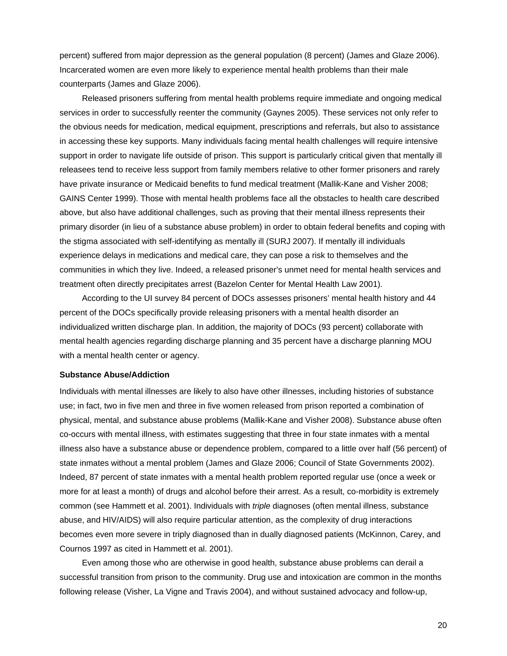percent) suffered from major depression as the general population (8 percent) (James and Glaze 2006). Incarcerated women are even more likely to experience mental health problems than their male counterparts (James and Glaze 2006).

Released prisoners suffering from mental health problems require immediate and ongoing medical services in order to successfully reenter the community (Gaynes 2005). These services not only refer to the obvious needs for medication, medical equipment, prescriptions and referrals, but also to assistance in accessing these key supports. Many individuals facing mental health challenges will require intensive support in order to navigate life outside of prison. This support is particularly critical given that mentally ill releasees tend to receive less support from family members relative to other former prisoners and rarely have private insurance or Medicaid benefits to fund medical treatment (Mallik-Kane and Visher 2008; GAINS Center 1999). Those with mental health problems face all the obstacles to health care described above, but also have additional challenges, such as proving that their mental illness represents their primary disorder (in lieu of a substance abuse problem) in order to obtain federal benefits and coping with the stigma associated with self-identifying as mentally ill (SURJ 2007). If mentally ill individuals experience delays in medications and medical care, they can pose a risk to themselves and the communities in which they live. Indeed, a released prisoner's unmet need for mental health services and treatment often directly precipitates arrest (Bazelon Center for Mental Health Law 2001).

According to the UI survey 84 percent of DOCs assesses prisoners' mental health history and 44 percent of the DOCs specifically provide releasing prisoners with a mental health disorder an individualized written discharge plan. In addition, the majority of DOCs (93 percent) collaborate with mental health agencies regarding discharge planning and 35 percent have a discharge planning MOU with a mental health center or agency.

#### **Substance Abuse/Addiction**

Individuals with mental illnesses are likely to also have other illnesses, including histories of substance use; in fact, two in five men and three in five women released from prison reported a combination of physical, mental, and substance abuse problems (Mallik-Kane and Visher 2008). Substance abuse often co-occurs with mental illness, with estimates suggesting that three in four state inmates with a mental illness also have a substance abuse or dependence problem, compared to a little over half (56 percent) of state inmates without a mental problem (James and Glaze 2006; Council of State Governments 2002). Indeed, 87 percent of state inmates with a mental health problem reported regular use (once a week or more for at least a month) of drugs and alcohol before their arrest. As a result, co-morbidity is extremely common (see Hammett et al. 2001). Individuals with *triple* diagnoses (often mental illness, substance abuse, and HIV/AIDS) will also require particular attention, as the complexity of drug interactions becomes even more severe in triply diagnosed than in dually diagnosed patients (McKinnon, Carey, and Cournos 1997 as cited in Hammett et al. 2001).

Even among those who are otherwise in good health, substance abuse problems can derail a successful transition from prison to the community. Drug use and intoxication are common in the months following release (Visher, La Vigne and Travis 2004), and without sustained advocacy and follow-up,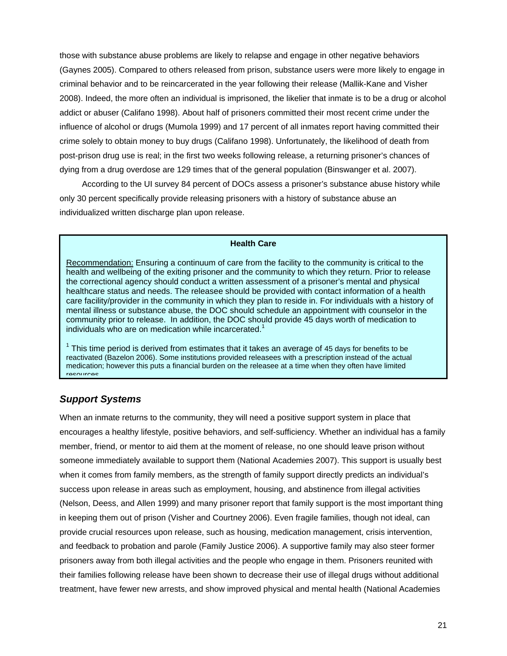those with substance abuse problems are likely to relapse and engage in other negative behaviors (Gaynes 2005). Compared to others released from prison, substance users were more likely to engage in criminal behavior and to be reincarcerated in the year following their release (Mallik-Kane and Visher 2008). Indeed, the more often an individual is imprisoned, the likelier that inmate is to be a drug or alcohol addict or abuser (Califano 1998). About half of prisoners committed their most recent crime under the influence of alcohol or drugs (Mumola 1999) and 17 percent of all inmates report having committed their crime solely to obtain money to buy drugs (Califano 1998). Unfortunately, the likelihood of death from post-prison drug use is real; in the first two weeks following release, a returning prisoner's chances of dying from a drug overdose are 129 times that of the general population (Binswanger et al. 2007).

According to the UI survey 84 percent of DOCs assess a prisoner's substance abuse history while only 30 percent specifically provide releasing prisoners with a history of substance abuse an individualized written discharge plan upon release.

#### **Health Care**

Recommendation: Ensuring a continuum of care from the facility to the community is critical to the health and wellbeing of the exiting prisoner and the community to which they return. Prior to release the correctional agency should conduct a written assessment of a prisoner's mental and physical healthcare status and needs. The releasee should be provided with contact information of a health care facility/provider in the community in which they plan to reside in. For individuals with a history of mental illness or substance abuse, the DOC should schedule an appointment with counselor in the community prior to release. In addition, the DOC should provide 45 days worth of medication to individuals who are on medication while incarcerated.<sup>1</sup>

 $1$  This time period is derived from estimates that it takes an average of 45 days for benefits to be reactivated (Bazelon 2006). Some institutions provided releasees with a prescription instead of the actual medication; however this puts a financial burden on the releasee at a time when they often have limited resources

## *Support Systems*

When an inmate returns to the community, they will need a positive support system in place that encourages a healthy lifestyle, positive behaviors, and self-sufficiency. Whether an individual has a family member, friend, or mentor to aid them at the moment of release, no one should leave prison without someone immediately available to support them (National Academies 2007). This support is usually best when it comes from family members, as the strength of family support directly predicts an individual's success upon release in areas such as employment, housing, and abstinence from illegal activities (Nelson, Deess, and Allen 1999) and many prisoner report that family support is the most important thing in keeping them out of prison (Visher and Courtney 2006). Even fragile families, though not ideal, can provide crucial resources upon release, such as housing, medication management, crisis intervention, and feedback to probation and parole (Family Justice 2006). A supportive family may also steer former prisoners away from both illegal activities and the people who engage in them. Prisoners reunited with their families following release have been shown to decrease their use of illegal drugs without additional treatment, have fewer new arrests, and show improved physical and mental health (National Academies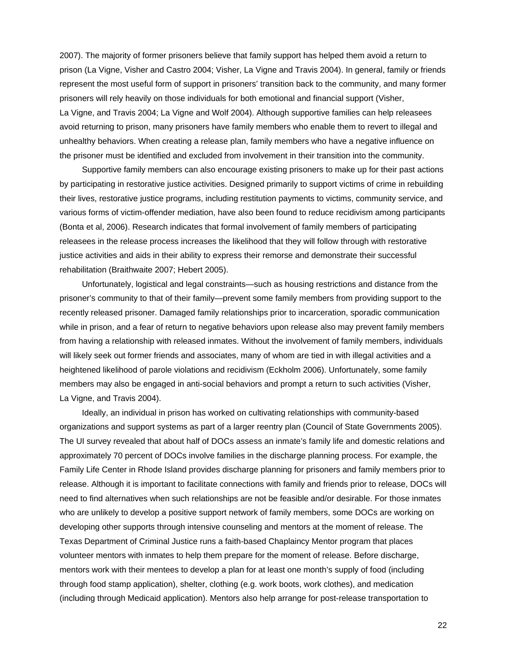2007). The majority of former prisoners believe that family support has helped them avoid a return to prison (La Vigne, Visher and Castro 2004; Visher, La Vigne and Travis 2004). In general, family or friends represent the most useful form of support in prisoners' transition back to the community, and many former prisoners will rely heavily on those individuals for both emotional and financial support (Visher, La Vigne, and Travis 2004; La Vigne and Wolf 2004). Although supportive families can help releasees avoid returning to prison, many prisoners have family members who enable them to revert to illegal and unhealthy behaviors. When creating a release plan, family members who have a negative influence on the prisoner must be identified and excluded from involvement in their transition into the community.

Supportive family members can also encourage existing prisoners to make up for their past actions by participating in restorative justice activities. Designed primarily to support victims of crime in rebuilding their lives, restorative justice programs, including restitution payments to victims, community service, and various forms of victim-offender mediation, have also been found to reduce recidivism among participants (Bonta et al, 2006). Research indicates that formal involvement of family members of participating releasees in the release process increases the likelihood that they will follow through with restorative justice activities and aids in their ability to express their remorse and demonstrate their successful rehabilitation (Braithwaite 2007; Hebert 2005).

Unfortunately, logistical and legal constraints—such as housing restrictions and distance from the prisoner's community to that of their family—prevent some family members from providing support to the recently released prisoner. Damaged family relationships prior to incarceration, sporadic communication while in prison, and a fear of return to negative behaviors upon release also may prevent family members from having a relationship with released inmates. Without the involvement of family members, individuals will likely seek out former friends and associates, many of whom are tied in with illegal activities and a heightened likelihood of parole violations and recidivism (Eckholm 2006). Unfortunately, some family members may also be engaged in anti-social behaviors and prompt a return to such activities (Visher, La Vigne, and Travis 2004).

Ideally, an individual in prison has worked on cultivating relationships with community-based organizations and support systems as part of a larger reentry plan (Council of State Governments 2005). The UI survey revealed that about half of DOCs assess an inmate's family life and domestic relations and approximately 70 percent of DOCs involve families in the discharge planning process. For example, the Family Life Center in Rhode Island provides discharge planning for prisoners and family members prior to release. Although it is important to facilitate connections with family and friends prior to release, DOCs will need to find alternatives when such relationships are not be feasible and/or desirable. For those inmates who are unlikely to develop a positive support network of family members, some DOCs are working on developing other supports through intensive counseling and mentors at the moment of release. The Texas Department of Criminal Justice runs a faith-based Chaplaincy Mentor program that places volunteer mentors with inmates to help them prepare for the moment of release. Before discharge, mentors work with their mentees to develop a plan for at least one month's supply of food (including through food stamp application), shelter, clothing (e.g. work boots, work clothes), and medication (including through Medicaid application). Mentors also help arrange for post-release transportation to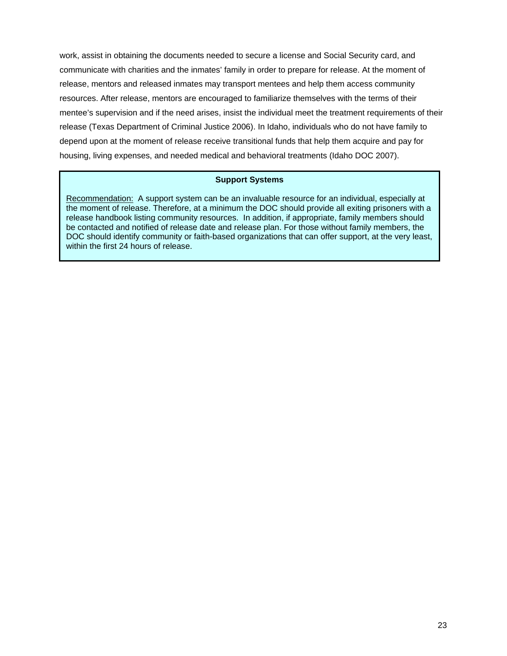work, assist in obtaining the documents needed to secure a license and Social Security card, and communicate with charities and the inmates' family in order to prepare for release. At the moment of release, mentors and released inmates may transport mentees and help them access community resources. After release, mentors are encouraged to familiarize themselves with the terms of their mentee's supervision and if the need arises, insist the individual meet the treatment requirements of their release (Texas Department of Criminal Justice 2006). In Idaho, individuals who do not have family to depend upon at the moment of release receive transitional funds that help them acquire and pay for housing, living expenses, and needed medical and behavioral treatments (Idaho DOC 2007).

#### **Support Systems**

Recommendation: A support system can be an invaluable resource for an individual, especially at the moment of release. Therefore, at a minimum the DOC should provide all exiting prisoners with a release handbook listing community resources. In addition, if appropriate, family members should be contacted and notified of release date and release plan. For those without family members, the DOC should identify community or faith-based organizations that can offer support, at the very least, within the first 24 hours of release.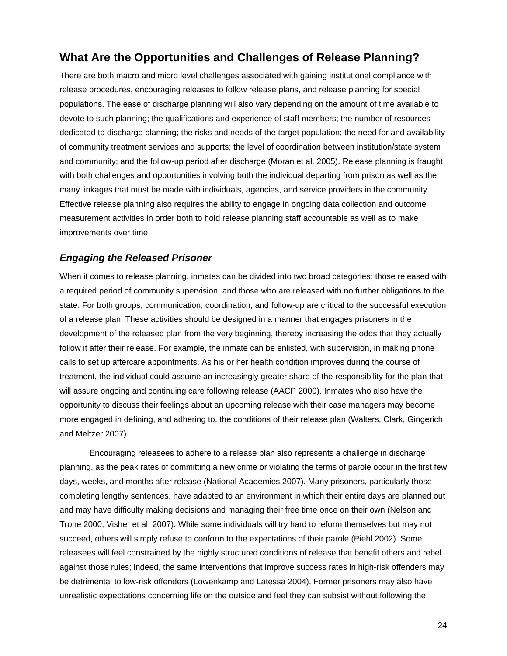# **What Are the Opportunities and Challenges of Release Planning?**

There are both macro and micro level challenges associated with gaining institutional compliance with release procedures, encouraging releases to follow release plans, and release planning for special populations. The ease of discharge planning will also vary depending on the amount of time available to devote to such planning; the qualifications and experience of staff members; the number of resources dedicated to discharge planning; the risks and needs of the target population; the need for and availability of community treatment services and supports; the level of coordination between institution/state system and community; and the follow-up period after discharge (Moran et al. 2005). Release planning is fraught with both challenges and opportunities involving both the individual departing from prison as well as the many linkages that must be made with individuals, agencies, and service providers in the community. Effective release planning also requires the ability to engage in ongoing data collection and outcome measurement activities in order both to hold release planning staff accountable as well as to make improvements over time.

## *Engaging the Released Prisoner*

When it comes to release planning, inmates can be divided into two broad categories: those released with a required period of community supervision, and those who are released with no further obligations to the state. For both groups, communication, coordination, and follow-up are critical to the successful execution of a release plan. These activities should be designed in a manner that engages prisoners in the development of the released plan from the very beginning, thereby increasing the odds that they actually follow it after their release. For example, the inmate can be enlisted, with supervision, in making phone calls to set up aftercare appointments. As his or her health condition improves during the course of treatment, the individual could assume an increasingly greater share of the responsibility for the plan that will assure ongoing and continuing care following release (AACP 2000). Inmates who also have the opportunity to discuss their feelings about an upcoming release with their case managers may become more engaged in defining, and adhering to, the conditions of their release plan (Walters, Clark, Gingerich and Meltzer 2007).

Encouraging releasees to adhere to a release plan also represents a challenge in discharge planning, as the peak rates of committing a new crime or violating the terms of parole occur in the first few days, weeks, and months after release (National Academies 2007). Many prisoners, particularly those completing lengthy sentences, have adapted to an environment in which their entire days are planned out and may have difficulty making decisions and managing their free time once on their own (Nelson and Trone 2000; Visher et al. 2007). While some individuals will try hard to reform themselves but may not succeed, others will simply refuse to conform to the expectations of their parole (Piehl 2002). Some releasees will feel constrained by the highly structured conditions of release that benefit others and rebel against those rules; indeed, the same interventions that improve success rates in high-risk offenders may be detrimental to low-risk offenders (Lowenkamp and Latessa 2004). Former prisoners may also have unrealistic expectations concerning life on the outside and feel they can subsist without following the

24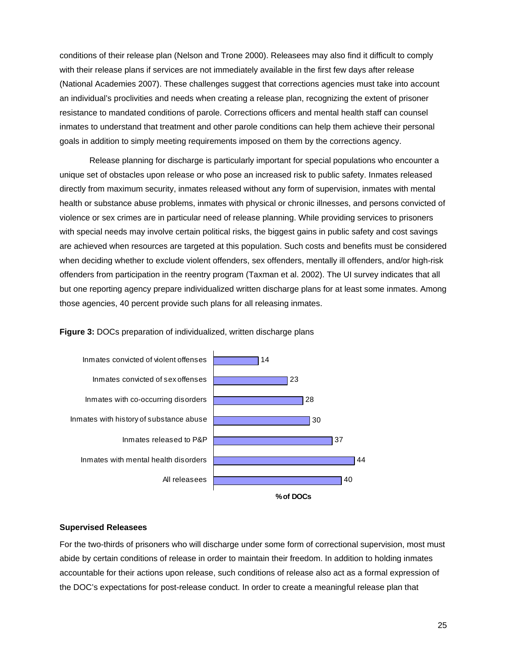conditions of their release plan (Nelson and Trone 2000). Releasees may also find it difficult to comply with their release plans if services are not immediately available in the first few days after release (National Academies 2007). These challenges suggest that corrections agencies must take into account an individual's proclivities and needs when creating a release plan, recognizing the extent of prisoner resistance to mandated conditions of parole. Corrections officers and mental health staff can counsel inmates to understand that treatment and other parole conditions can help them achieve their personal goals in addition to simply meeting requirements imposed on them by the corrections agency.

Release planning for discharge is particularly important for special populations who encounter a unique set of obstacles upon release or who pose an increased risk to public safety. Inmates released directly from maximum security, inmates released without any form of supervision, inmates with mental health or substance abuse problems, inmates with physical or chronic illnesses, and persons convicted of violence or sex crimes are in particular need of release planning. While providing services to prisoners with special needs may involve certain political risks, the biggest gains in public safety and cost savings are achieved when resources are targeted at this population. Such costs and benefits must be considered when deciding whether to exclude violent offenders, sex offenders, mentally ill offenders, and/or high-risk offenders from participation in the reentry program (Taxman et al. 2002). The UI survey indicates that all but one reporting agency prepare individualized written discharge plans for at least some inmates. Among those agencies, 40 percent provide such plans for all releasing inmates.





#### **Supervised Releasees**

For the two-thirds of prisoners who will discharge under some form of correctional supervision, most must abide by certain conditions of release in order to maintain their freedom. In addition to holding inmates accountable for their actions upon release, such conditions of release also act as a formal expression of the DOC's expectations for post-release conduct. In order to create a meaningful release plan that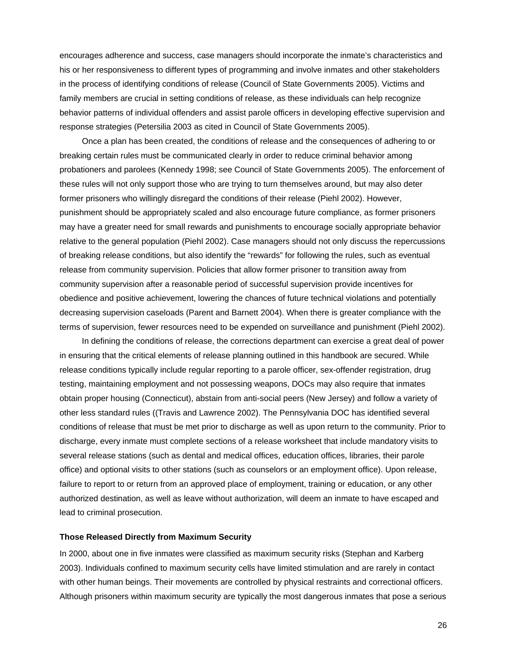encourages adherence and success, case managers should incorporate the inmate's characteristics and his or her responsiveness to different types of programming and involve inmates and other stakeholders in the process of identifying conditions of release (Council of State Governments 2005). Victims and family members are crucial in setting conditions of release, as these individuals can help recognize behavior patterns of individual offenders and assist parole officers in developing effective supervision and response strategies (Petersilia 2003 as cited in Council of State Governments 2005).

Once a plan has been created, the conditions of release and the consequences of adhering to or breaking certain rules must be communicated clearly in order to reduce criminal behavior among probationers and parolees (Kennedy 1998; see Council of State Governments 2005). The enforcement of these rules will not only support those who are trying to turn themselves around, but may also deter former prisoners who willingly disregard the conditions of their release (Piehl 2002). However, punishment should be appropriately scaled and also encourage future compliance, as former prisoners may have a greater need for small rewards and punishments to encourage socially appropriate behavior relative to the general population (Piehl 2002). Case managers should not only discuss the repercussions of breaking release conditions, but also identify the "rewards" for following the rules, such as eventual release from community supervision. Policies that allow former prisoner to transition away from community supervision after a reasonable period of successful supervision provide incentives for obedience and positive achievement, lowering the chances of future technical violations and potentially decreasing supervision caseloads (Parent and Barnett 2004). When there is greater compliance with the terms of supervision, fewer resources need to be expended on surveillance and punishment (Piehl 2002).

In defining the conditions of release, the corrections department can exercise a great deal of power in ensuring that the critical elements of release planning outlined in this handbook are secured. While release conditions typically include regular reporting to a parole officer, sex-offender registration, drug testing, maintaining employment and not possessing weapons, DOCs may also require that inmates obtain proper housing (Connecticut), abstain from anti-social peers (New Jersey) and follow a variety of other less standard rules ((Travis and Lawrence 2002). The Pennsylvania DOC has identified several conditions of release that must be met prior to discharge as well as upon return to the community. Prior to discharge, every inmate must complete sections of a release worksheet that include mandatory visits to several release stations (such as dental and medical offices, education offices, libraries, their parole office) and optional visits to other stations (such as counselors or an employment office). Upon release, failure to report to or return from an approved place of employment, training or education, or any other authorized destination, as well as leave without authorization, will deem an inmate to have escaped and lead to criminal prosecution.

#### **Those Released Directly from Maximum Security**

In 2000, about one in five inmates were classified as maximum security risks (Stephan and Karberg 2003). Individuals confined to maximum security cells have limited stimulation and are rarely in contact with other human beings. Their movements are controlled by physical restraints and correctional officers. Although prisoners within maximum security are typically the most dangerous inmates that pose a serious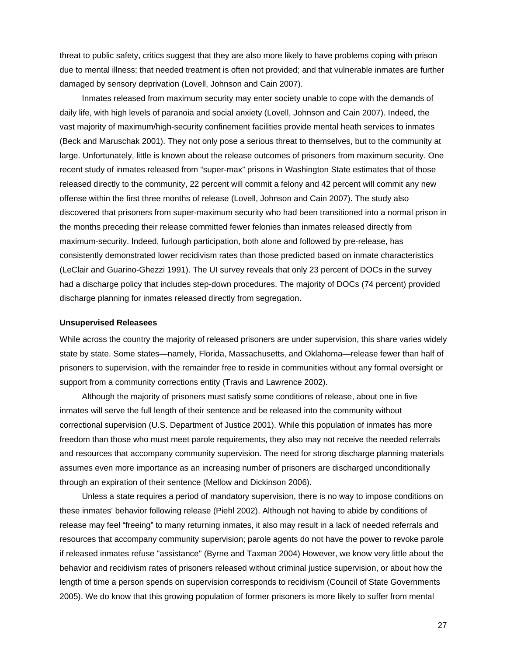threat to public safety, critics suggest that they are also more likely to have problems coping with prison due to mental illness; that needed treatment is often not provided; and that vulnerable inmates are further damaged by sensory deprivation (Lovell, Johnson and Cain 2007).

Inmates released from maximum security may enter society unable to cope with the demands of daily life, with high levels of paranoia and social anxiety (Lovell, Johnson and Cain 2007). Indeed, the vast majority of maximum/high-security confinement facilities provide mental heath services to inmates (Beck and Maruschak 2001). They not only pose a serious threat to themselves, but to the community at large. Unfortunately, little is known about the release outcomes of prisoners from maximum security. One recent study of inmates released from "super-max" prisons in Washington State estimates that of those released directly to the community, 22 percent will commit a felony and 42 percent will commit any new offense within the first three months of release (Lovell, Johnson and Cain 2007). The study also discovered that prisoners from super-maximum security who had been transitioned into a normal prison in the months preceding their release committed fewer felonies than inmates released directly from maximum-security. Indeed, furlough participation, both alone and followed by pre-release, has consistently demonstrated lower recidivism rates than those predicted based on inmate characteristics (LeClair and Guarino-Ghezzi 1991). The UI survey reveals that only 23 percent of DOCs in the survey had a discharge policy that includes step-down procedures. The majority of DOCs (74 percent) provided discharge planning for inmates released directly from segregation.

#### **Unsupervised Releasees**

While across the country the majority of released prisoners are under supervision, this share varies widely state by state. Some states—namely, Florida, Massachusetts, and Oklahoma—release fewer than half of prisoners to supervision, with the remainder free to reside in communities without any formal oversight or support from a community corrections entity (Travis and Lawrence 2002).

Although the majority of prisoners must satisfy some conditions of release, about one in five inmates will serve the full length of their sentence and be released into the community without correctional supervision (U.S. Department of Justice 2001). While this population of inmates has more freedom than those who must meet parole requirements, they also may not receive the needed referrals and resources that accompany community supervision. The need for strong discharge planning materials assumes even more importance as an increasing number of prisoners are discharged unconditionally through an expiration of their sentence (Mellow and Dickinson 2006).

Unless a state requires a period of mandatory supervision, there is no way to impose conditions on these inmates' behavior following release (Piehl 2002). Although not having to abide by conditions of release may feel "freeing" to many returning inmates, it also may result in a lack of needed referrals and resources that accompany community supervision; parole agents do not have the power to revoke parole if released inmates refuse "assistance" (Byrne and Taxman 2004) However, we know very little about the behavior and recidivism rates of prisoners released without criminal justice supervision, or about how the length of time a person spends on supervision corresponds to recidivism (Council of State Governments 2005). We do know that this growing population of former prisoners is more likely to suffer from mental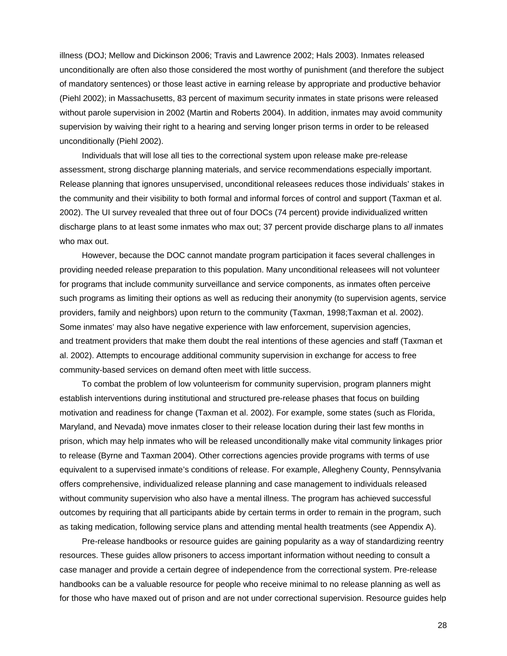illness (DOJ; Mellow and Dickinson 2006; Travis and Lawrence 2002; Hals 2003). Inmates released unconditionally are often also those considered the most worthy of punishment (and therefore the subject of mandatory sentences) or those least active in earning release by appropriate and productive behavior (Piehl 2002); in Massachusetts, 83 percent of maximum security inmates in state prisons were released without parole supervision in 2002 (Martin and Roberts 2004). In addition, inmates may avoid community supervision by waiving their right to a hearing and serving longer prison terms in order to be released unconditionally (Piehl 2002).

Individuals that will lose all ties to the correctional system upon release make pre-release assessment, strong discharge planning materials, and service recommendations especially important. Release planning that ignores unsupervised, unconditional releasees reduces those individuals' stakes in the community and their visibility to both formal and informal forces of control and support (Taxman et al. 2002). The UI survey revealed that three out of four DOCs (74 percent) provide individualized written discharge plans to at least some inmates who max out; 37 percent provide discharge plans to *all* inmates who max out.

However, because the DOC cannot mandate program participation it faces several challenges in providing needed release preparation to this population. Many unconditional releasees will not volunteer for programs that include community surveillance and service components, as inmates often perceive such programs as limiting their options as well as reducing their anonymity (to supervision agents, service providers, family and neighbors) upon return to the community (Taxman, 1998;Taxman et al. 2002). Some inmates' may also have negative experience with law enforcement, supervision agencies, and treatment providers that make them doubt the real intentions of these agencies and staff (Taxman et al. 2002). Attempts to encourage additional community supervision in exchange for access to free community-based services on demand often meet with little success.

To combat the problem of low volunteerism for community supervision, program planners might establish interventions during institutional and structured pre-release phases that focus on building motivation and readiness for change (Taxman et al. 2002). For example, some states (such as Florida, Maryland, and Nevada) move inmates closer to their release location during their last few months in prison, which may help inmates who will be released unconditionally make vital community linkages prior to release (Byrne and Taxman 2004). Other corrections agencies provide programs with terms of use equivalent to a supervised inmate's conditions of release. For example, Allegheny County, Pennsylvania offers comprehensive, individualized release planning and case management to individuals released without community supervision who also have a mental illness. The program has achieved successful outcomes by requiring that all participants abide by certain terms in order to remain in the program, such as taking medication, following service plans and attending mental health treatments (see Appendix A).

Pre-release handbooks or resource guides are gaining popularity as a way of standardizing reentry resources. These guides allow prisoners to access important information without needing to consult a case manager and provide a certain degree of independence from the correctional system. Pre-release handbooks can be a valuable resource for people who receive minimal to no release planning as well as for those who have maxed out of prison and are not under correctional supervision. Resource guides help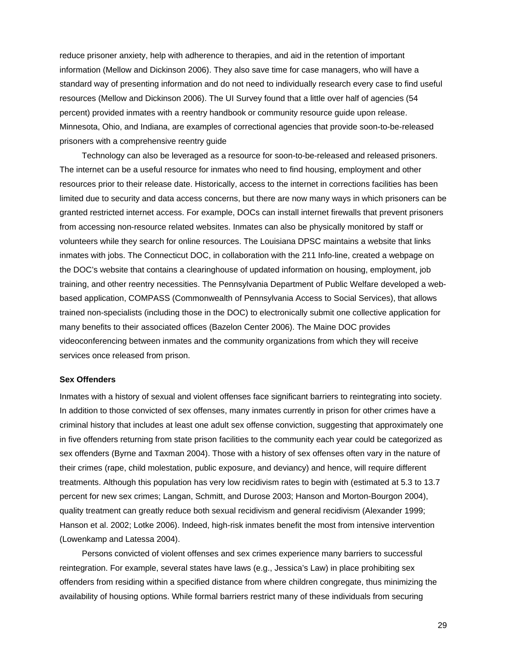reduce prisoner anxiety, help with adherence to therapies, and aid in the retention of important information (Mellow and Dickinson 2006). They also save time for case managers, who will have a standard way of presenting information and do not need to individually research every case to find useful resources (Mellow and Dickinson 2006). The UI Survey found that a little over half of agencies (54 percent) provided inmates with a reentry handbook or community resource guide upon release. Minnesota, Ohio, and Indiana, are examples of correctional agencies that provide soon-to-be-released prisoners with a comprehensive reentry guide

Technology can also be leveraged as a resource for soon-to-be-released and released prisoners. The internet can be a useful resource for inmates who need to find housing, employment and other resources prior to their release date. Historically, access to the internet in corrections facilities has been limited due to security and data access concerns, but there are now many ways in which prisoners can be granted restricted internet access. For example, DOCs can install internet firewalls that prevent prisoners from accessing non-resource related websites. Inmates can also be physically monitored by staff or volunteers while they search for online resources. The Louisiana DPSC maintains a website that links inmates with jobs. The Connecticut DOC, in collaboration with the 211 Info-line, created a webpage on the DOC's website that contains a clearinghouse of updated information on housing, employment, job training, and other reentry necessities. The Pennsylvania Department of Public Welfare developed a webbased application, COMPASS (Commonwealth of Pennsylvania Access to Social Services), that allows trained non-specialists (including those in the DOC) to electronically submit one collective application for many benefits to their associated offices (Bazelon Center 2006). The Maine DOC provides videoconferencing between inmates and the community organizations from which they will receive services once released from prison.

#### **Sex Offenders**

Inmates with a history of sexual and violent offenses face significant barriers to reintegrating into society. In addition to those convicted of sex offenses, many inmates currently in prison for other crimes have a criminal history that includes at least one adult sex offense conviction, suggesting that approximately one in five offenders returning from state prison facilities to the community each year could be categorized as sex offenders (Byrne and Taxman 2004). Those with a history of sex offenses often vary in the nature of their crimes (rape, child molestation, public exposure, and deviancy) and hence, will require different treatments. Although this population has very low recidivism rates to begin with (estimated at 5.3 to 13.7 percent for new sex crimes; Langan, Schmitt, and Durose 2003; Hanson and Morton-Bourgon 2004), quality treatment can greatly reduce both sexual recidivism and general recidivism (Alexander 1999; Hanson et al. 2002; Lotke 2006). Indeed, high-risk inmates benefit the most from intensive intervention (Lowenkamp and Latessa 2004).

Persons convicted of violent offenses and sex crimes experience many barriers to successful reintegration. For example, several states have laws (e.g., Jessica's Law) in place prohibiting sex offenders from residing within a specified distance from where children congregate, thus minimizing the availability of housing options. While formal barriers restrict many of these individuals from securing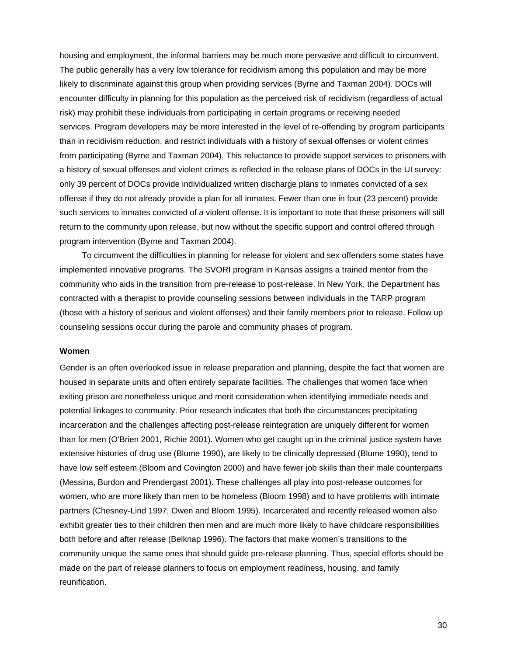housing and employment, the informal barriers may be much more pervasive and difficult to circumvent. The public generally has a very low tolerance for recidivism among this population and may be more likely to discriminate against this group when providing services (Byrne and Taxman 2004). DOCs will encounter difficulty in planning for this population as the perceived risk of recidivism (regardless of actual risk) may prohibit these individuals from participating in certain programs or receiving needed services. Program developers may be more interested in the level of re-offending by program participants than in recidivism reduction, and restrict individuals with a history of sexual offenses or violent crimes from participating (Byrne and Taxman 2004). This reluctance to provide support services to prisoners with a history of sexual offenses and violent crimes is reflected in the release plans of DOCs in the UI survey: only 39 percent of DOCs provide individualized written discharge plans to inmates convicted of a sex offense if they do not already provide a plan for all inmates. Fewer than one in four (23 percent) provide such services to inmates convicted of a violent offense. It is important to note that these prisoners will still return to the community upon release, but now without the specific support and control offered through program intervention (Byrne and Taxman 2004).

To circumvent the difficulties in planning for release for violent and sex offenders some states have implemented innovative programs. The SVORI program in Kansas assigns a trained mentor from the community who aids in the transition from pre-release to post-release. In New York, the Department has contracted with a therapist to provide counseling sessions between individuals in the TARP program (those with a history of serious and violent offenses) and their family members prior to release. Follow up counseling sessions occur during the parole and community phases of program.

#### **Women**

Gender is an often overlooked issue in release preparation and planning, despite the fact that women are housed in separate units and often entirely separate facilities. The challenges that women face when exiting prison are nonetheless unique and merit consideration when identifying immediate needs and potential linkages to community. Prior research indicates that both the circumstances precipitating incarceration and the challenges affecting post-release reintegration are uniquely different for women than for men (O'Brien 2001, Richie 2001). Women who get caught up in the criminal justice system have extensive histories of drug use (Blume 1990), are likely to be clinically depressed (Blume 1990), tend to have low self esteem (Bloom and Covington 2000) and have fewer job skills than their male counterparts (Messina, Burdon and Prendergast 2001). These challenges all play into post-release outcomes for women, who are more likely than men to be homeless (Bloom 1998) and to have problems with intimate partners (Chesney-Lind 1997, Owen and Bloom 1995). Incarcerated and recently released women also exhibit greater ties to their children then men and are much more likely to have childcare responsibilities both before and after release (Belknap 1996). The factors that make women's transitions to the community unique the same ones that should guide pre-release planning. Thus, special efforts should be made on the part of release planners to focus on employment readiness, housing, and family reunification.

30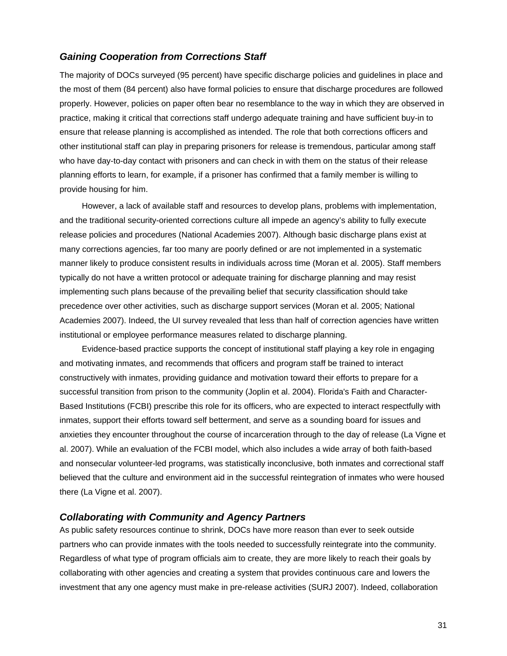# *Gaining Cooperation from Corrections Staff*

The majority of DOCs surveyed (95 percent) have specific discharge policies and guidelines in place and the most of them (84 percent) also have formal policies to ensure that discharge procedures are followed properly. However, policies on paper often bear no resemblance to the way in which they are observed in practice, making it critical that corrections staff undergo adequate training and have sufficient buy-in to ensure that release planning is accomplished as intended. The role that both corrections officers and other institutional staff can play in preparing prisoners for release is tremendous, particular among staff who have day-to-day contact with prisoners and can check in with them on the status of their release planning efforts to learn, for example, if a prisoner has confirmed that a family member is willing to provide housing for him.

However, a lack of available staff and resources to develop plans, problems with implementation, and the traditional security-oriented corrections culture all impede an agency's ability to fully execute release policies and procedures (National Academies 2007). Although basic discharge plans exist at many corrections agencies, far too many are poorly defined or are not implemented in a systematic manner likely to produce consistent results in individuals across time (Moran et al. 2005). Staff members typically do not have a written protocol or adequate training for discharge planning and may resist implementing such plans because of the prevailing belief that security classification should take precedence over other activities, such as discharge support services (Moran et al. 2005; National Academies 2007). Indeed, the UI survey revealed that less than half of correction agencies have written institutional or employee performance measures related to discharge planning.

Evidence-based practice supports the concept of institutional staff playing a key role in engaging and motivating inmates, and recommends that officers and program staff be trained to interact constructively with inmates, providing guidance and motivation toward their efforts to prepare for a successful transition from prison to the community (Joplin et al. 2004). Florida's Faith and Character-Based Institutions (FCBI) prescribe this role for its officers, who are expected to interact respectfully with inmates, support their efforts toward self betterment, and serve as a sounding board for issues and anxieties they encounter throughout the course of incarceration through to the day of release (La Vigne et al. 2007). While an evaluation of the FCBI model, which also includes a wide array of both faith-based and nonsecular volunteer-led programs, was statistically inconclusive, both inmates and correctional staff believed that the culture and environment aid in the successful reintegration of inmates who were housed there (La Vigne et al. 2007).

# *Collaborating with Community and Agency Partners*

As public safety resources continue to shrink, DOCs have more reason than ever to seek outside partners who can provide inmates with the tools needed to successfully reintegrate into the community. Regardless of what type of program officials aim to create, they are more likely to reach their goals by collaborating with other agencies and creating a system that provides continuous care and lowers the investment that any one agency must make in pre-release activities (SURJ 2007). Indeed, collaboration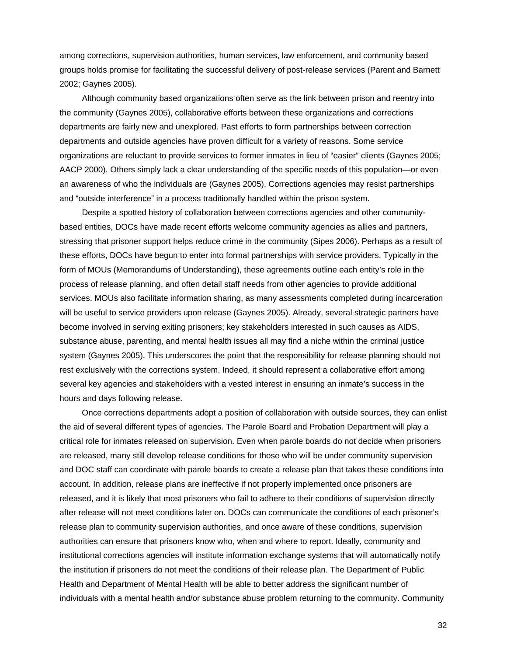among corrections, supervision authorities, human services, law enforcement, and community based groups holds promise for facilitating the successful delivery of post-release services (Parent and Barnett 2002; Gaynes 2005).

Although community based organizations often serve as the link between prison and reentry into the community (Gaynes 2005), collaborative efforts between these organizations and corrections departments are fairly new and unexplored. Past efforts to form partnerships between correction departments and outside agencies have proven difficult for a variety of reasons. Some service organizations are reluctant to provide services to former inmates in lieu of "easier" clients (Gaynes 2005; AACP 2000). Others simply lack a clear understanding of the specific needs of this population—or even an awareness of who the individuals are (Gaynes 2005). Corrections agencies may resist partnerships and "outside interference" in a process traditionally handled within the prison system.

Despite a spotted history of collaboration between corrections agencies and other communitybased entities, DOCs have made recent efforts welcome community agencies as allies and partners, stressing that prisoner support helps reduce crime in the community (Sipes 2006). Perhaps as a result of these efforts, DOCs have begun to enter into formal partnerships with service providers. Typically in the form of MOUs (Memorandums of Understanding), these agreements outline each entity's role in the process of release planning, and often detail staff needs from other agencies to provide additional services. MOUs also facilitate information sharing, as many assessments completed during incarceration will be useful to service providers upon release (Gaynes 2005). Already, several strategic partners have become involved in serving exiting prisoners; key stakeholders interested in such causes as AIDS, substance abuse, parenting, and mental health issues all may find a niche within the criminal justice system (Gaynes 2005). This underscores the point that the responsibility for release planning should not rest exclusively with the corrections system. Indeed, it should represent a collaborative effort among several key agencies and stakeholders with a vested interest in ensuring an inmate's success in the hours and days following release.

Once corrections departments adopt a position of collaboration with outside sources, they can enlist the aid of several different types of agencies. The Parole Board and Probation Department will play a critical role for inmates released on supervision. Even when parole boards do not decide when prisoners are released, many still develop release conditions for those who will be under community supervision and DOC staff can coordinate with parole boards to create a release plan that takes these conditions into account. In addition, release plans are ineffective if not properly implemented once prisoners are released, and it is likely that most prisoners who fail to adhere to their conditions of supervision directly after release will not meet conditions later on. DOCs can communicate the conditions of each prisoner's release plan to community supervision authorities, and once aware of these conditions, supervision authorities can ensure that prisoners know who, when and where to report. Ideally, community and institutional corrections agencies will institute information exchange systems that will automatically notify the institution if prisoners do not meet the conditions of their release plan. The Department of Public Health and Department of Mental Health will be able to better address the significant number of individuals with a mental health and/or substance abuse problem returning to the community. Community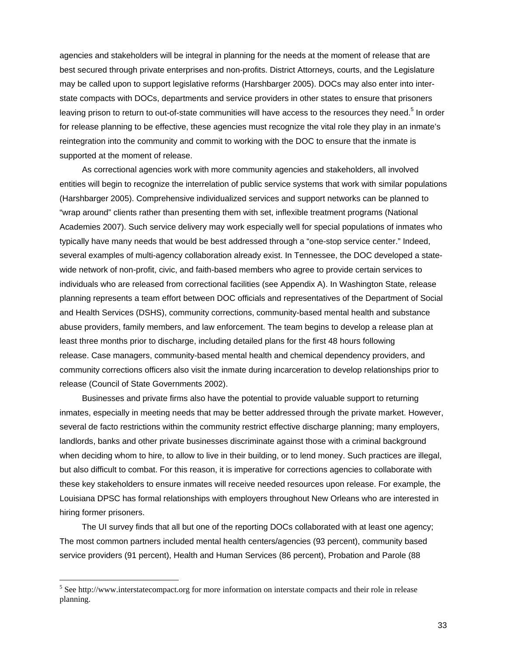agencies and stakeholders will be integral in planning for the needs at the moment of release that are best secured through private enterprises and non-profits. District Attorneys, courts, and the Legislature may be called upon to support legislative reforms (Harshbarger 2005). DOCs may also enter into interstate compacts with DOCs, departments and service providers in other states to ensure that prisoners leaving prison to return to out-of-state communities will have access to the resources they need.<sup>5</sup> In order for release planning to be effective, these agencies must recognize the vital role they play in an inmate's reintegration into the community and commit to working with the DOC to ensure that the inmate is supported at the moment of release.

As correctional agencies work with more community agencies and stakeholders, all involved entities will begin to recognize the interrelation of public service systems that work with similar populations (Harshbarger 2005). Comprehensive individualized services and support networks can be planned to "wrap around" clients rather than presenting them with set, inflexible treatment programs (National Academies 2007). Such service delivery may work especially well for special populations of inmates who typically have many needs that would be best addressed through a "one-stop service center." Indeed, several examples of multi-agency collaboration already exist. In Tennessee, the DOC developed a statewide network of non-profit, civic, and faith-based members who agree to provide certain services to individuals who are released from correctional facilities (see Appendix A). In Washington State, release planning represents a team effort between DOC officials and representatives of the Department of Social and Health Services (DSHS), community corrections, community-based mental health and substance abuse providers, family members, and law enforcement. The team begins to develop a release plan at least three months prior to discharge, including detailed plans for the first 48 hours following release. Case managers, community-based mental health and chemical dependency providers, and community corrections officers also visit the inmate during incarceration to develop relationships prior to release (Council of State Governments 2002).

Businesses and private firms also have the potential to provide valuable support to returning inmates, especially in meeting needs that may be better addressed through the private market. However, several de facto restrictions within the community restrict effective discharge planning; many employers, landlords, banks and other private businesses discriminate against those with a criminal background when deciding whom to hire, to allow to live in their building, or to lend money. Such practices are illegal, but also difficult to combat. For this reason, it is imperative for corrections agencies to collaborate with these key stakeholders to ensure inmates will receive needed resources upon release. For example, the Louisiana DPSC has formal relationships with employers throughout New Orleans who are interested in hiring former prisoners.

The UI survey finds that all but one of the reporting DOCs collaborated with at least one agency; The most common partners included mental health centers/agencies (93 percent), community based service providers (91 percent), Health and Human Services (86 percent), Probation and Parole (88

 $\overline{a}$ 

<sup>&</sup>lt;sup>5</sup> See http://www.interstatecompact.org for more information on interstate compacts and their role in release planning.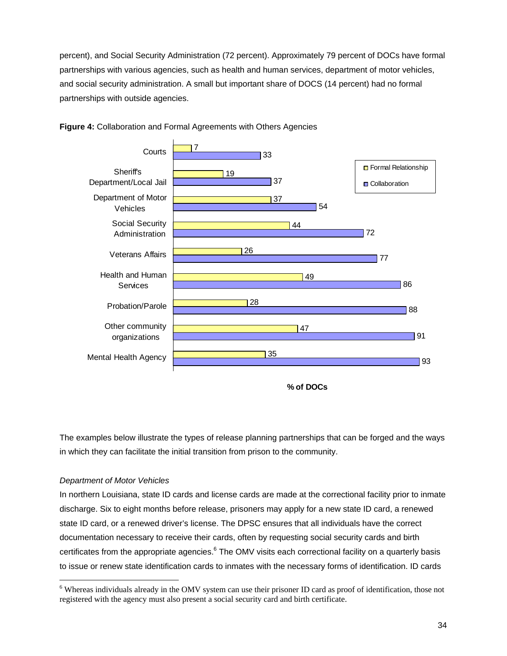percent), and Social Security Administration (72 percent). Approximately 79 percent of DOCs have formal partnerships with various agencies, such as health and human services, department of motor vehicles, and social security administration. A small but important share of DOCS (14 percent) had no formal partnerships with outside agencies.





The examples below illustrate the types of release planning partnerships that can be forged and the ways in which they can facilitate the initial transition from prison to the community.

#### *Department of Motor Vehicles*

 $\overline{a}$ 

In northern Louisiana, state ID cards and license cards are made at the correctional facility prior to inmate discharge. Six to eight months before release, prisoners may apply for a new state ID card, a renewed state ID card, or a renewed driver's license. The DPSC ensures that all individuals have the correct documentation necessary to receive their cards, often by requesting social security cards and birth certificates from the appropriate agencies.<sup>6</sup> The OMV visits each correctional facility on a quarterly basis to issue or renew state identification cards to inmates with the necessary forms of identification. ID cards

**<sup>%</sup> of DOCs**

<sup>&</sup>lt;sup>6</sup> Whereas individuals already in the OMV system can use their prisoner ID card as proof of identification, those not registered with the agency must also present a social security card and birth certificate.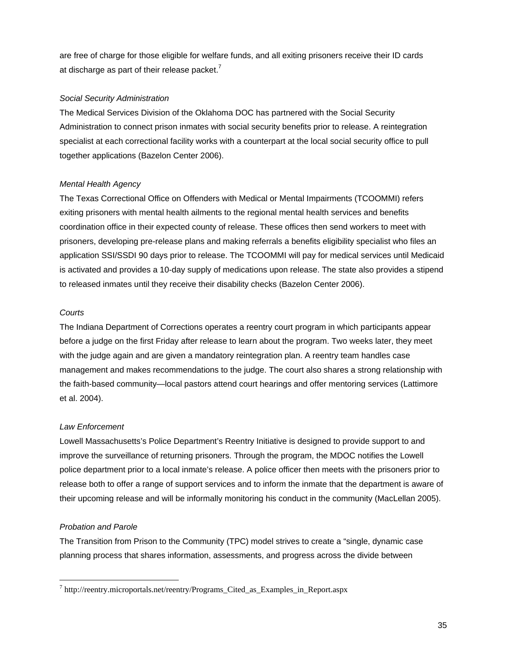are free of charge for those eligible for welfare funds, and all exiting prisoners receive their ID cards at discharge as part of their release packet. $<sup>7</sup>$ </sup>

#### *Social Security Administration*

The Medical Services Division of the Oklahoma DOC has partnered with the Social Security Administration to connect prison inmates with social security benefits prior to release. A reintegration specialist at each correctional facility works with a counterpart at the local social security office to pull together applications (Bazelon Center 2006).

#### *Mental Health Agency*

The Texas Correctional Office on Offenders with Medical or Mental Impairments (TCOOMMI) refers exiting prisoners with mental health ailments to the regional mental health services and benefits coordination office in their expected county of release. These offices then send workers to meet with prisoners, developing pre-release plans and making referrals a benefits eligibility specialist who files an application SSI/SSDI 90 days prior to release. The TCOOMMI will pay for medical services until Medicaid is activated and provides a 10-day supply of medications upon release. The state also provides a stipend to released inmates until they receive their disability checks (Bazelon Center 2006).

#### *Courts*

The Indiana Department of Corrections operates a reentry court program in which participants appear before a judge on the first Friday after release to learn about the program. Two weeks later, they meet with the judge again and are given a mandatory reintegration plan. A reentry team handles case management and makes recommendations to the judge. The court also shares a strong relationship with the faith-based community—local pastors attend court hearings and offer mentoring services (Lattimore et al. 2004).

#### *Law Enforcement*

Lowell Massachusetts's Police Department's Reentry Initiative is designed to provide support to and improve the surveillance of returning prisoners. Through the program, the MDOC notifies the Lowell police department prior to a local inmate's release. A police officer then meets with the prisoners prior to release both to offer a range of support services and to inform the inmate that the department is aware of their upcoming release and will be informally monitoring his conduct in the community (MacLellan 2005).

#### *Probation and Parole*

 $\overline{a}$ 

The Transition from Prison to the Community (TPC) model strives to create a "single, dynamic case planning process that shares information, assessments, and progress across the divide between

<sup>&</sup>lt;sup>7</sup> http://reentry.microportals.net/reentry/Programs\_Cited\_as\_Examples\_in\_Report.aspx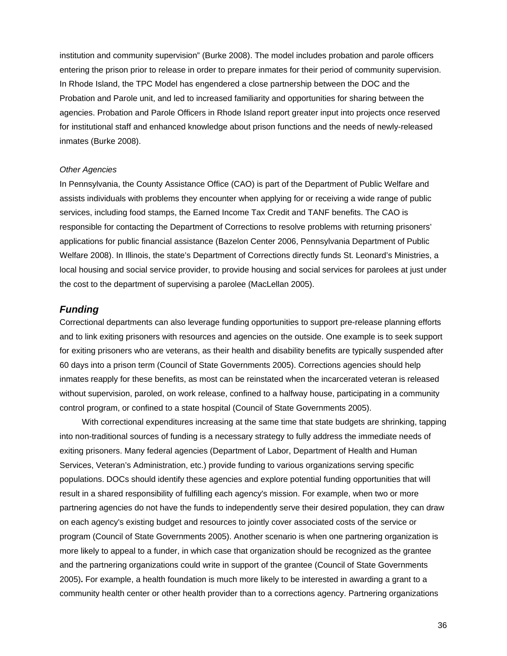institution and community supervision" (Burke 2008). The model includes probation and parole officers entering the prison prior to release in order to prepare inmates for their period of community supervision. In Rhode Island, the TPC Model has engendered a close partnership between the DOC and the Probation and Parole unit, and led to increased familiarity and opportunities for sharing between the agencies. Probation and Parole Officers in Rhode Island report greater input into projects once reserved for institutional staff and enhanced knowledge about prison functions and the needs of newly-released inmates (Burke 2008).

#### *Other Agencies*

In Pennsylvania, the County Assistance Office (CAO) is part of the Department of Public Welfare and assists individuals with problems they encounter when applying for or receiving a wide range of public services, including food stamps, the Earned Income Tax Credit and TANF benefits. The CAO is responsible for contacting the Department of Corrections to resolve problems with returning prisoners' applications for public financial assistance (Bazelon Center 2006, Pennsylvania Department of Public Welfare 2008). In Illinois, the state's Department of Corrections directly funds St. Leonard's Ministries, a local housing and social service provider, to provide housing and social services for parolees at just under the cost to the department of supervising a parolee (MacLellan 2005).

#### *Funding*

Correctional departments can also leverage funding opportunities to support pre-release planning efforts and to link exiting prisoners with resources and agencies on the outside. One example is to seek support for exiting prisoners who are veterans, as their health and disability benefits are typically suspended after 60 days into a prison term (Council of State Governments 2005). Corrections agencies should help inmates reapply for these benefits, as most can be reinstated when the incarcerated veteran is released without supervision, paroled, on work release, confined to a halfway house, participating in a community control program, or confined to a state hospital (Council of State Governments 2005).

With correctional expenditures increasing at the same time that state budgets are shrinking, tapping into non-traditional sources of funding is a necessary strategy to fully address the immediate needs of exiting prisoners. Many federal agencies (Department of Labor, Department of Health and Human Services, Veteran's Administration, etc.) provide funding to various organizations serving specific populations. DOCs should identify these agencies and explore potential funding opportunities that will result in a shared responsibility of fulfilling each agency's mission. For example, when two or more partnering agencies do not have the funds to independently serve their desired population, they can draw on each agency's existing budget and resources to jointly cover associated costs of the service or program (Council of State Governments 2005). Another scenario is when one partnering organization is more likely to appeal to a funder, in which case that organization should be recognized as the grantee and the partnering organizations could write in support of the grantee (Council of State Governments 2005)**.** For example, a health foundation is much more likely to be interested in awarding a grant to a community health center or other health provider than to a corrections agency. Partnering organizations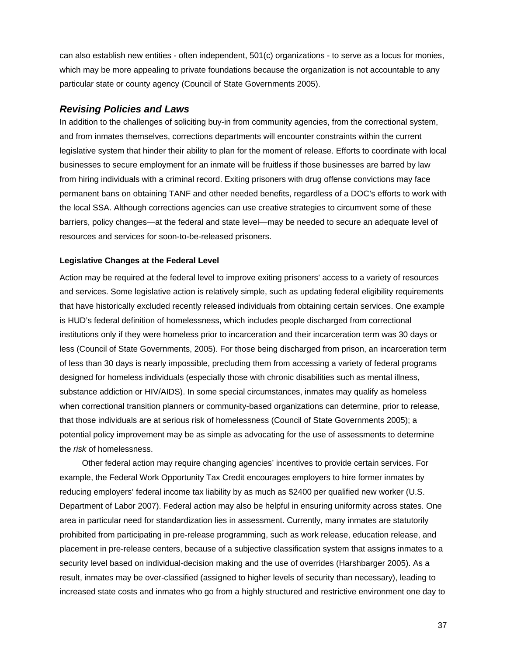can also establish new entities - often independent, 501(c) organizations - to serve as a locus for monies, which may be more appealing to private foundations because the organization is not accountable to any particular state or county agency (Council of State Governments 2005).

#### *Revising Policies and Laws*

In addition to the challenges of soliciting buy-in from community agencies, from the correctional system, and from inmates themselves, corrections departments will encounter constraints within the current legislative system that hinder their ability to plan for the moment of release. Efforts to coordinate with local businesses to secure employment for an inmate will be fruitless if those businesses are barred by law from hiring individuals with a criminal record. Exiting prisoners with drug offense convictions may face permanent bans on obtaining TANF and other needed benefits, regardless of a DOC's efforts to work with the local SSA. Although corrections agencies can use creative strategies to circumvent some of these barriers, policy changes—at the federal and state level—may be needed to secure an adequate level of resources and services for soon-to-be-released prisoners.

#### **Legislative Changes at the Federal Level**

Action may be required at the federal level to improve exiting prisoners' access to a variety of resources and services. Some legislative action is relatively simple, such as updating federal eligibility requirements that have historically excluded recently released individuals from obtaining certain services. One example is HUD's federal definition of homelessness, which includes people discharged from correctional institutions only if they were homeless prior to incarceration and their incarceration term was 30 days or less (Council of State Governments, 2005). For those being discharged from prison, an incarceration term of less than 30 days is nearly impossible, precluding them from accessing a variety of federal programs designed for homeless individuals (especially those with chronic disabilities such as mental illness, substance addiction or HIV/AIDS). In some special circumstances, inmates may qualify as homeless when correctional transition planners or community-based organizations can determine, prior to release, that those individuals are at serious risk of homelessness (Council of State Governments 2005); a potential policy improvement may be as simple as advocating for the use of assessments to determine the *risk* of homelessness.

Other federal action may require changing agencies' incentives to provide certain services. For example, the Federal Work Opportunity Tax Credit encourages employers to hire former inmates by reducing employers' federal income tax liability by as much as \$2400 per qualified new worker (U.S. Department of Labor 2007). Federal action may also be helpful in ensuring uniformity across states. One area in particular need for standardization lies in assessment. Currently, many inmates are statutorily prohibited from participating in pre-release programming, such as work release, education release, and placement in pre-release centers, because of a subjective classification system that assigns inmates to a security level based on individual-decision making and the use of overrides (Harshbarger 2005). As a result, inmates may be over-classified (assigned to higher levels of security than necessary), leading to increased state costs and inmates who go from a highly structured and restrictive environment one day to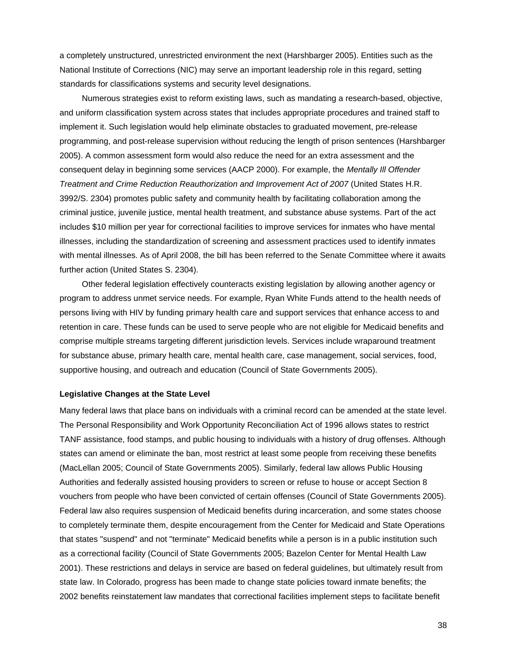a completely unstructured, unrestricted environment the next (Harshbarger 2005). Entities such as the National Institute of Corrections (NIC) may serve an important leadership role in this regard, setting standards for classifications systems and security level designations.

Numerous strategies exist to reform existing laws, such as mandating a research-based, objective, and uniform classification system across states that includes appropriate procedures and trained staff to implement it. Such legislation would help eliminate obstacles to graduated movement, pre-release programming, and post-release supervision without reducing the length of prison sentences (Harshbarger 2005). A common assessment form would also reduce the need for an extra assessment and the consequent delay in beginning some services (AACP 2000). For example, the *Mentally Ill Offender Treatment and Crime Reduction Reauthorization and Improvement Act of 2007* (United States H.R. 3992/S. 2304) promotes public safety and community health by facilitating collaboration among the criminal justice, juvenile justice, mental health treatment, and substance abuse systems. Part of the act includes \$10 million per year for correctional facilities to improve services for inmates who have mental illnesses, including the standardization of screening and assessment practices used to identify inmates with mental illnesses. As of April 2008, the bill has been referred to the Senate Committee where it awaits further action (United States S. 2304).

Other federal legislation effectively counteracts existing legislation by allowing another agency or program to address unmet service needs. For example, Ryan White Funds attend to the health needs of persons living with HIV by funding primary health care and support services that enhance access to and retention in care. These funds can be used to serve people who are not eligible for Medicaid benefits and comprise multiple streams targeting different jurisdiction levels. Services include wraparound treatment for substance abuse, primary health care, mental health care, case management, social services, food, supportive housing, and outreach and education (Council of State Governments 2005).

#### **Legislative Changes at the State Level**

Many federal laws that place bans on individuals with a criminal record can be amended at the state level. The Personal Responsibility and Work Opportunity Reconciliation Act of 1996 allows states to restrict TANF assistance, food stamps, and public housing to individuals with a history of drug offenses. Although states can amend or eliminate the ban, most restrict at least some people from receiving these benefits (MacLellan 2005; Council of State Governments 2005). Similarly, federal law allows Public Housing Authorities and federally assisted housing providers to screen or refuse to house or accept Section 8 vouchers from people who have been convicted of certain offenses (Council of State Governments 2005). Federal law also requires suspension of Medicaid benefits during incarceration, and some states choose to completely terminate them, despite encouragement from the Center for Medicaid and State Operations that states "suspend" and not "terminate" Medicaid benefits while a person is in a public institution such as a correctional facility (Council of State Governments 2005; Bazelon Center for Mental Health Law 2001). These restrictions and delays in service are based on federal guidelines, but ultimately result from state law. In Colorado, progress has been made to change state policies toward inmate benefits; the 2002 benefits reinstatement law mandates that correctional facilities implement steps to facilitate benefit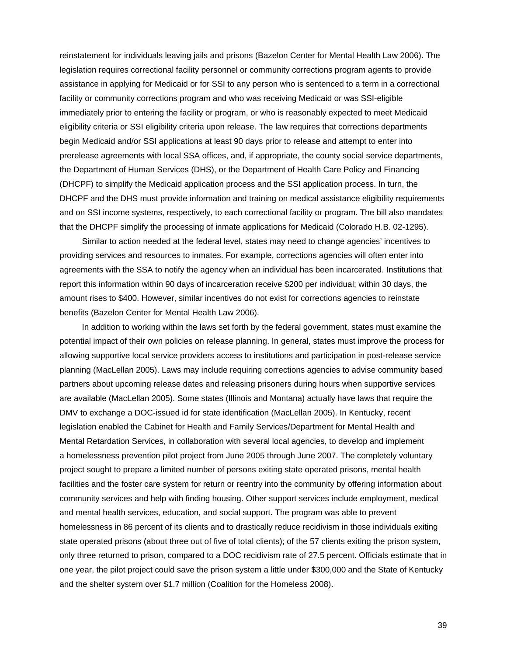reinstatement for individuals leaving jails and prisons (Bazelon Center for Mental Health Law 2006). The legislation requires correctional facility personnel or community corrections program agents to provide assistance in applying for Medicaid or for SSI to any person who is sentenced to a term in a correctional facility or community corrections program and who was receiving Medicaid or was SSI-eligible immediately prior to entering the facility or program, or who is reasonably expected to meet Medicaid eligibility criteria or SSI eligibility criteria upon release. The law requires that corrections departments begin Medicaid and/or SSI applications at least 90 days prior to release and attempt to enter into prerelease agreements with local SSA offices, and, if appropriate, the county social service departments, the Department of Human Services (DHS), or the Department of Health Care Policy and Financing (DHCPF) to simplify the Medicaid application process and the SSI application process. In turn, the DHCPF and the DHS must provide information and training on medical assistance eligibility requirements and on SSI income systems, respectively, to each correctional facility or program. The bill also mandates that the DHCPF simplify the processing of inmate applications for Medicaid (Colorado H.B. 02-1295).

Similar to action needed at the federal level, states may need to change agencies' incentives to providing services and resources to inmates. For example, corrections agencies will often enter into agreements with the SSA to notify the agency when an individual has been incarcerated. Institutions that report this information within 90 days of incarceration receive \$200 per individual; within 30 days, the amount rises to \$400. However, similar incentives do not exist for corrections agencies to reinstate benefits (Bazelon Center for Mental Health Law 2006).

In addition to working within the laws set forth by the federal government, states must examine the potential impact of their own policies on release planning. In general, states must improve the process for allowing supportive local service providers access to institutions and participation in post-release service planning (MacLellan 2005). Laws may include requiring corrections agencies to advise community based partners about upcoming release dates and releasing prisoners during hours when supportive services are available (MacLellan 2005). Some states (Illinois and Montana) actually have laws that require the DMV to exchange a DOC-issued id for state identification (MacLellan 2005). In Kentucky, recent legislation enabled the Cabinet for Health and Family Services/Department for Mental Health and Mental Retardation Services, in collaboration with several local agencies, to develop and implement a homelessness prevention pilot project from June 2005 through June 2007. The completely voluntary project sought to prepare a limited number of persons exiting state operated prisons, mental health facilities and the foster care system for return or reentry into the community by offering information about community services and help with finding housing. Other support services include employment, medical and mental health services, education, and social support. The program was able to prevent homelessness in 86 percent of its clients and to drastically reduce recidivism in those individuals exiting state operated prisons (about three out of five of total clients); of the 57 clients exiting the prison system, only three returned to prison, compared to a DOC recidivism rate of 27.5 percent. Officials estimate that in one year, the pilot project could save the prison system a little under \$300,000 and the State of Kentucky and the shelter system over \$1.7 million (Coalition for the Homeless 2008).

39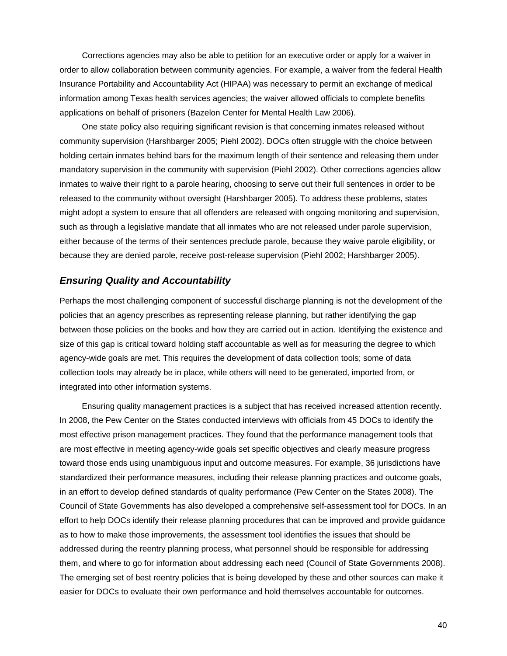Corrections agencies may also be able to petition for an executive order or apply for a waiver in order to allow collaboration between community agencies. For example, a waiver from the federal Health Insurance Portability and Accountability Act (HIPAA) was necessary to permit an exchange of medical information among Texas health services agencies; the waiver allowed officials to complete benefits applications on behalf of prisoners (Bazelon Center for Mental Health Law 2006).

One state policy also requiring significant revision is that concerning inmates released without community supervision (Harshbarger 2005; Piehl 2002). DOCs often struggle with the choice between holding certain inmates behind bars for the maximum length of their sentence and releasing them under mandatory supervision in the community with supervision (Piehl 2002). Other corrections agencies allow inmates to waive their right to a parole hearing, choosing to serve out their full sentences in order to be released to the community without oversight (Harshbarger 2005). To address these problems, states might adopt a system to ensure that all offenders are released with ongoing monitoring and supervision, such as through a legislative mandate that all inmates who are not released under parole supervision, either because of the terms of their sentences preclude parole, because they waive parole eligibility, or because they are denied parole, receive post-release supervision (Piehl 2002; Harshbarger 2005).

#### *Ensuring Quality and Accountability*

Perhaps the most challenging component of successful discharge planning is not the development of the policies that an agency prescribes as representing release planning, but rather identifying the gap between those policies on the books and how they are carried out in action. Identifying the existence and size of this gap is critical toward holding staff accountable as well as for measuring the degree to which agency-wide goals are met. This requires the development of data collection tools; some of data collection tools may already be in place, while others will need to be generated, imported from, or integrated into other information systems.

Ensuring quality management practices is a subject that has received increased attention recently. In 2008, the Pew Center on the States conducted interviews with officials from 45 DOCs to identify the most effective prison management practices. They found that the performance management tools that are most effective in meeting agency-wide goals set specific objectives and clearly measure progress toward those ends using unambiguous input and outcome measures. For example, 36 jurisdictions have standardized their performance measures, including their release planning practices and outcome goals, in an effort to develop defined standards of quality performance (Pew Center on the States 2008). The Council of State Governments has also developed a comprehensive self-assessment tool for DOCs. In an effort to help DOCs identify their release planning procedures that can be improved and provide guidance as to how to make those improvements, the assessment tool identifies the issues that should be addressed during the reentry planning process, what personnel should be responsible for addressing them, and where to go for information about addressing each need (Council of State Governments 2008). The emerging set of best reentry policies that is being developed by these and other sources can make it easier for DOCs to evaluate their own performance and hold themselves accountable for outcomes.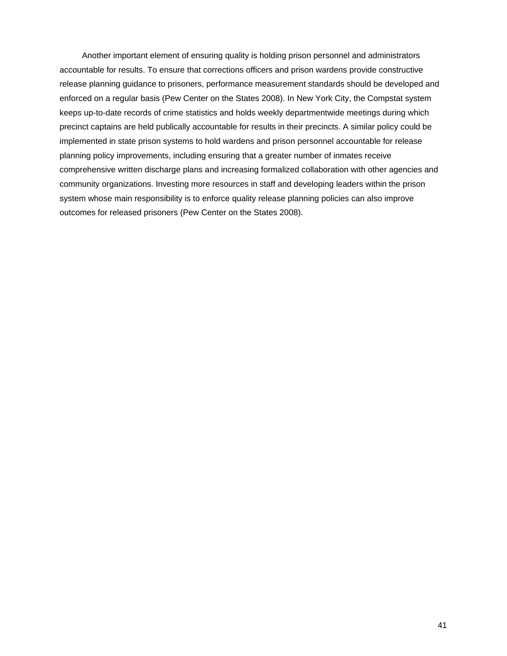Another important element of ensuring quality is holding prison personnel and administrators accountable for results. To ensure that corrections officers and prison wardens provide constructive release planning guidance to prisoners, performance measurement standards should be developed and enforced on a regular basis (Pew Center on the States 2008). In New York City, the Compstat system keeps up-to-date records of crime statistics and holds weekly departmentwide meetings during which precinct captains are held publically accountable for results in their precincts. A similar policy could be implemented in state prison systems to hold wardens and prison personnel accountable for release planning policy improvements, including ensuring that a greater number of inmates receive comprehensive written discharge plans and increasing formalized collaboration with other agencies and community organizations. Investing more resources in staff and developing leaders within the prison system whose main responsibility is to enforce quality release planning policies can also improve outcomes for released prisoners (Pew Center on the States 2008).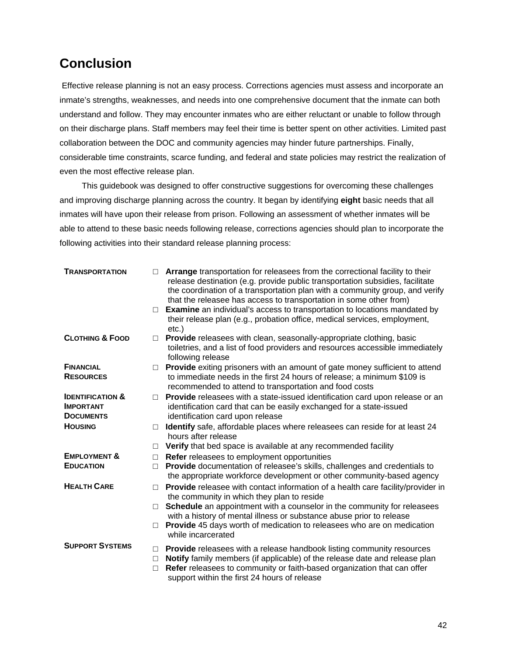# **Conclusion**

 Effective release planning is not an easy process. Corrections agencies must assess and incorporate an inmate's strengths, weaknesses, and needs into one comprehensive document that the inmate can both understand and follow. They may encounter inmates who are either reluctant or unable to follow through on their discharge plans. Staff members may feel their time is better spent on other activities. Limited past collaboration between the DOC and community agencies may hinder future partnerships. Finally, considerable time constraints, scarce funding, and federal and state policies may restrict the realization of even the most effective release plan.

This guidebook was designed to offer constructive suggestions for overcoming these challenges and improving discharge planning across the country. It began by identifying **eight** basic needs that all inmates will have upon their release from prison. Following an assessment of whether inmates will be able to attend to these basic needs following release, corrections agencies should plan to incorporate the following activities into their standard release planning process:

| <b>TRANSPORTATION</b>                                               | п<br>$\Box$                | Arrange transportation for releasees from the correctional facility to their<br>release destination (e.g. provide public transportation subsidies, facilitate<br>the coordination of a transportation plan with a community group, and verify<br>that the releasee has access to transportation in some other from)<br><b>Examine</b> an individual's access to transportation to locations mandated by |
|---------------------------------------------------------------------|----------------------------|---------------------------------------------------------------------------------------------------------------------------------------------------------------------------------------------------------------------------------------------------------------------------------------------------------------------------------------------------------------------------------------------------------|
|                                                                     |                            | their release plan (e.g., probation office, medical services, employment,<br>$etc.$ )                                                                                                                                                                                                                                                                                                                   |
| <b>CLOTHING &amp; FOOD</b>                                          | $\Box$                     | <b>Provide</b> releasees with clean, seasonally-appropriate clothing, basic<br>toiletries, and a list of food providers and resources accessible immediately<br>following release                                                                                                                                                                                                                       |
| <b>FINANCIAL</b><br><b>RESOURCES</b>                                | $\Box$                     | Provide exiting prisoners with an amount of gate money sufficient to attend<br>to immediate needs in the first 24 hours of release; a minimum \$109 is<br>recommended to attend to transportation and food costs                                                                                                                                                                                        |
| <b>IDENTIFICATION &amp;</b><br><b>IMPORTANT</b><br><b>DOCUMENTS</b> | П                          | Provide releasees with a state-issued identification card upon release or an<br>identification card that can be easily exchanged for a state-issued<br>identification card upon release                                                                                                                                                                                                                 |
| <b>HOUSING</b>                                                      | П                          | Identify safe, affordable places where releasees can reside for at least 24<br>hours after release                                                                                                                                                                                                                                                                                                      |
|                                                                     | П                          | Verify that bed space is available at any recommended facility                                                                                                                                                                                                                                                                                                                                          |
| <b>EMPLOYMENT &amp;</b>                                             | $\Box$                     | Refer releasees to employment opportunities                                                                                                                                                                                                                                                                                                                                                             |
| <b>EDUCATION</b>                                                    | $\Box$                     | Provide documentation of releasee's skills, challenges and credentials to<br>the appropriate workforce development or other community-based agency                                                                                                                                                                                                                                                      |
| <b>HEALTH CARE</b>                                                  | $\Box$                     | Provide releasee with contact information of a health care facility/provider in<br>the community in which they plan to reside                                                                                                                                                                                                                                                                           |
|                                                                     | $\Box$                     | Schedule an appointment with a counselor in the community for releasees<br>with a history of mental illness or substance abuse prior to release                                                                                                                                                                                                                                                         |
|                                                                     | $\Box$                     | <b>Provide</b> 45 days worth of medication to releasees who are on medication<br>while incarcerated                                                                                                                                                                                                                                                                                                     |
| <b>SUPPORT SYSTEMS</b>                                              | $\Box$<br>$\Box$<br>$\Box$ | <b>Provide</b> releasees with a release handbook listing community resources<br>Notify family members (if applicable) of the release date and release plan<br>Refer releasees to community or faith-based organization that can offer<br>support within the first 24 hours of release                                                                                                                   |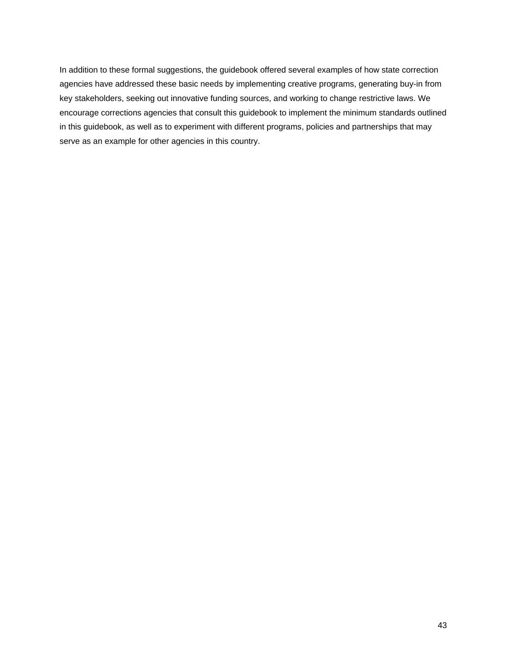In addition to these formal suggestions, the guidebook offered several examples of how state correction agencies have addressed these basic needs by implementing creative programs, generating buy-in from key stakeholders, seeking out innovative funding sources, and working to change restrictive laws. We encourage corrections agencies that consult this guidebook to implement the minimum standards outlined in this guidebook, as well as to experiment with different programs, policies and partnerships that may serve as an example for other agencies in this country.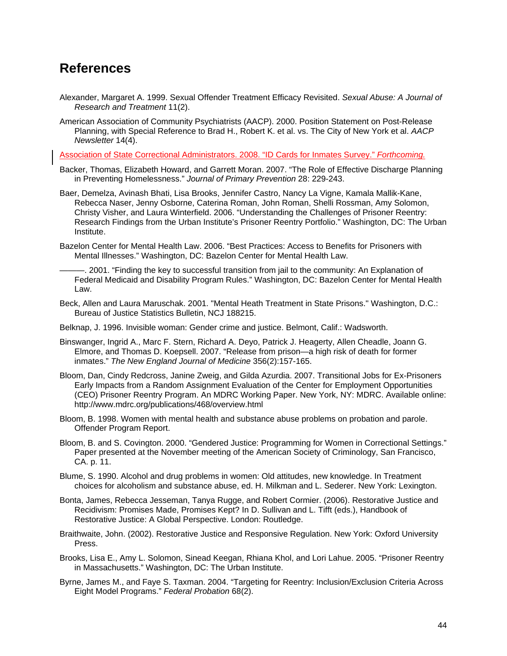# **References**

- Alexander, Margaret A. 1999. Sexual Offender Treatment Efficacy Revisited. *Sexual Abuse: A Journal of Research and Treatment* 11(2).
- American Association of Community Psychiatrists (AACP). 2000. Position Statement on Post-Release Planning, with Special Reference to Brad H., Robert K. et al. vs. The City of New York et al. *AACP Newsletter* 14(4).

Association of State Correctional Administrators. 2008. "ID Cards for Inmates Survey." *Forthcoming.*

- Backer, Thomas, Elizabeth Howard, and Garrett Moran. 2007. "The Role of Effective Discharge Planning in Preventing Homelessness." *Journal of Primary Prevention* 28: 229-243.
- Baer, Demelza, Avinash Bhati, Lisa Brooks, Jennifer Castro, Nancy La Vigne, Kamala Mallik-Kane, Rebecca Naser, Jenny Osborne, Caterina Roman, John Roman, Shelli Rossman, Amy Solomon, Christy Visher, and Laura Winterfield. 2006. "Understanding the Challenges of Prisoner Reentry: Research Findings from the Urban Institute's Prisoner Reentry Portfolio." Washington, DC: The Urban Institute.
- Bazelon Center for Mental Health Law. 2006. "Best Practices: Access to Benefits for Prisoners with Mental Illnesses." Washington, DC: Bazelon Center for Mental Health Law.
- -. 2001. "Finding the key to successful transition from jail to the community: An Explanation of Federal Medicaid and Disability Program Rules." Washington, DC: Bazelon Center for Mental Health Law.
- Beck, Allen and Laura Maruschak. 2001. "Mental Heath Treatment in State Prisons." Washington, D.C.: Bureau of Justice Statistics Bulletin, NCJ 188215.
- Belknap, J. 1996. Invisible woman: Gender crime and justice. Belmont, Calif.: Wadsworth.
- Binswanger, Ingrid A., Marc F. Stern, Richard A. Deyo, Patrick J. Heagerty, Allen Cheadle, Joann G. Elmore, and Thomas D. Koepsell. 2007. "Release from prison—a high risk of death for former inmates." *The New England Journal of Medicine* 356(2):157-165.
- Bloom, Dan, Cindy Redcross, Janine Zweig, and Gilda Azurdia. 2007. Transitional Jobs for Ex-Prisoners Early Impacts from a Random Assignment Evaluation of the Center for Employment Opportunities (CEO) Prisoner Reentry Program. An MDRC Working Paper. New York, NY: MDRC. Available online: http://www.mdrc.org/publications/468/overview.html
- Bloom, B. 1998. Women with mental health and substance abuse problems on probation and parole. Offender Program Report.
- Bloom, B. and S. Covington. 2000. "Gendered Justice: Programming for Women in Correctional Settings." Paper presented at the November meeting of the American Society of Criminology, San Francisco, CA. p. 11.
- Blume, S. 1990. Alcohol and drug problems in women: Old attitudes, new knowledge. In Treatment choices for alcoholism and substance abuse, ed. H. Milkman and L. Sederer. New York: Lexington.
- Bonta, James, Rebecca Jesseman, Tanya Rugge, and Robert Cormier. (2006). Restorative Justice and Recidivism: Promises Made, Promises Kept? In D. Sullivan and L. Tifft (eds.), Handbook of Restorative Justice: A Global Perspective. London: Routledge.
- Braithwaite, John. (2002). Restorative Justice and Responsive Regulation. New York: Oxford University Press.
- Brooks, Lisa E., Amy L. Solomon, Sinead Keegan, Rhiana Khol, and Lori Lahue. 2005. "Prisoner Reentry in Massachusetts." Washington, DC: The Urban Institute.
- Byrne, James M., and Faye S. Taxman. 2004. "Targeting for Reentry: Inclusion/Exclusion Criteria Across Eight Model Programs." *Federal Probation* 68(2).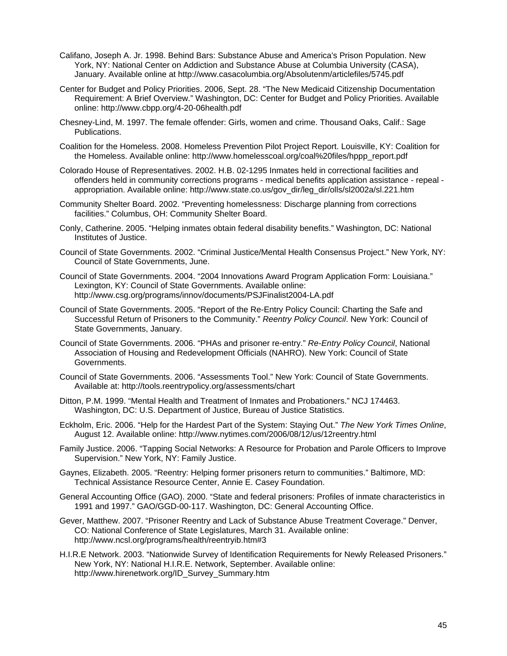- Califano, Joseph A. Jr. 1998. Behind Bars: Substance Abuse and America's Prison Population. New York, NY: National Center on Addiction and Substance Abuse at Columbia University (CASA), January. Available online at http://www.casacolumbia.org/Absolutenm/articlefiles/5745.pdf
- Center for Budget and Policy Priorities. 2006, Sept. 28. "The New Medicaid Citizenship Documentation Requirement: A Brief Overview." Washington, DC: Center for Budget and Policy Priorities. Available online: http://www.cbpp.org/4-20-06health.pdf
- Chesney-Lind, M. 1997. The female offender: Girls, women and crime. Thousand Oaks, Calif.: Sage Publications.
- Coalition for the Homeless. 2008. Homeless Prevention Pilot Project Report. Louisville, KY: Coalition for the Homeless. Available online: http://www.homelesscoal.org/coal%20files/hppp\_report.pdf
- Colorado House of Representatives. 2002. H.B. 02-1295 Inmates held in correctional facilities and offenders held in community corrections programs - medical benefits application assistance - repeal appropriation. Available online: http://www.state.co.us/gov\_dir/leg\_dir/olls/sl2002a/sl.221.htm
- Community Shelter Board. 2002. "Preventing homelessness: Discharge planning from corrections facilities." Columbus, OH: Community Shelter Board.
- Conly, Catherine. 2005. "Helping inmates obtain federal disability benefits." Washington, DC: National Institutes of Justice.
- Council of State Governments. 2002. "Criminal Justice/Mental Health Consensus Project." New York, NY: Council of State Governments, June.
- Council of State Governments. 2004. "2004 Innovations Award Program Application Form: Louisiana." Lexington, KY: Council of State Governments. Available online: http://www.csg.org/programs/innov/documents/PSJFinalist2004-LA.pdf
- Council of State Governments. 2005. "Report of the Re-Entry Policy Council: Charting the Safe and Successful Return of Prisoners to the Community." *Reentry Policy Council*. New York: Council of State Governments, January.
- Council of State Governments. 2006. "PHAs and prisoner re-entry." *Re-Entry Policy Council*, National Association of Housing and Redevelopment Officials (NAHRO). New York: Council of State Governments.
- Council of State Governments. 2006. "Assessments Tool." New York: Council of State Governments. Available at: http://tools.reentrypolicy.org/assessments/chart
- Ditton, P.M. 1999. "Mental Health and Treatment of Inmates and Probationers." NCJ 174463. Washington, DC: U.S. Department of Justice, Bureau of Justice Statistics.
- Eckholm, Eric. 2006. "Help for the Hardest Part of the System: Staying Out." *The New York Times Online*, August 12. Available online: http://www.nytimes.com/2006/08/12/us/12reentry.html
- Family Justice. 2006. "Tapping Social Networks: A Resource for Probation and Parole Officers to Improve Supervision." New York, NY: Family Justice.
- Gaynes, Elizabeth. 2005. "Reentry: Helping former prisoners return to communities." Baltimore, MD: Technical Assistance Resource Center, Annie E. Casey Foundation.
- General Accounting Office (GAO). 2000. "State and federal prisoners: Profiles of inmate characteristics in 1991 and 1997." GAO/GGD-00-117. Washington, DC: General Accounting Office.
- Gever, Matthew. 2007. "Prisoner Reentry and Lack of Substance Abuse Treatment Coverage." Denver, CO: National Conference of State Legislatures, March 31. Available online: http://www.ncsl.org/programs/health/reentryib.htm#3
- H.I.R.E Network. 2003. "Nationwide Survey of Identification Requirements for Newly Released Prisoners." New York, NY: National H.I.R.E. Network, September. Available online: http://www.hirenetwork.org/ID\_Survey\_Summary.htm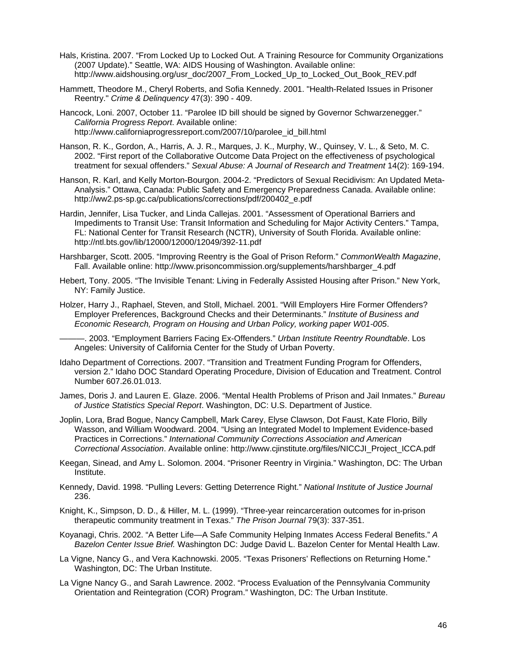- Hals, Kristina. 2007. "From Locked Up to Locked Out. A Training Resource for Community Organizations (2007 Update)." Seattle, WA: AIDS Housing of Washington. Available online: http://www.aidshousing.org/usr\_doc/2007\_From\_Locked\_Up\_to\_Locked\_Out\_Book\_REV.pdf
- Hammett, Theodore M., Cheryl Roberts, and Sofia Kennedy. 2001. "Health-Related Issues in Prisoner Reentry." *Crime & Delinquency* 47(3): 390 - 409.
- Hancock, Loni. 2007, October 11. "Parolee ID bill should be signed by Governor Schwarzenegger." *California Progress Report*. Available online: http://www.californiaprogressreport.com/2007/10/parolee\_id\_bill.html
- Hanson, R. K., Gordon, A., Harris, A. J. R., Marques, J. K., Murphy, W., Quinsey, V. L., & Seto, M. C. 2002. "First report of the Collaborative Outcome Data Project on the effectiveness of psychological treatment for sexual offenders." *Sexual Abuse: A Journal of Research and Treatment* 14(2): 169-194.
- Hanson, R. Karl, and Kelly Morton-Bourgon. 2004-2. "Predictors of Sexual Recidivism: An Updated Meta-Analysis." Ottawa, Canada: Public Safety and Emergency Preparedness Canada. Available online: http://ww2.ps-sp.gc.ca/publications/corrections/pdf/200402\_e.pdf
- Hardin, Jennifer, Lisa Tucker, and Linda Callejas. 2001. "Assessment of Operational Barriers and Impediments to Transit Use: Transit Information and Scheduling for Major Activity Centers." Tampa, FL: National Center for Transit Research (NCTR), University of South Florida. Available online: http://ntl.bts.gov/lib/12000/12000/12049/392-11.pdf
- Harshbarger, Scott. 2005. "Improving Reentry is the Goal of Prison Reform." *CommonWealth Magazine*, Fall. Available online: http://www.prisoncommission.org/supplements/harshbarger\_4.pdf
- Hebert, Tony. 2005. "The Invisible Tenant: Living in Federally Assisted Housing after Prison." New York, NY: Family Justice.
- Holzer, Harry J., Raphael, Steven, and Stoll, Michael. 2001. "Will Employers Hire Former Offenders? Employer Preferences, Background Checks and their Determinants." *Institute of Business and Economic Research, Program on Housing and Urban Policy, working paper W01-005*.

———. 2003. "Employment Barriers Facing Ex-Offenders." *Urban Institute Reentry Roundtable*. Los Angeles: University of California Center for the Study of Urban Poverty.

- Idaho Department of Corrections. 2007. "Transition and Treatment Funding Program for Offenders, version 2." Idaho DOC Standard Operating Procedure, Division of Education and Treatment. Control Number 607.26.01.013.
- James, Doris J. and Lauren E. Glaze. 2006. "Mental Health Problems of Prison and Jail Inmates." *Bureau of Justice Statistics Special Report*. Washington, DC: U.S. Department of Justice.
- Joplin, Lora, Brad Bogue, Nancy Campbell, Mark Carey, Elyse Clawson, Dot Faust, Kate Florio, Billy Wasson, and William Woodward. 2004. "Using an Integrated Model to Implement Evidence-based Practices in Corrections." *International Community Corrections Association and American Correctional Association*. Available online: http://www.cjinstitute.org/files/NICCJI\_Project\_ICCA.pdf
- Keegan, Sinead, and Amy L. Solomon. 2004. "Prisoner Reentry in Virginia." Washington, DC: The Urban Institute.
- Kennedy, David. 1998. "Pulling Levers: Getting Deterrence Right." *National Institute of Justice Journal* 236.
- Knight, K., Simpson, D. D., & Hiller, M. L. (1999). "Three-year reincarceration outcomes for in-prison therapeutic community treatment in Texas." *The Prison Journal* 79(3): 337-351.
- Koyanagi, Chris. 2002. "A Better Life—A Safe Community Helping Inmates Access Federal Benefits." *A Bazelon Center Issue Brief.* Washington DC: Judge David L. Bazelon Center for Mental Health Law.
- La Vigne, Nancy G., and Vera Kachnowski. 2005. "Texas Prisoners' Reflections on Returning Home." Washington, DC: The Urban Institute.
- La Vigne Nancy G., and Sarah Lawrence. 2002. "Process Evaluation of the Pennsylvania Community Orientation and Reintegration (COR) Program." Washington, DC: The Urban Institute.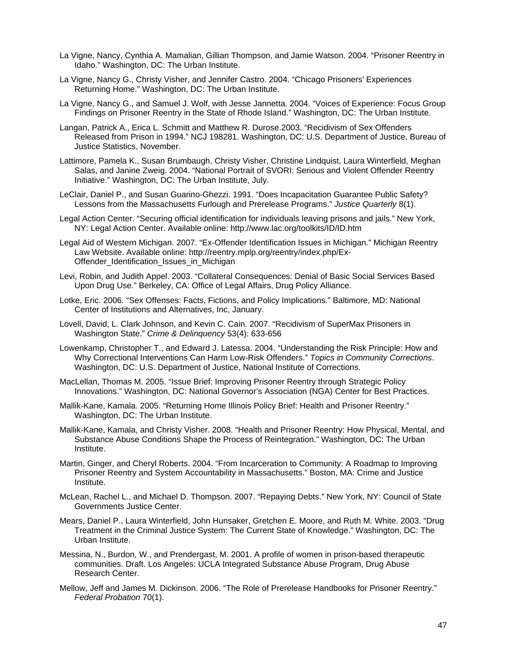- La Vigne, Nancy, Cynthia A. Mamalian, Gillian Thompson, and Jamie Watson. 2004. "Prisoner Reentry in Idaho." Washington, DC: The Urban Institute.
- La Vigne, Nancy G., Christy Visher, and Jennifer Castro. 2004. "Chicago Prisoners' Experiences Returning Home." Washington, DC: The Urban Institute.
- La Vigne, Nancy G., and Samuel J. Wolf, with Jesse Jannetta. 2004. "Voices of Experience: Focus Group Findings on Prisoner Reentry in the State of Rhode Island." Washington, DC: The Urban Institute.
- Langan, Patrick A., Erica L. Schmitt and Matthew R. Durose.2003. "Recidivism of Sex Offenders Released from Prison in 1994." NCJ 198281. Washington, DC: U.S. Department of Justice, Bureau of Justice Statistics, November.
- Lattimore, Pamela K., Susan Brumbaugh, Christy Visher, Christine Lindquist, Laura Winterfield, Meghan Salas, and Janine Zweig. 2004. "National Portrait of SVORI: Serious and Violent Offender Reentry Initiative." Washington, DC: The Urban Institute, July.
- LeClair, Daniel P., and Susan Guarino-Ghezzi. 1991. "Does Incapacitation Guarantee Public Safety? Lessons from the Massachusetts Furlough and Prerelease Programs." *Justice Quarterly* 8(1).
- Legal Action Center. "Securing official identification for individuals leaving prisons and jails." New York, NY: Legal Action Center. Available online: http://www.lac.org/toolkits/ID/ID.htm
- Legal Aid of Western Michigan. 2007. "Ex-Offender Identification Issues in Michigan." Michigan Reentry Law Website. Available online: http://reentry.mplp.org/reentry/index.php/Ex-Offender Identification Issues in Michigan
- Levi, Robin, and Judith Appel. 2003. "Collateral Consequences: Denial of Basic Social Services Based Upon Drug Use." Berkeley, CA: Office of Legal Affairs, Drug Policy Alliance.
- Lotke, Eric. 2006. "Sex Offenses: Facts, Fictions, and Policy Implications." Baltimore, MD: National Center of Institutions and Alternatives, Inc, January.
- Lovell, David, L. Clark Johnson, and Kevin C. Cain. 2007. "Recidivism of SuperMax Prisoners in Washington State." *Crime & Delinquency* 53(4): 633-656
- Lowenkamp, Christopher T., and Edward J. Latessa. 2004. "Understanding the Risk Principle: How and Why Correctional Interventions Can Harm Low-Risk Offenders." *Topics in Community Corrections*. Washington, DC: U.S. Department of Justice, National Institute of Corrections.
- MacLellan, Thomas M. 2005. "Issue Brief: Improving Prisoner Reentry through Strategic Policy Innovations." Washington, DC: National Governor's Association (NGA) Center for Best Practices.
- Mallik-Kane, Kamala. 2005. "Returning Home Illinois Policy Brief: Health and Prisoner Reentry." Washington, DC: The Urban Institute.
- Mallik-Kane, Kamala, and Christy Visher. 2008. "Health and Prisoner Reentry: How Physical, Mental, and Substance Abuse Conditions Shape the Process of Reintegration." Washington, DC: The Urban Institute.
- Martin, Ginger, and Cheryl Roberts. 2004. "From Incarceration to Community: A Roadmap to Improving Prisoner Reentry and System Accountability in Massachusetts." Boston, MA: Crime and Justice Institute.
- McLean, Rachel L., and Michael D. Thompson. 2007. "Repaying Debts." New York, NY: Council of State Governments Justice Center.
- Mears, Daniel P., Laura Winterfield, John Hunsaker, Gretchen E. Moore, and Ruth M. White. 2003. "Drug Treatment in the Criminal Justice System: The Current State of Knowledge." Washington, DC: The Urban Institute.
- Messina, N., Burdon, W., and Prendergast, M. 2001. A profile of women in prison-based therapeutic communities. Draft. Los Angeles: UCLA Integrated Substance Abuse Program, Drug Abuse Research Center.
- Mellow, Jeff and James M. Dickinson. 2006. "The Role of Prerelease Handbooks for Prisoner Reentry." *Federal Probation* 70(1).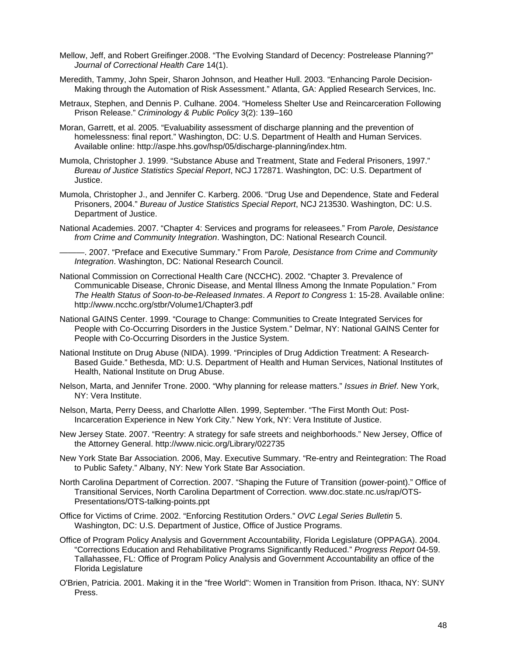- Mellow, Jeff, and Robert Greifinger.2008. "The Evolving Standard of Decency: Postrelease Planning?" *Journal of Correctional Health Care* 14(1).
- Meredith, Tammy, John Speir, Sharon Johnson, and Heather Hull. 2003. "Enhancing Parole Decision-Making through the Automation of Risk Assessment." Atlanta, GA: Applied Research Services, Inc.
- Metraux, Stephen, and Dennis P. Culhane. 2004. "Homeless Shelter Use and Reincarceration Following Prison Release." *Criminology & Public Policy* 3(2): 139–160
- Moran, Garrett, et al. 2005. "Evaluability assessment of discharge planning and the prevention of homelessness: final report." Washington, DC: U.S. Department of Health and Human Services. Available online: http://aspe.hhs.gov/hsp/05/discharge-planning/index.htm.
- Mumola, Christopher J. 1999. "Substance Abuse and Treatment, State and Federal Prisoners, 1997." *Bureau of Justice Statistics Special Report*, NCJ 172871. Washington, DC: U.S. Department of Justice.
- Mumola, Christopher J., and Jennifer C. Karberg. 2006. "Drug Use and Dependence, State and Federal Prisoners, 2004." *Bureau of Justice Statistics Special Report*, NCJ 213530. Washington, DC: U.S. Department of Justice.
- National Academies. 2007. "Chapter 4: Services and programs for releasees." From *Parole, Desistance from Crime and Community Integration*. Washington, DC: National Research Council.

———. 2007. "Preface and Executive Summary." From Pa*role, Desistance from Crime and Community Integration*. Washington, DC: National Research Council.

- National Commission on Correctional Health Care (NCCHC). 2002. "Chapter 3. Prevalence of Communicable Disease, Chronic Disease, and Mental Illness Among the Inmate Population." From *The Health Status of Soon-to-be-Released Inmates*. *A Report to Congress* 1: 15-28. Available online: http://www.ncchc.org/stbr/Volume1/Chapter3.pdf
- National GAINS Center. 1999. "Courage to Change: Communities to Create Integrated Services for People with Co-Occurring Disorders in the Justice System." Delmar, NY: National GAINS Center for People with Co-Occurring Disorders in the Justice System.
- National Institute on Drug Abuse (NIDA). 1999. "Principles of Drug Addiction Treatment: A Research-Based Guide." Bethesda, MD: U.S. Department of Health and Human Services, National Institutes of Health, National Institute on Drug Abuse.
- Nelson, Marta, and Jennifer Trone. 2000. "Why planning for release matters." *Issues in Brief*. New York, NY: Vera Institute.
- Nelson, Marta, Perry Deess, and Charlotte Allen. 1999, September. "The First Month Out: Post-Incarceration Experience in New York City." New York, NY: Vera Institute of Justice.
- New Jersey State. 2007. "Reentry: A strategy for safe streets and neighborhoods." New Jersey, Office of the Attorney General. http://www.nicic.org/Library/022735
- New York State Bar Association. 2006, May. Executive Summary. "Re-entry and Reintegration: The Road to Public Safety." Albany, NY: New York State Bar Association.
- North Carolina Department of Correction. 2007. "Shaping the Future of Transition (power-point)." Office of Transitional Services, North Carolina Department of Correction. www.doc.state.nc.us/rap/OTS-Presentations/OTS-talking-points.ppt
- Office for Victims of Crime. 2002. "Enforcing Restitution Orders." *OVC Legal Series Bulletin* 5. Washington, DC: U.S. Department of Justice, Office of Justice Programs.
- Office of Program Policy Analysis and Government Accountability, Florida Legislature (OPPAGA). 2004. "Corrections Education and Rehabilitative Programs Significantly Reduced." *Progress Report* 04-59. Tallahassee, FL: Office of Program Policy Analysis and Government Accountability an office of the Florida Legislature
- O'Brien, Patricia. 2001. Making it in the "free World": Women in Transition from Prison. Ithaca, NY: SUNY Press.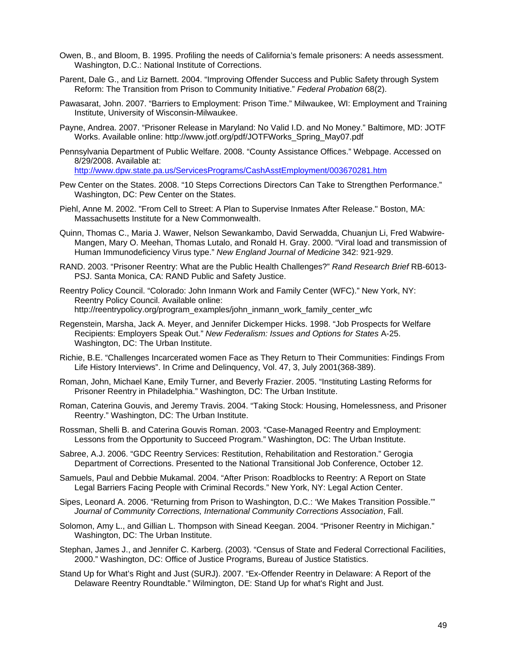- Owen, B., and Bloom, B. 1995. Profiling the needs of California's female prisoners: A needs assessment. Washington, D.C.: National Institute of Corrections.
- Parent, Dale G., and Liz Barnett. 2004. "Improving Offender Success and Public Safety through System Reform: The Transition from Prison to Community Initiative." *Federal Probation* 68(2).
- Pawasarat, John. 2007. "Barriers to Employment: Prison Time." Milwaukee, WI: Employment and Training Institute, University of Wisconsin-Milwaukee.
- Payne, Andrea. 2007. "Prisoner Release in Maryland: No Valid I.D. and No Money." Baltimore, MD: JOTF Works. Available online: http://www.jotf.org/pdf/JOTFWorks\_Spring\_May07.pdf
- Pennsylvania Department of Public Welfare. 2008. "County Assistance Offices." Webpage. Accessed on 8/29/2008. Available at: http://www.dpw.state.pa.us/ServicesPrograms/CashAsstEmployment/003670281.htm
- Pew Center on the States. 2008. "10 Steps Corrections Directors Can Take to Strengthen Performance." Washington, DC: Pew Center on the States.
- Piehl, Anne M. 2002. "From Cell to Street: A Plan to Supervise Inmates After Release." Boston, MA: Massachusetts Institute for a New Commonwealth.
- Quinn, Thomas C., Maria J. Wawer, Nelson Sewankambo, David Serwadda, Chuanjun Li, Fred Wabwire-Mangen, Mary O. Meehan, Thomas Lutalo, and Ronald H. Gray. 2000. "Viral load and transmission of Human Immunodeficiency Virus type." *New England Journal of Medicine* 342: 921-929.
- RAND. 2003. "Prisoner Reentry: What are the Public Health Challenges?" *Rand Research Brief* RB-6013- PSJ. Santa Monica, CA: RAND Public and Safety Justice.
- Reentry Policy Council. "Colorado: John Inmann Work and Family Center (WFC)." New York, NY: Reentry Policy Council. Available online: http://reentrypolicy.org/program\_examples/john\_inmann\_work\_family\_center\_wfc
- Regenstein, Marsha, Jack A. Meyer, and Jennifer Dickemper Hicks. 1998. "Job Prospects for Welfare Recipients: Employers Speak Out." *New Federalism: Issues and Options for States* A-25. Washington, DC: The Urban Institute.
- Richie, B.E. "Challenges Incarcerated women Face as They Return to Their Communities: Findings From Life History Interviews". In Crime and Delinquency, Vol. 47, 3, July 2001(368-389).
- Roman, John, Michael Kane, Emily Turner, and Beverly Frazier. 2005. "Instituting Lasting Reforms for Prisoner Reentry in Philadelphia." Washington, DC: The Urban Institute.
- Roman, Caterina Gouvis, and Jeremy Travis. 2004. "Taking Stock: Housing, Homelessness, and Prisoner Reentry." Washington, DC: The Urban Institute.
- Rossman, Shelli B. and Caterina Gouvis Roman. 2003. "Case-Managed Reentry and Employment: Lessons from the Opportunity to Succeed Program." Washington, DC: The Urban Institute.
- Sabree, A.J. 2006. "GDC Reentry Services: Restitution, Rehabilitation and Restoration." Gerogia Department of Corrections. Presented to the National Transitional Job Conference, October 12.
- Samuels, Paul and Debbie Mukamal. 2004. "After Prison: Roadblocks to Reentry: A Report on State Legal Barriers Facing People with Criminal Records." New York, NY: Legal Action Center.
- Sipes, Leonard A. 2006. "Returning from Prison to Washington, D.C.: 'We Makes Transition Possible.'" *Journal of Community Corrections, International Community Corrections Association*, Fall.
- Solomon, Amy L., and Gillian L. Thompson with Sinead Keegan. 2004. "Prisoner Reentry in Michigan." Washington, DC: The Urban Institute.
- Stephan, James J., and Jennifer C. Karberg. (2003). "Census of State and Federal Correctional Facilities, 2000." Washington, DC: Office of Justice Programs, Bureau of Justice Statistics.
- Stand Up for What's Right and Just (SURJ). 2007. "Ex-Offender Reentry in Delaware: A Report of the Delaware Reentry Roundtable." Wilmington, DE: Stand Up for what's Right and Just.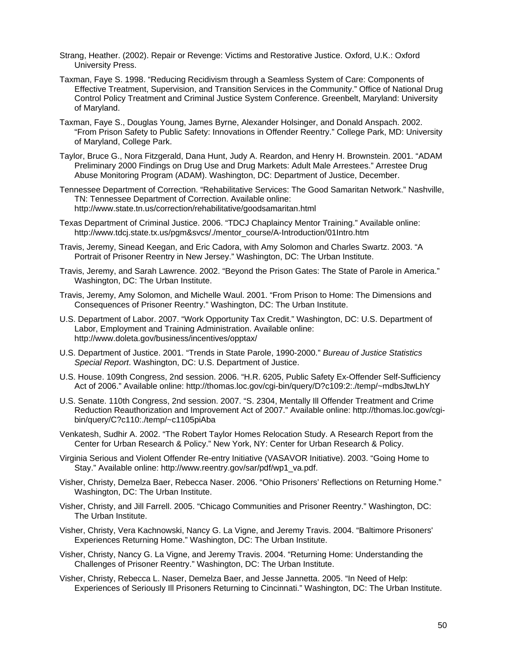- Strang, Heather. (2002). Repair or Revenge: Victims and Restorative Justice. Oxford, U.K.: Oxford University Press.
- Taxman, Faye S. 1998. "Reducing Recidivism through a Seamless System of Care: Components of Effective Treatment, Supervision, and Transition Services in the Community." Office of National Drug Control Policy Treatment and Criminal Justice System Conference. Greenbelt, Maryland: University of Maryland.
- Taxman, Faye S., Douglas Young, James Byrne, Alexander Holsinger, and Donald Anspach. 2002. "From Prison Safety to Public Safety: Innovations in Offender Reentry." College Park, MD: University of Maryland, College Park.
- Taylor, Bruce G., Nora Fitzgerald, Dana Hunt, Judy A. Reardon, and Henry H. Brownstein. 2001. "ADAM Preliminary 2000 Findings on Drug Use and Drug Markets: Adult Male Arrestees." Arrestee Drug Abuse Monitoring Program (ADAM). Washington, DC: Department of Justice, December.
- Tennessee Department of Correction. "Rehabilitative Services: The Good Samaritan Network." Nashville, TN: Tennessee Department of Correction. Available online: http://www.state.tn.us/correction/rehabilitative/goodsamaritan.html
- Texas Department of Criminal Justice. 2006. "TDCJ Chaplaincy Mentor Training." Available online: http://www.tdcj.state.tx.us/pgm&svcs/./mentor\_course/A-Introduction/01Intro.htm
- Travis, Jeremy, Sinead Keegan, and Eric Cadora, with Amy Solomon and Charles Swartz. 2003. "A Portrait of Prisoner Reentry in New Jersey." Washington, DC: The Urban Institute.
- Travis, Jeremy, and Sarah Lawrence. 2002. "Beyond the Prison Gates: The State of Parole in America." Washington, DC: The Urban Institute.
- Travis, Jeremy, Amy Solomon, and Michelle Waul. 2001. "From Prison to Home: The Dimensions and Consequences of Prisoner Reentry." Washington, DC: The Urban Institute.
- U.S. Department of Labor. 2007. "Work Opportunity Tax Credit." Washington, DC: U.S. Department of Labor, Employment and Training Administration. Available online: http://www.doleta.gov/business/incentives/opptax/
- U.S. Department of Justice. 2001. "Trends in State Parole, 1990-2000." *Bureau of Justice Statistics Special Report*. Washington, DC: U.S. Department of Justice.
- U.S. House. 109th Congress, 2nd session. 2006. "H.R. 6205, Public Safety Ex-Offender Self-Sufficiency Act of 2006." Available online: http://thomas.loc.gov/cgi-bin/query/D?c109:2:./temp/~mdbsJtwLhY
- U.S. Senate. 110th Congress, 2nd session. 2007. "S. 2304, Mentally Ill Offender Treatment and Crime Reduction Reauthorization and Improvement Act of 2007." Available online: http://thomas.loc.gov/cgibin/query/C?c110:./temp/~c1105piAba
- Venkatesh, Sudhir A. 2002. "The Robert Taylor Homes Relocation Study. A Research Report from the Center for Urban Research & Policy." New York, NY: Center for Urban Research & Policy.
- Virginia Serious and Violent Offender Re-entry Initiative (VASAVOR Initiative). 2003. "Going Home to Stay." Available online: http://www.reentry.gov/sar/pdf/wp1\_va.pdf.
- Visher, Christy, Demelza Baer, Rebecca Naser. 2006. "Ohio Prisoners' Reflections on Returning Home." Washington, DC: The Urban Institute.
- Visher, Christy, and Jill Farrell. 2005. "Chicago Communities and Prisoner Reentry." Washington, DC: The Urban Institute.
- Visher, Christy, Vera Kachnowski, Nancy G. La Vigne, and Jeremy Travis. 2004. "Baltimore Prisoners' Experiences Returning Home." Washington, DC: The Urban Institute.
- Visher, Christy, Nancy G. La Vigne, and Jeremy Travis. 2004. "Returning Home: Understanding the Challenges of Prisoner Reentry." Washington, DC: The Urban Institute.
- Visher, Christy, Rebecca L. Naser, Demelza Baer, and Jesse Jannetta. 2005. "In Need of Help: Experiences of Seriously Ill Prisoners Returning to Cincinnati." Washington, DC: The Urban Institute.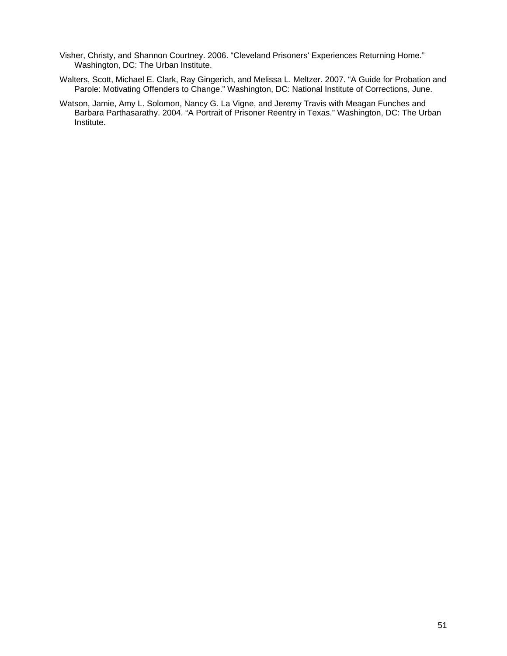- Visher, Christy, and Shannon Courtney. 2006. "Cleveland Prisoners' Experiences Returning Home." Washington, DC: The Urban Institute.
- Walters, Scott, Michael E. Clark, Ray Gingerich, and Melissa L. Meltzer. 2007. "A Guide for Probation and Parole: Motivating Offenders to Change." Washington, DC: National Institute of Corrections, June.
- Watson, Jamie, Amy L. Solomon, Nancy G. La Vigne, and Jeremy Travis with Meagan Funches and Barbara Parthasarathy. 2004. "A Portrait of Prisoner Reentry in Texas." Washington, DC: The Urban Institute.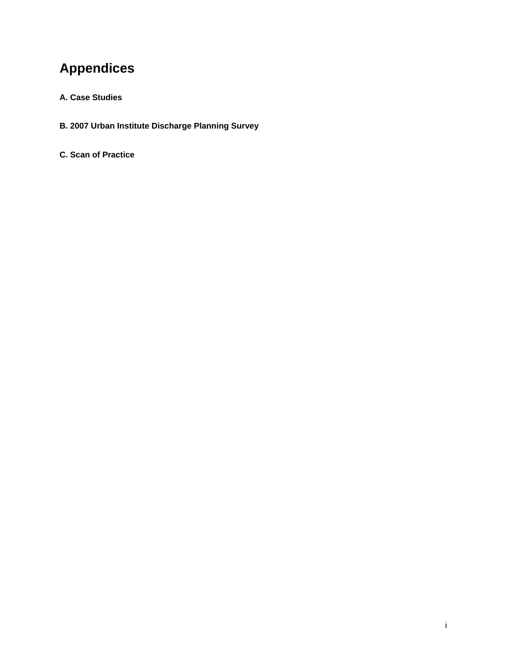# **Appendices**

#### **A. Case Studies**

- **B. 2007 Urban Institute Discharge Planning Survey**
- **C. Scan of Practice**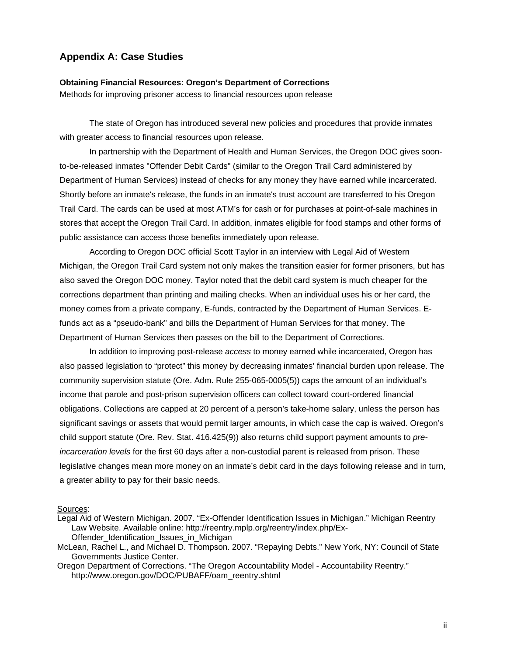#### **Appendix A: Case Studies**

#### **Obtaining Financial Resources: Oregon's Department of Corrections**

Methods for improving prisoner access to financial resources upon release

 The state of Oregon has introduced several new policies and procedures that provide inmates with greater access to financial resources upon release.

In partnership with the Department of Health and Human Services, the Oregon DOC gives soonto-be-released inmates "Offender Debit Cards" (similar to the Oregon Trail Card administered by Department of Human Services) instead of checks for any money they have earned while incarcerated. Shortly before an inmate's release, the funds in an inmate's trust account are transferred to his Oregon Trail Card. The cards can be used at most ATM's for cash or for purchases at point-of-sale machines in stores that accept the Oregon Trail Card. In addition, inmates eligible for food stamps and other forms of public assistance can access those benefits immediately upon release.

According to Oregon DOC official Scott Taylor in an interview with Legal Aid of Western Michigan, the Oregon Trail Card system not only makes the transition easier for former prisoners, but has also saved the Oregon DOC money. Taylor noted that the debit card system is much cheaper for the corrections department than printing and mailing checks. When an individual uses his or her card, the money comes from a private company, E-funds, contracted by the Department of Human Services. Efunds act as a "pseudo-bank" and bills the Department of Human Services for that money. The Department of Human Services then passes on the bill to the Department of Corrections.

In addition to improving post-release *access* to money earned while incarcerated, Oregon has also passed legislation to "protect" this money by decreasing inmates' financial burden upon release. The community supervision statute (Ore. Adm. Rule 255-065-0005(5)) caps the amount of an individual's income that parole and post-prison supervision officers can collect toward court-ordered financial obligations. Collections are capped at 20 percent of a person's take-home salary, unless the person has significant savings or assets that would permit larger amounts, in which case the cap is waived. Oregon's child support statute (Ore. Rev. Stat. 416.425(9)) also returns child support payment amounts to *preincarceration levels* for the first 60 days after a non-custodial parent is released from prison. These legislative changes mean more money on an inmate's debit card in the days following release and in turn, a greater ability to pay for their basic needs.

#### Sources:

- Legal Aid of Western Michigan. 2007. "Ex-Offender Identification Issues in Michigan." Michigan Reentry Law Website. Available online: http://reentry.mplp.org/reentry/index.php/Ex-Offender Identification Issues in Michigan
- McLean, Rachel L., and Michael D. Thompson. 2007. "Repaying Debts." New York, NY: Council of State Governments Justice Center.

Oregon Department of Corrections. "The Oregon Accountability Model - Accountability Reentry." http://www.oregon.gov/DOC/PUBAFF/oam\_reentry.shtml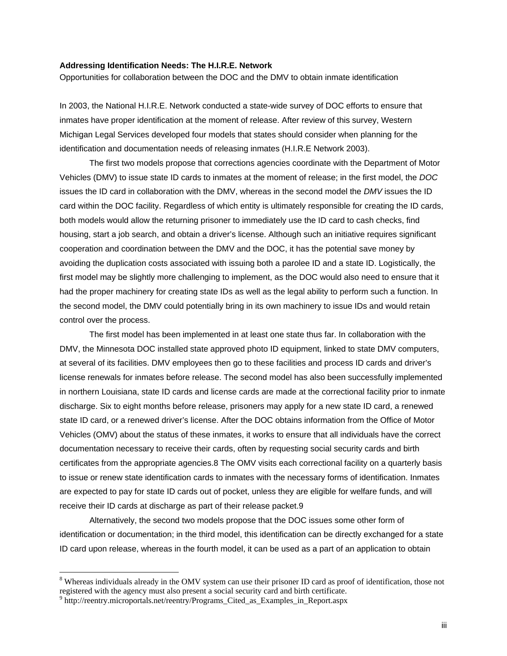#### **Addressing Identification Needs: The H.I.R.E. Network**

Opportunities for collaboration between the DOC and the DMV to obtain inmate identification

In 2003, the National H.I.R.E. Network conducted a state-wide survey of DOC efforts to ensure that inmates have proper identification at the moment of release. After review of this survey, Western Michigan Legal Services developed four models that states should consider when planning for the identification and documentation needs of releasing inmates (H.I.R.E Network 2003).

 The first two models propose that corrections agencies coordinate with the Department of Motor Vehicles (DMV) to issue state ID cards to inmates at the moment of release; in the first model, the *DOC* issues the ID card in collaboration with the DMV, whereas in the second model the *DMV* issues the ID card within the DOC facility. Regardless of which entity is ultimately responsible for creating the ID cards, both models would allow the returning prisoner to immediately use the ID card to cash checks, find housing, start a job search, and obtain a driver's license. Although such an initiative requires significant cooperation and coordination between the DMV and the DOC, it has the potential save money by avoiding the duplication costs associated with issuing both a parolee ID and a state ID. Logistically, the first model may be slightly more challenging to implement, as the DOC would also need to ensure that it had the proper machinery for creating state IDs as well as the legal ability to perform such a function. In the second model, the DMV could potentially bring in its own machinery to issue IDs and would retain control over the process.

The first model has been implemented in at least one state thus far. In collaboration with the DMV, the Minnesota DOC installed state approved photo ID equipment, linked to state DMV computers, at several of its facilities. DMV employees then go to these facilities and process ID cards and driver's license renewals for inmates before release. The second model has also been successfully implemented in northern Louisiana, state ID cards and license cards are made at the correctional facility prior to inmate discharge. Six to eight months before release, prisoners may apply for a new state ID card, a renewed state ID card, or a renewed driver's license. After the DOC obtains information from the Office of Motor Vehicles (OMV) about the status of these inmates, it works to ensure that all individuals have the correct documentation necessary to receive their cards, often by requesting social security cards and birth certificates from the appropriate agencies.8 The OMV visits each correctional facility on a quarterly basis to issue or renew state identification cards to inmates with the necessary forms of identification. Inmates are expected to pay for state ID cards out of pocket, unless they are eligible for welfare funds, and will receive their ID cards at discharge as part of their release packet.9

 Alternatively, the second two models propose that the DOC issues some other form of identification or documentation; in the third model, this identification can be directly exchanged for a state ID card upon release, whereas in the fourth model, it can be used as a part of an application to obtain

 $\overline{a}$ 

<sup>&</sup>lt;sup>8</sup> Whereas individuals already in the OMV system can use their prisoner ID card as proof of identification, those not registered with the agency must also present a social security card and birth certificate. 9

<sup>&</sup>lt;sup>9</sup> http://reentry.microportals.net/reentry/Programs\_Cited\_as\_Examples\_in\_Report.aspx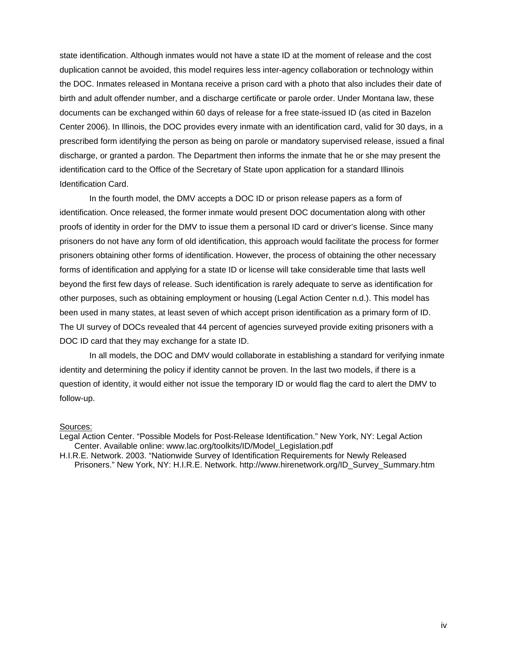state identification. Although inmates would not have a state ID at the moment of release and the cost duplication cannot be avoided, this model requires less inter-agency collaboration or technology within the DOC. Inmates released in Montana receive a prison card with a photo that also includes their date of birth and adult offender number, and a discharge certificate or parole order. Under Montana law, these documents can be exchanged within 60 days of release for a free state-issued ID (as cited in Bazelon Center 2006). In Illinois, the DOC provides every inmate with an identification card, valid for 30 days, in a prescribed form identifying the person as being on parole or mandatory supervised release, issued a final discharge, or granted a pardon. The Department then informs the inmate that he or she may present the identification card to the Office of the Secretary of State upon application for a standard Illinois Identification Card.

 In the fourth model, the DMV accepts a DOC ID or prison release papers as a form of identification. Once released, the former inmate would present DOC documentation along with other proofs of identity in order for the DMV to issue them a personal ID card or driver's license. Since many prisoners do not have any form of old identification, this approach would facilitate the process for former prisoners obtaining other forms of identification. However, the process of obtaining the other necessary forms of identification and applying for a state ID or license will take considerable time that lasts well beyond the first few days of release. Such identification is rarely adequate to serve as identification for other purposes, such as obtaining employment or housing (Legal Action Center n.d.). This model has been used in many states, at least seven of which accept prison identification as a primary form of ID. The UI survey of DOCs revealed that 44 percent of agencies surveyed provide exiting prisoners with a DOC ID card that they may exchange for a state ID.

In all models, the DOC and DMV would collaborate in establishing a standard for verifying inmate identity and determining the policy if identity cannot be proven. In the last two models, if there is a question of identity, it would either not issue the temporary ID or would flag the card to alert the DMV to follow-up.

#### Sources:

Legal Action Center. "Possible Models for Post-Release Identification." New York, NY: Legal Action Center. Available online: www.lac.org/toolkits/ID/Model\_Legislation.pdf

H.I.R.E. Network. 2003. "Nationwide Survey of Identification Requirements for Newly Released Prisoners." New York, NY: H.I.R.E. Network. http://www.hirenetwork.org/ID\_Survey\_Summary.htm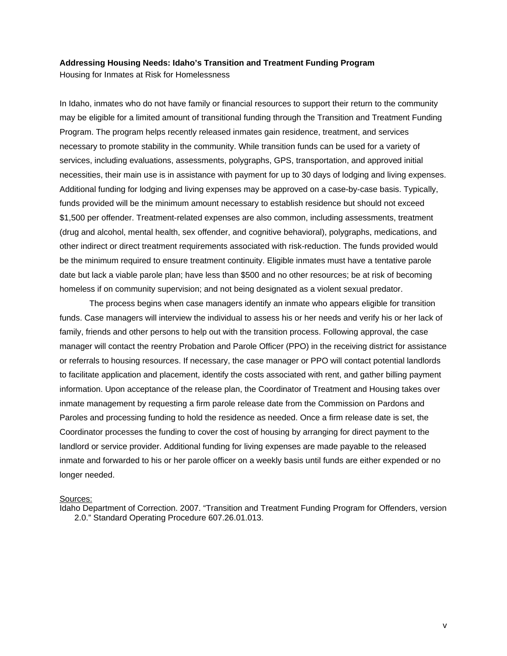#### **Addressing Housing Needs: Idaho's Transition and Treatment Funding Program**

Housing for Inmates at Risk for Homelessness

In Idaho, inmates who do not have family or financial resources to support their return to the community may be eligible for a limited amount of transitional funding through the Transition and Treatment Funding Program. The program helps recently released inmates gain residence, treatment, and services necessary to promote stability in the community. While transition funds can be used for a variety of services, including evaluations, assessments, polygraphs, GPS, transportation, and approved initial necessities, their main use is in assistance with payment for up to 30 days of lodging and living expenses. Additional funding for lodging and living expenses may be approved on a case-by-case basis. Typically, funds provided will be the minimum amount necessary to establish residence but should not exceed \$1,500 per offender. Treatment-related expenses are also common, including assessments, treatment (drug and alcohol, mental health, sex offender, and cognitive behavioral), polygraphs, medications, and other indirect or direct treatment requirements associated with risk-reduction. The funds provided would be the minimum required to ensure treatment continuity. Eligible inmates must have a tentative parole date but lack a viable parole plan; have less than \$500 and no other resources; be at risk of becoming homeless if on community supervision; and not being designated as a violent sexual predator.

The process begins when case managers identify an inmate who appears eligible for transition funds. Case managers will interview the individual to assess his or her needs and verify his or her lack of family, friends and other persons to help out with the transition process. Following approval, the case manager will contact the reentry Probation and Parole Officer (PPO) in the receiving district for assistance or referrals to housing resources. If necessary, the case manager or PPO will contact potential landlords to facilitate application and placement, identify the costs associated with rent, and gather billing payment information. Upon acceptance of the release plan, the Coordinator of Treatment and Housing takes over inmate management by requesting a firm parole release date from the Commission on Pardons and Paroles and processing funding to hold the residence as needed. Once a firm release date is set, the Coordinator processes the funding to cover the cost of housing by arranging for direct payment to the landlord or service provider. Additional funding for living expenses are made payable to the released inmate and forwarded to his or her parole officer on a weekly basis until funds are either expended or no longer needed.

#### Sources:

Idaho Department of Correction. 2007. "Transition and Treatment Funding Program for Offenders, version 2.0." Standard Operating Procedure 607.26.01.013.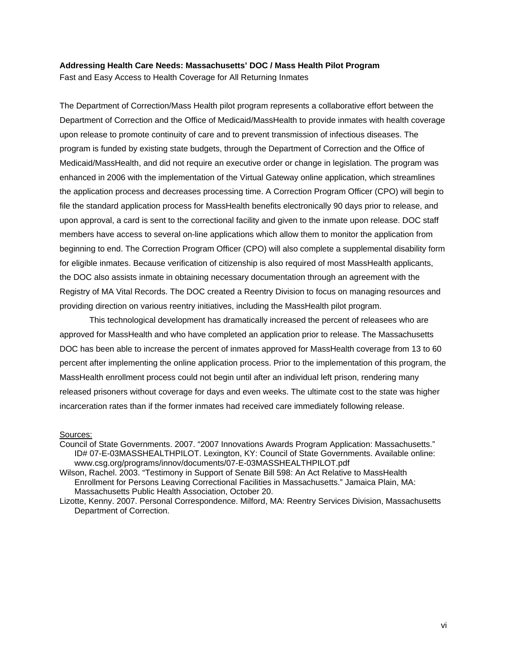#### **Addressing Health Care Needs: Massachusetts' DOC / Mass Health Pilot Program**

Fast and Easy Access to Health Coverage for All Returning Inmates

The Department of Correction/Mass Health pilot program represents a collaborative effort between the Department of Correction and the Office of Medicaid/MassHealth to provide inmates with health coverage upon release to promote continuity of care and to prevent transmission of infectious diseases. The program is funded by existing state budgets, through the Department of Correction and the Office of Medicaid/MassHealth, and did not require an executive order or change in legislation. The program was enhanced in 2006 with the implementation of the Virtual Gateway online application, which streamlines the application process and decreases processing time. A Correction Program Officer (CPO) will begin to file the standard application process for MassHealth benefits electronically 90 days prior to release, and upon approval, a card is sent to the correctional facility and given to the inmate upon release. DOC staff members have access to several on-line applications which allow them to monitor the application from beginning to end. The Correction Program Officer (CPO) will also complete a supplemental disability form for eligible inmates. Because verification of citizenship is also required of most MassHealth applicants, the DOC also assists inmate in obtaining necessary documentation through an agreement with the Registry of MA Vital Records. The DOC created a Reentry Division to focus on managing resources and providing direction on various reentry initiatives, including the MassHealth pilot program.

This technological development has dramatically increased the percent of releasees who are approved for MassHealth and who have completed an application prior to release. The Massachusetts DOC has been able to increase the percent of inmates approved for MassHealth coverage from 13 to 60 percent after implementing the online application process. Prior to the implementation of this program, the MassHealth enrollment process could not begin until after an individual left prison, rendering many released prisoners without coverage for days and even weeks. The ultimate cost to the state was higher incarceration rates than if the former inmates had received care immediately following release.

#### Sources:

Council of State Governments. 2007. "2007 Innovations Awards Program Application: Massachusetts." ID# 07-E-03MASSHEALTHPILOT. Lexington, KY: Council of State Governments. Available online: www.csg.org/programs/innov/documents/07-E-03MASSHEALTHPILOT.pdf

Wilson, Rachel. 2003. "Testimony in Support of Senate Bill 598: An Act Relative to MassHealth Enrollment for Persons Leaving Correctional Facilities in Massachusetts." Jamaica Plain, MA: Massachusetts Public Health Association, October 20.

Lizotte, Kenny. 2007. Personal Correspondence. Milford, MA: Reentry Services Division, Massachusetts Department of Correction.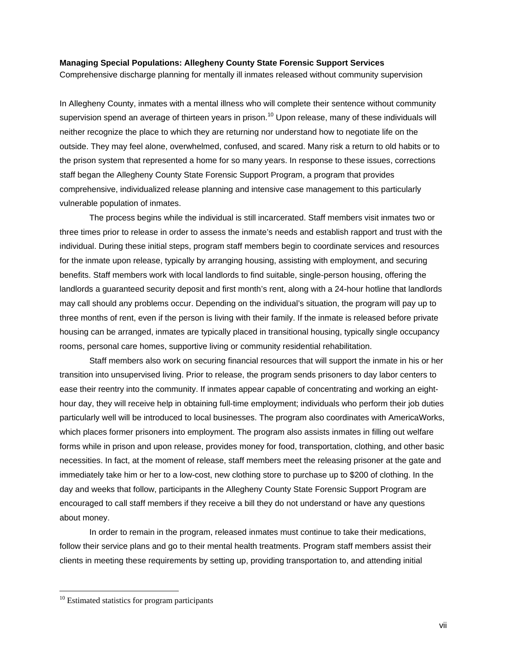#### **Managing Special Populations: Allegheny County State Forensic Support Services**

Comprehensive discharge planning for mentally ill inmates released without community supervision

In Allegheny County, inmates with a mental illness who will complete their sentence without community supervision spend an average of thirteen years in prison.<sup>10</sup> Upon release, many of these individuals will neither recognize the place to which they are returning nor understand how to negotiate life on the outside. They may feel alone, overwhelmed, confused, and scared. Many risk a return to old habits or to the prison system that represented a home for so many years. In response to these issues, corrections staff began the Allegheny County State Forensic Support Program, a program that provides comprehensive, individualized release planning and intensive case management to this particularly vulnerable population of inmates.

The process begins while the individual is still incarcerated. Staff members visit inmates two or three times prior to release in order to assess the inmate's needs and establish rapport and trust with the individual. During these initial steps, program staff members begin to coordinate services and resources for the inmate upon release, typically by arranging housing, assisting with employment, and securing benefits. Staff members work with local landlords to find suitable, single-person housing, offering the landlords a guaranteed security deposit and first month's rent, along with a 24-hour hotline that landlords may call should any problems occur. Depending on the individual's situation, the program will pay up to three months of rent, even if the person is living with their family. If the inmate is released before private housing can be arranged, inmates are typically placed in transitional housing, typically single occupancy rooms, personal care homes, supportive living or community residential rehabilitation.

Staff members also work on securing financial resources that will support the inmate in his or her transition into unsupervised living. Prior to release, the program sends prisoners to day labor centers to ease their reentry into the community. If inmates appear capable of concentrating and working an eighthour day, they will receive help in obtaining full-time employment; individuals who perform their job duties particularly well will be introduced to local businesses. The program also coordinates with AmericaWorks, which places former prisoners into employment. The program also assists inmates in filling out welfare forms while in prison and upon release, provides money for food, transportation, clothing, and other basic necessities. In fact, at the moment of release, staff members meet the releasing prisoner at the gate and immediately take him or her to a low-cost, new clothing store to purchase up to \$200 of clothing. In the day and weeks that follow, participants in the Allegheny County State Forensic Support Program are encouraged to call staff members if they receive a bill they do not understand or have any questions about money.

 In order to remain in the program, released inmates must continue to take their medications, follow their service plans and go to their mental health treatments. Program staff members assist their clients in meeting these requirements by setting up, providing transportation to, and attending initial

 $\overline{a}$ 

 $10$  Estimated statistics for program participants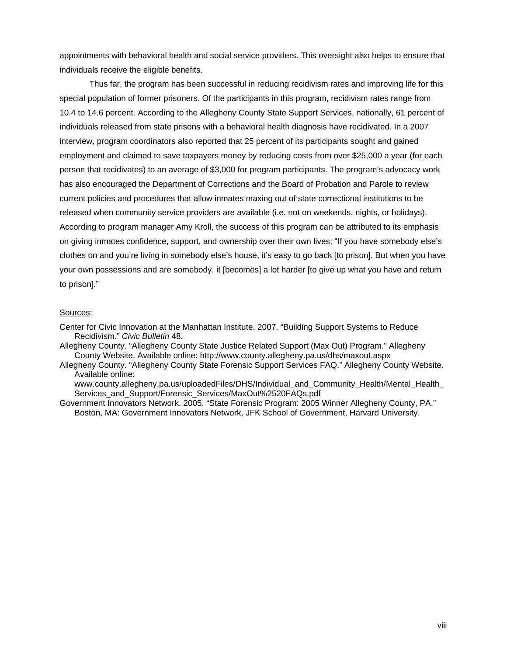appointments with behavioral health and social service providers. This oversight also helps to ensure that individuals receive the eligible benefits.

 Thus far, the program has been successful in reducing recidivism rates and improving life for this special population of former prisoners. Of the participants in this program, recidivism rates range from 10.4 to 14.6 percent. According to the Allegheny County State Support Services, nationally, 61 percent of individuals released from state prisons with a behavioral health diagnosis have recidivated. In a 2007 interview, program coordinators also reported that 25 percent of its participants sought and gained employment and claimed to save taxpayers money by reducing costs from over \$25,000 a year (for each person that recidivates) to an average of \$3,000 for program participants. The program's advocacy work has also encouraged the Department of Corrections and the Board of Probation and Parole to review current policies and procedures that allow inmates maxing out of state correctional institutions to be released when community service providers are available (i.e. not on weekends, nights, or holidays). According to program manager Amy Kroll, the success of this program can be attributed to its emphasis on giving inmates confidence, support, and ownership over their own lives; "If you have somebody else's clothes on and you're living in somebody else's house, it's easy to go back [to prison]. But when you have your own possessions and are somebody, it [becomes] a lot harder [to give up what you have and return to prison]."

#### Sources:

- Center for Civic Innovation at the Manhattan Institute. 2007. "Building Support Systems to Reduce Recidivism." *Civic Bulletin* 48.
- Allegheny County. "Allegheny County State Justice Related Support (Max Out) Program." Allegheny County Website. Available online: http://www.county.allegheny.pa.us/dhs/maxout.aspx
- Allegheny County. "Allegheny County State Forensic Support Services FAQ." Allegheny County Website. Available online:

www.county.allegheny.pa.us/uploadedFiles/DHS/Individual and Community Health/Mental Health Services\_and\_Support/Forensic\_Services/MaxOut%2520FAQs.pdf

Government Innovators Network. 2005. "State Forensic Program: 2005 Winner Allegheny County, PA." Boston, MA: Government Innovators Network, JFK School of Government, Harvard University.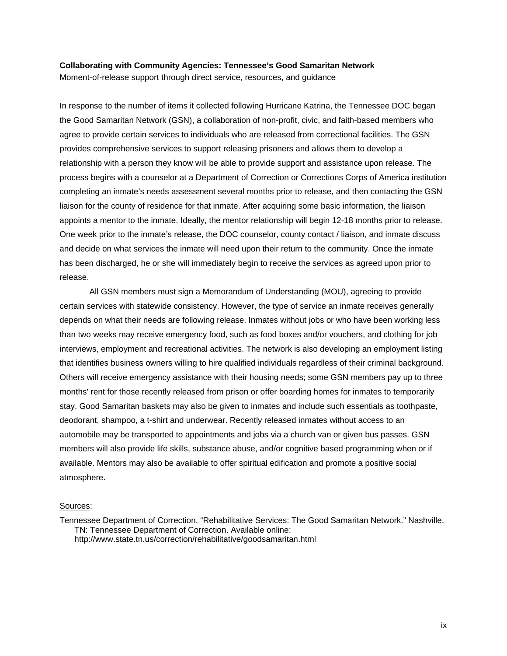#### **Collaborating with Community Agencies: Tennessee's Good Samaritan Network**

Moment-of-release support through direct service, resources, and guidance

In response to the number of items it collected following Hurricane Katrina, the Tennessee DOC began the Good Samaritan Network (GSN), a collaboration of non-profit, civic, and faith-based members who agree to provide certain services to individuals who are released from correctional facilities. The GSN provides comprehensive services to support releasing prisoners and allows them to develop a relationship with a person they know will be able to provide support and assistance upon release. The process begins with a counselor at a Department of Correction or Corrections Corps of America institution completing an inmate's needs assessment several months prior to release, and then contacting the GSN liaison for the county of residence for that inmate. After acquiring some basic information, the liaison appoints a mentor to the inmate. Ideally, the mentor relationship will begin 12-18 months prior to release. One week prior to the inmate's release, the DOC counselor, county contact / liaison, and inmate discuss and decide on what services the inmate will need upon their return to the community. Once the inmate has been discharged, he or she will immediately begin to receive the services as agreed upon prior to release.

All GSN members must sign a Memorandum of Understanding (MOU), agreeing to provide certain services with statewide consistency. However, the type of service an inmate receives generally depends on what their needs are following release. Inmates without jobs or who have been working less than two weeks may receive emergency food, such as food boxes and/or vouchers, and clothing for job interviews, employment and recreational activities. The network is also developing an employment listing that identifies business owners willing to hire qualified individuals regardless of their criminal background. Others will receive emergency assistance with their housing needs; some GSN members pay up to three months' rent for those recently released from prison or offer boarding homes for inmates to temporarily stay. Good Samaritan baskets may also be given to inmates and include such essentials as toothpaste, deodorant, shampoo, a t-shirt and underwear. Recently released inmates without access to an automobile may be transported to appointments and jobs via a church van or given bus passes. GSN members will also provide life skills, substance abuse, and/or cognitive based programming when or if available. Mentors may also be available to offer spiritual edification and promote a positive social atmosphere.

#### Sources:

Tennessee Department of Correction. "Rehabilitative Services: The Good Samaritan Network." Nashville, TN: Tennessee Department of Correction. Available online: http://www.state.tn.us/correction/rehabilitative/goodsamaritan.html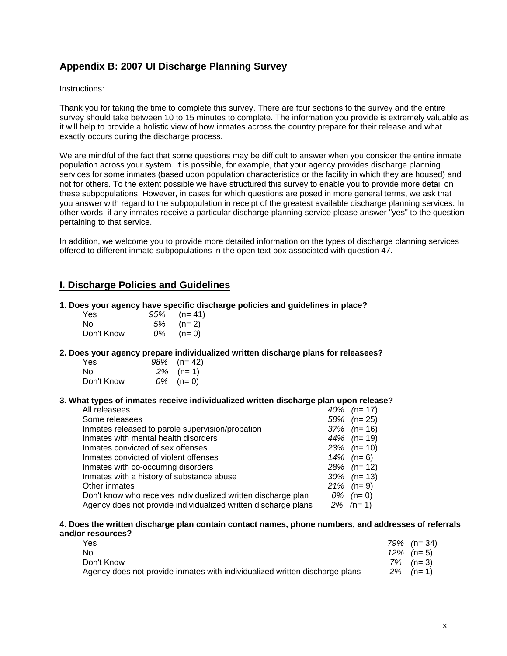## **Appendix B: 2007 UI Discharge Planning Survey**

#### Instructions:

Thank you for taking the time to complete this survey. There are four sections to the survey and the entire survey should take between 10 to 15 minutes to complete. The information you provide is extremely valuable as it will help to provide a holistic view of how inmates across the country prepare for their release and what exactly occurs during the discharge process.

We are mindful of the fact that some questions may be difficult to answer when you consider the entire inmate population across your system. It is possible, for example, that your agency provides discharge planning services for some inmates (based upon population characteristics or the facility in which they are housed) and not for others. To the extent possible we have structured this survey to enable you to provide more detail on these subpopulations. However, in cases for which questions are posed in more general terms, we ask that you answer with regard to the subpopulation in receipt of the greatest available discharge planning services. In other words, if any inmates receive a particular discharge planning service please answer "yes" to the question pertaining to that service.

In addition, we welcome you to provide more detailed information on the types of discharge planning services offered to different inmate subpopulations in the open text box associated with question 47.

### **I. Discharge Policies and Guidelines**

#### **1. Does your agency have specific discharge policies and guidelines in place?**

| Yes        |    | $95\%$ (n= 41) |
|------------|----|----------------|
| N٥         |    | $5\%$ (n= 2)   |
| Don't Know | 0% | $(n=0)$        |

#### **2. Does your agency prepare individualized written discharge plans for releasees?**

| Yes        | $98\%$ (n= 42) |
|------------|----------------|
| N٥         | $2\%$ (n= 1)   |
| Don't Know | $0\%$ (n= 0)   |

#### **3. What types of inmates receive individualized written discharge plan upon release?**

| All releasees                                                  | 40% | $(n=17)$       |
|----------------------------------------------------------------|-----|----------------|
| Some releasees                                                 |     | $58\%$ (n= 25) |
| Inmates released to parole supervision/probation               |     | $37\%$ (n= 16) |
| Inmates with mental health disorders                           | 44% | $(n=19)$       |
| Inmates convicted of sex offenses                              |     | $23\%$ (n= 10) |
| Inmates convicted of violent offenses                          |     | 14% $(n=6)$    |
| Inmates with co-occurring disorders                            |     | $28\%$ (n= 12) |
| Inmates with a history of substance abuse                      |     | $30\%$ (n= 13) |
| Other inmates                                                  | 21% | $(n=9)$        |
| Don't know who receives individualized written discharge plan  |     | $0\%$ (n= 0)   |
| Agency does not provide individualized written discharge plans |     | $2\%$ (n= 1)   |
|                                                                |     |                |

#### **4. Does the written discharge plan contain contact names, phone numbers, and addresses of referrals and/or resources?**

| Yes                                                                         | $79\%$ (n= 34) |
|-----------------------------------------------------------------------------|----------------|
| No.                                                                         | $12\%$ (n= 5)  |
| Don't Know                                                                  | $7\%$ (n= 3)   |
| Agency does not provide inmates with individualized written discharge plans | $2\%$ (n= 1)   |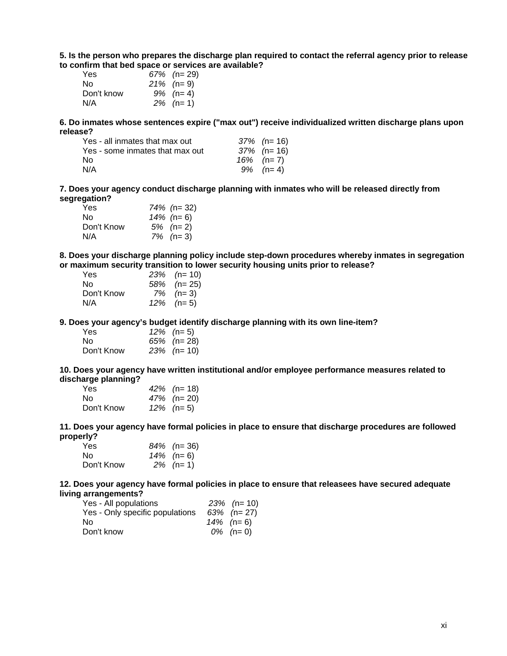**5. Is the person who prepares the discharge plan required to contact the referral agency prior to release to confirm that bed space or services are available?**

| Yes        | $67\%$ (n= 29) |
|------------|----------------|
| N٥         | 21% $(n=9)$    |
| Don't know | $9\%$ (n= 4)   |
| N/A        | $2\%$ (n= 1)   |

**6. Do inmates whose sentences expire ("max out") receive individualized written discharge plans upon release?**

| Yes - all inmates that max out  | $37\%$ (n= 16) |
|---------------------------------|----------------|
| Yes - some inmates that max out | $37\%$ (n= 16) |
| N٥                              | 16% $(n=7)$    |
| N/A                             | $9\%$ (n= 4)   |

**7. Does your agency conduct discharge planning with inmates who will be released directly from segregation?**

| Yes        | 74% (n= 32)  |
|------------|--------------|
| Nο         | 14% (n= 6)   |
| Don't Know | $5\%$ (n= 2) |
| N/A        | $7\%$ (n= 3) |

**8. Does your discharge planning policy include step-down procedures whereby inmates in segregation or maximum security transition to lower security housing units prior to release?**

| $23\%$ (n= 10) |
|----------------|
| $58\%$ (n= 25) |
| $7\%$ (n= 3)   |
| $12\%$ (n= 5)  |
|                |

**9. Does your agency's budget identify discharge planning with its own line-item?**

| Yes.       | $12\%$ (n= 5)  |
|------------|----------------|
| No.        | $65\%$ (n= 28) |
| Don't Know | 23% (n= 10)    |

**10. Does your agency have written institutional and/or employee performance measures related to discharge planning?**

| Yes        | 42% $(n=18)$  |
|------------|---------------|
| No.        | 47% (n= 20)   |
| Don't Know | $12\%$ (n= 5) |

**11. Does your agency have formal policies in place to ensure that discharge procedures are followed properly?**

| Yes        | $84\%$ (n= 36) |
|------------|----------------|
| No.        | 14% (n= 6)     |
| Don't Know | $2\%$ (n= 1)   |

**12. Does your agency have formal policies in place to ensure that releasees have secured adequate living arrangements?**

| Yes - All populations           | $23\%$ (n= 10) |
|---------------------------------|----------------|
| Yes - Only specific populations | $63\%$ (n= 27) |
| Nο                              | 14% $(n=6)$    |
| Don't know                      | $0\%$ (n= 0)   |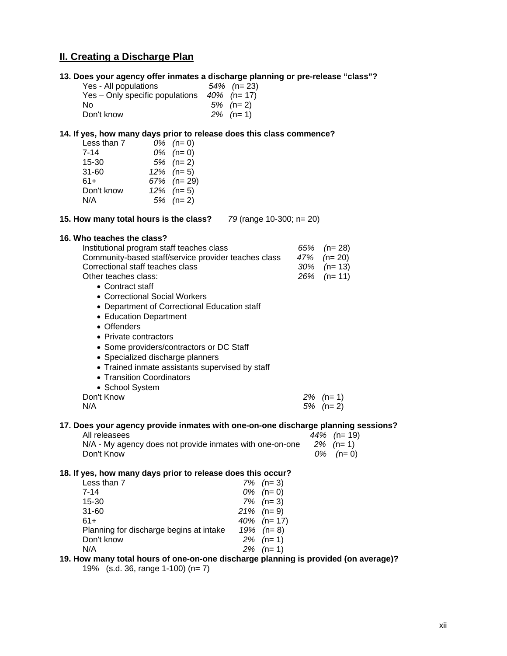# **II. Creating a Discharge Plan**

|                                 | 13. Does your agency offer inmates a discharge planning or pre-release "class"? |
|---------------------------------|---------------------------------------------------------------------------------|
| Yes - All populations           | $54\%$ (n= 23)                                                                  |
| Yes – Only specific populations | 40% (n= 17)                                                                     |
| Nο                              | $5\%$ (n= 2)                                                                    |
| Don't know                      | $2\%$ (n= 1)                                                                    |

#### **14. If yes, how many days prior to release does this class commence?**

| Less than 7 | $0\%$ (n= 0)   |
|-------------|----------------|
| $7 - 14$    | $0\%$ (n= 0)   |
| 15-30       | $5\%$ (n= 2)   |
| $31 - 60$   | $12\%$ (n= 5)  |
| $61+$       | $67\%$ (n= 29) |
| Don't know  | $12\%$ (n= 5)  |
| N/A         | $5\%$ (n= 2)   |

**15. How many total hours is the class?** *79* (range 10-300; n= 20)

#### **16. Who teaches the class?**

| Institutional program staff teaches class                                         | 65% | $(n=28)$       |  |
|-----------------------------------------------------------------------------------|-----|----------------|--|
| Community-based staff/service provider teaches class                              |     | 47% $(n=20)$   |  |
| Correctional staff teaches class                                                  |     | $30\%$ (n= 13) |  |
| Other teaches class:                                                              |     | $26\%$ (n= 11) |  |
| • Contract staff                                                                  |     |                |  |
| • Correctional Social Workers                                                     |     |                |  |
| • Department of Correctional Education staff                                      |     |                |  |
| • Education Department                                                            |     |                |  |
| • Offenders                                                                       |     |                |  |
| • Private contractors                                                             |     |                |  |
| • Some providers/contractors or DC Staff                                          |     |                |  |
| • Specialized discharge planners                                                  |     |                |  |
| • Trained inmate assistants supervised by staff                                   |     |                |  |
| • Transition Coordinators                                                         |     |                |  |
| • School System                                                                   |     |                |  |
| Don't Know                                                                        |     | 2% (n= 1)      |  |
| N/A                                                                               |     | $5\%$ (n= 2)   |  |
| 17. Does your agency provide inmates with one-on-one discharge planning sessions? |     |                |  |
| All releasees                                                                     |     | 44% (n= 19)    |  |
| N/A - My agency does not provide inmates with one-on-one                          |     | $2\%$ (n= 1)   |  |
| Don't Know                                                                        |     | $(n=0)$<br>0%  |  |
| 18. If yes, how many days prior to release does this occur?                       |     |                |  |

| Less than 7                             | $7\%$ (n= 3) |
|-----------------------------------------|--------------|
| 7-14                                    | $0\%$ (n= 0) |
| 15-30                                   | $7\%$ (n= 3) |
| $31 - 60$                               | 21% $(n=9)$  |
| 61+                                     | 40% $(n=17)$ |
| Planning for discharge begins at intake | 19% $(n=8)$  |
| Don't know                              | $2\%$ (n= 1) |
| N/A                                     | $2\%$ (n= 1) |
|                                         |              |

**19. How many total hours of one-on-one discharge planning is provided (on average)?** 

19% (s.d. 36, range 1-100) (n= 7)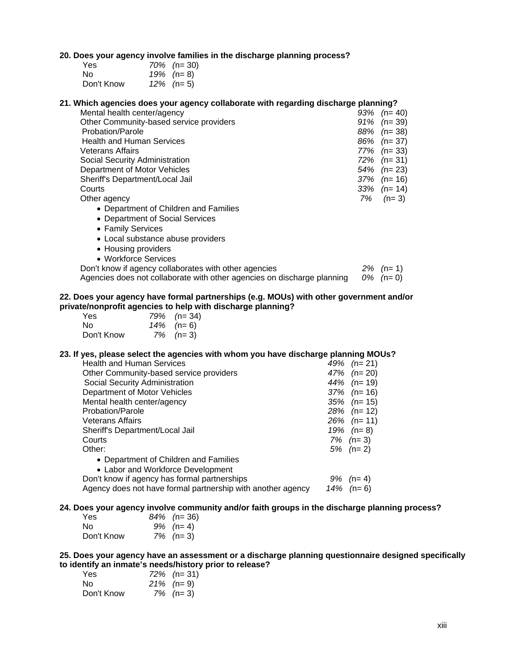#### **20. Does your agency involve families in the discharge planning process?**

| Yes        | $70\%$ (n= 30) |
|------------|----------------|
| No.        | 19% $(n=8)$    |
| Don't Know | $12\%$ (n= 5)  |

#### **21. Which agencies does your agency collaborate with regarding discharge planning?**

| Mental health center/agency                           |     | $93\%$ (n= 40) |
|-------------------------------------------------------|-----|----------------|
| Other Community-based service providers               |     | $91\%$ (n= 39) |
| Probation/Parole                                      |     | $88\%$ (n= 38) |
| <b>Health and Human Services</b>                      |     | $86\%$ (n= 37) |
| <b>Veterans Affairs</b>                               |     | $77\%$ (n= 33) |
| Social Security Administration                        |     | $72\%$ (n= 31) |
| Department of Motor Vehicles                          |     | $54\%$ (n= 23) |
| Sheriff's Department/Local Jail                       | 37% | $(n=16)$       |
| Courts                                                |     | $33\%$ (n= 14) |
| Other agency                                          | 7%  | $(n=3)$        |
| • Department of Children and Families                 |     |                |
| • Department of Social Services                       |     |                |
| • Family Services                                     |     |                |
| • Local substance abuse providers                     |     |                |
| • Housing providers                                   |     |                |
| • Workforce Services                                  |     |                |
| Don't know if agency collaborates with other agencies |     | $2\%$ (n= 1)   |
|                                                       |     |                |

# Agencies does not collaborate with other agencies on discharge planning *0% (*n= 0)

#### **22. Does your agency have formal partnerships (e.g. MOUs) with other government and/or private/nonprofit agencies to help with discharge planning?**

| Yes.       | 79% $(n=34)$ |
|------------|--------------|
| No.        | 14% $(n=6)$  |
| Don't Know | $7\%$ (n= 3) |

#### **23. If yes, please select the agencies with whom you have discharge planning MOUs?**

| <b>Health and Human Services</b>                            | 49% | $(n=21)$       |
|-------------------------------------------------------------|-----|----------------|
| Other Community-based service providers                     |     | 47% $(n=20)$   |
| Social Security Administration                              |     | 44% $(n=19)$   |
| Department of Motor Vehicles                                |     | $37\%$ (n= 16) |
| Mental health center/agency                                 |     | $35\%$ (n= 15) |
| Probation/Parole                                            |     | $28\%$ (n= 12) |
| <b>Veterans Affairs</b>                                     |     | $26\%$ (n= 11) |
| Sheriff's Department/Local Jail                             |     | 19% $(n=8)$    |
| Courts                                                      |     | $7\%$ (n= 3)   |
| Other:                                                      |     | $5\%$ (n= 2)   |
| • Department of Children and Families                       |     |                |
| • Labor and Workforce Development                           |     |                |
| Don't know if agency has formal partnerships                | 9%  | $(n=4)$        |
| Agency does not have formal partnership with another agency | 14% | $(n=6)$        |

#### **24. Does your agency involve community and/or faith groups in the discharge planning process?**

| Yes        | $84\%$ (n= 36) |
|------------|----------------|
| No.        | $9\%$ (n= 4)   |
| Don't Know | $7\%$ (n= 3)   |

**25. Does your agency have an assessment or a discharge planning questionnaire designed specifically to identify an inmate's needs/history prior to release?**

| Yes        | $72\%$ (n= 31) |
|------------|----------------|
| No.        | 21% (n= 9)     |
| Don't Know | $7\%$ (n= 3)   |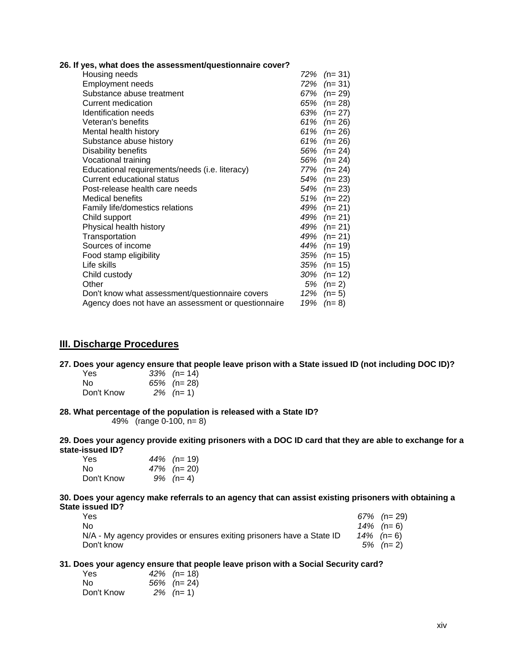| 26. If yes, what does the assessment/questionnaire cover? |  |  |  |  |  |  |  |  |  |
|-----------------------------------------------------------|--|--|--|--|--|--|--|--|--|
|-----------------------------------------------------------|--|--|--|--|--|--|--|--|--|

| Housing needs                                       | 72% | $(n=31)$       |
|-----------------------------------------------------|-----|----------------|
| <b>Employment needs</b>                             | 72% | $(n=31)$       |
| Substance abuse treatment                           | 67% | (n= 29)        |
| Current medication                                  | 65% | $(n=28)$       |
| <b>Identification needs</b>                         | 63% | $(n=27)$       |
| Veteran's benefits                                  | 61% | $(n=26)$       |
| Mental health history                               | 61% | $(n=26)$       |
| Substance abuse history                             | 61% | $(n=26)$       |
| Disability benefits                                 |     | $56\%$ (n= 24) |
| Vocational training                                 | 56% | $(n=24)$       |
| Educational requirements/needs (i.e. literacy)      | 77% | $(n=24)$       |
| Current educational status                          | 54% | $(n=23)$       |
| Post-release health care needs                      | 54% | $(n=23)$       |
| Medical benefits                                    | 51% | $(n=22)$       |
| Family life/domestics relations                     | 49% | $(n=21)$       |
| Child support                                       | 49% | $(n=21)$       |
| Physical health history                             |     | 49% $(n=21)$   |
| Transportation                                      | 49% | $(n=21)$       |
| Sources of income                                   | 44% | $(n=19)$       |
| Food stamp eligibility                              | 35% | $(n=15)$       |
| Life skills                                         | 35% | $(n=15)$       |
| Child custody                                       | 30% | $(n=12)$       |
| Other                                               | 5%  | $(n=2)$        |
| Don't know what assessment/questionnaire covers     | 12% | $(n=5)$        |
| Agency does not have an assessment or questionnaire | 19% | $(n=8)$        |
|                                                     |     |                |

### **III. Discharge Procedures**

#### **27. Does your agency ensure that people leave prison with a State issued ID (not including DOC ID)?**

| Yes        | $33\%$ (n= 14) |
|------------|----------------|
| No.        | $65\%$ (n= 28) |
| Don't Know | $2\%$ (n= 1)   |

#### **28. What percentage of the population is released with a State ID?**

49% (range 0-100, n= 8)

**29. Does your agency provide exiting prisoners with a DOC ID card that they are able to exchange for a state-issued ID?**

| Yes        | 44% $(n=19)$ |
|------------|--------------|
| No.        | 47% (n= 20)  |
| Don't Know | $9\%$ (n= 4) |

**30. Does your agency make referrals to an agency that can assist existing prisoners with obtaining a State issued ID?**

| Yes                                                                   | $67\%$ (n= 29) |
|-----------------------------------------------------------------------|----------------|
| No.                                                                   | 14% $(n=6)$    |
| N/A - My agency provides or ensures exiting prisoners have a State ID | 14% $(n=6)$    |
| Don't know                                                            | $5\%$ (n= 2)   |

#### **31. Does your agency ensure that people leave prison with a Social Security card?**

| Yes.       | 42\% $(n=18)$  |
|------------|----------------|
| No.        | $56\%$ (n= 24) |
| Don't Know | $2\%$ (n= 1)   |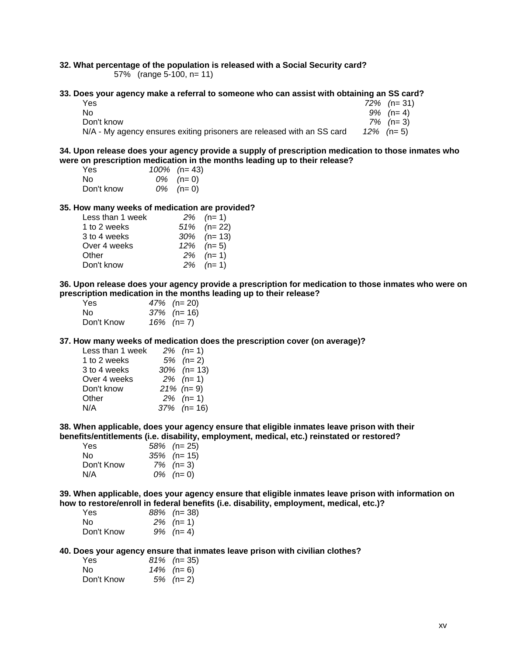# **32. What percentage of the population is released with a Social Security card?**

57% (range 5-100, n= 11)

#### **33. Does your agency make a referral to someone who can assist with obtaining an SS card?**

| Yes                                                                    | $72\%$ (n= 31) |
|------------------------------------------------------------------------|----------------|
| No.                                                                    | $9\%$ (n= 4)   |
| Don't know                                                             | $7\%$ (n= 3)   |
| N/A - My agency ensures exiting prisoners are released with an SS card | $12\%$ (n= 5)  |

#### **34. Upon release does your agency provide a supply of prescription medication to those inmates who were on prescription medication in the months leading up to their release?**

| Yes        | $100\%$ (n= 43) |
|------------|-----------------|
| No.        | $0\%$ (n= 0)    |
| Don't know | $0\%$ (n= 0)    |

#### **35. How many weeks of medication are provided?**

| $2\%$ (n= 1)   |
|----------------|
| $51\%$ (n= 22) |
| $30\%$ (n= 13) |
| $12\%$ (n= 5)  |
| $2\%$ (n= 1)   |
| $2\%$ (n= 1)   |
|                |

**36. Upon release does your agency provide a prescription for medication to those inmates who were on prescription medication in the months leading up to their release?**

| Yes        | 47% $(n=20)$   |
|------------|----------------|
| No.        | $37\%$ (n= 16) |
| Don't Know | 16% $(n=7)$    |

#### **37. How many weeks of medication does the prescription cover (on average)?**

| Less than 1 week | $2\%$ (n= 1)   |
|------------------|----------------|
| 1 to 2 weeks     | $5\%$ (n= 2)   |
| 3 to 4 weeks     | $30\%$ (n= 13) |
| Over 4 weeks     | $2\%$ (n= 1)   |
| Don't know       | $21\%$ (n= 9)  |
| Other            | $2\%$ (n= 1)   |
| N/A              | $37\%$ (n= 16) |
|                  |                |

**38. When applicable, does your agency ensure that eligible inmates leave prison with their benefits/entitlements (i.e. disability, employment, medical, etc.) reinstated or restored?**

| Yes        | $58\%$ (n= 25) |
|------------|----------------|
| N٥         | $35\%$ (n= 15) |
| Don't Know | $7\%$ (n= 3)   |
| N/A        | $0\%$ (n= 0)   |

**39. When applicable, does your agency ensure that eligible inmates leave prison with information on how to restore/enroll in federal benefits (i.e. disability, employment, medical, etc.)?**

| Yes        | $88\%$ (n= 38) |
|------------|----------------|
| No.        | $2\%$ (n= 1)   |
| Don't Know | $9\%$ (n= 4)   |

#### **40. Does your agency ensure that inmates leave prison with civilian clothes?**

| Yes        | $81\%$ (n= 35) |
|------------|----------------|
| No.        | 14% $(n=6)$    |
| Don't Know | $5\%$ (n= 2)   |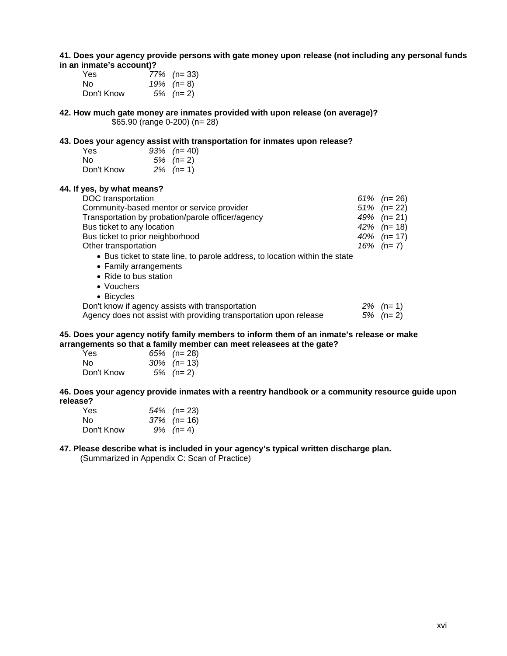#### **41. Does your agency provide persons with gate money upon release (not including any personal funds in an inmate's account)?**

| Yes        | $77\%$ (n= 33) |
|------------|----------------|
| No.        | 19% $(n=8)$    |
| Don't Know | $5\%$ (n= 2)   |

**42. How much gate money are inmates provided with upon release (on average)?** \$65.90 (range 0-200) (n= 28)

#### **43. Does your agency assist with transportation for inmates upon release?**

| Yes        | $93\%$ (n= 40) |
|------------|----------------|
| No.        | $5\%$ (n= 2)   |
| Don't Know | $2\%$ (n= 1)   |

**44. If yes, by what means?**

| DOC transportation                                                          | 61% $(n=26)$   |
|-----------------------------------------------------------------------------|----------------|
| Community-based mentor or service provider                                  | $51\%$ (n= 22) |
| Transportation by probation/parole officer/agency                           | 49% $(n=21)$   |
| Bus ticket to any location                                                  | 42% $(n=18)$   |
| Bus ticket to prior neighborhood                                            | 40% $(n=17)$   |
| Other transportation                                                        | 16% $(n=7)$    |
| • Bus ticket to state line, to parole address, to location within the state |                |
| • Family arrangements                                                       |                |
| • Ride to bus station                                                       |                |
| • Vouchers                                                                  |                |
| • Bicycles                                                                  |                |

| Don't know if agency assists with transportation                  | $2\%$ (n= 1) |
|-------------------------------------------------------------------|--------------|
| Agency does not assist with providing transportation upon release | $5\%$ (n= 2) |

#### **45. Does your agency notify family members to inform them of an inmate's release or make arrangements so that a family member can meet releasees at the gate?**

| Yes        | $65\%$ (n= 28) |
|------------|----------------|
| No.        | $30\%$ (n= 13) |
| Don't Know | 5% $(n=2)$     |

**46. Does your agency provide inmates with a reentry handbook or a community resource guide upon release?**

| Yes        | $54\%$ (n= 23) |
|------------|----------------|
| No.        | $37\%$ (n= 16) |
| Don't Know | $9\%$ (n= 4)   |

#### **47. Please describe what is included in your agency's typical written discharge plan.**

(Summarized in Appendix C: Scan of Practice)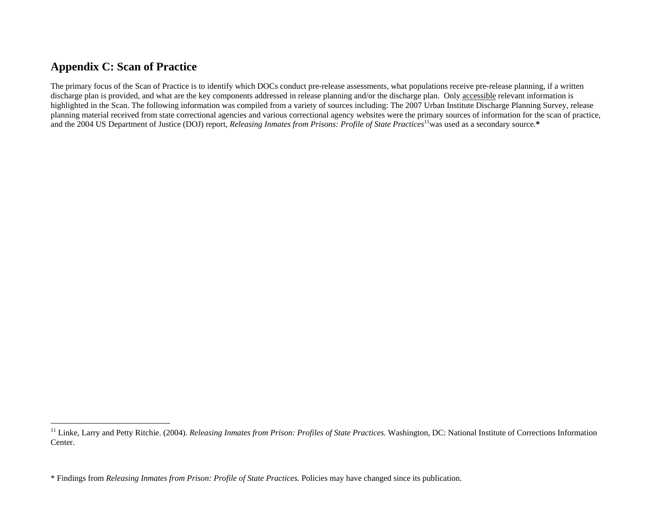# **Appendix C: Scan of Practice**

The primary focus of the Scan of Practice is to identify which DOCs conduct pre-release assessments, what populations receive pre-release planning, if a written discharge plan is provided, and what are the key components addressed in release planning and/or the discharge plan. Only accessible relevant information is highlighted in the Scan. The following information was compiled from a variety of sources including: The 2007 Urban Institute Discharge Planning Survey, release planning material received from state correctional agencies and various correctional agency websites were the primary sources of information for the scan of practice, and the 2004 US Department of Justice (DOJ) report, *Releasing Inmates from Prisons: Profile of State Practices*<sup>11</sup>was used as a secondary source.\*

<sup>&</sup>lt;sup>11</sup> Linke, Larry and Petty Ritchie. (2004). *Releasing Inmates from Prison: Profiles of State Practices*. Washington, DC: National Institute of Corrections Information Center.

<sup>\*</sup> Findings from *Releasing Inmates from Prison: Profile of State Practices.* Policies may have changed since its publication.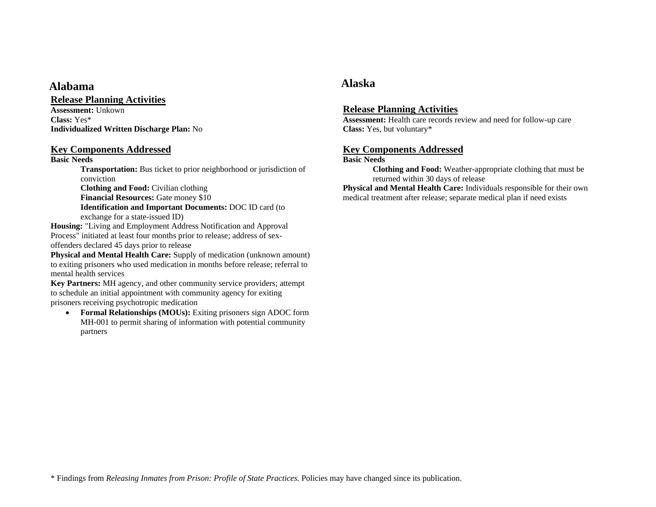# **Alabama Alaska**

### **Release Planning Activities**

**Assessment:** Unkown**Class:** Yes\***Individualized Written Discharge Plan:** No

### **Key Components Addressed**

### **Basic Needs**

**Transportation:** Bus ticket to prior neighborhood or jurisdiction of conviction

**Clothing and Food:** Civilian clothing **Financial Resources:** Gate money \$10 **Identification and Important Documents:** DOC ID card (to exchange for a state-issued ID)

**Housing:** "Living and Employment Address Notification and Approval Process" initiated at least four months prior to release; address of sexoffenders declared 45 days prior to release

**Physical and Mental Health Care:** Supply of medication (unknown amount) to exiting prisoners who used medication in months before release; referral to mental health services

**Key Partners:** MH agency, and other community service providers; attempt to schedule an initial appointment with community agency for exiting prisoners receiving psychotropic medication

• **Formal Relationships (MOUs):** Exiting prisoners sign ADOC form MH-001 to permit sharing of information with potential community partners

# **Release Planning Activities**

**Assessment:** Health care records review and need for follow-up care **Class:** Yes, but voluntary\*

# **Key Components Addressed**

### **Basic Needs**

**Clothing and Food:** Weather-appropriate clothing that must be returned within 30 days of release

**Physical and Mental Health Care:** Individuals responsible for their own medical treatment after release; separate medical plan if need exists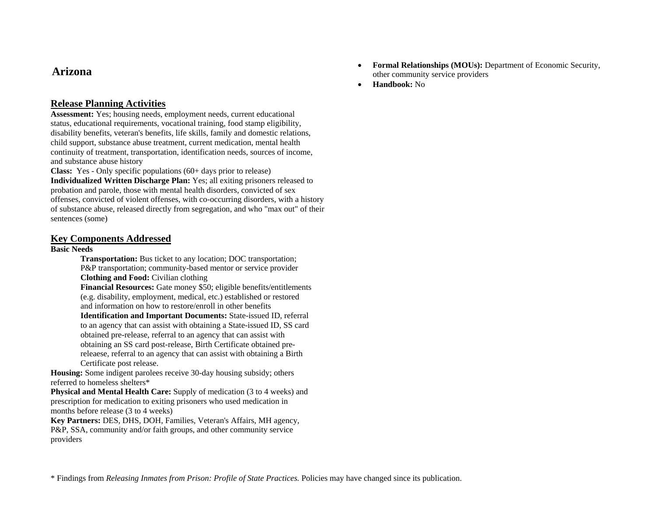# **Arizona**

# **Release Planning Activities**

**Assessment:** Yes; housing needs, employment needs, current educational status, educational requirements, vocational training, food stamp eligibility, disability benefits, veteran's benefits, life skills, family and domestic relations, child support, substance abuse treatment, current medication, mental health continuity of treatment, transportation, identification needs, sources of income, and substance abuse history

**Class:** Yes - Only specific populations (60+ days prior to release) **Individualized Written Discharge Plan:** Yes; all exiting prisoners released to probation and parole, those with mental health disorders, convicted of sex offenses, convicted of violent offenses, with co-occurring disorders, with a history of substance abuse, released directly from segregation, and who "max out" of their sentences (some)

### **Key Components Addressed**

### **Basic Needs**

**Transportation:** Bus ticket to any location; DOC transportation; P&P transportation; community-based mentor or service provider **Clothing and Food:** Civilian clothing

**Financial Resources:** Gate money \$50; eligible benefits/entitlements (e.g. disability, employment, medical, etc.) established or restored and information on how to restore/enroll in other benefits **Identification and Important Documents:** State-issued ID, referral to an agency that can assist with obtaining a State-issued ID, SS card obtained pre-release, referral to an agency that can assist with obtaining an SS card post-release, Birth Certificate obtained prereleaese, referral to an agency that can assist with obtaining a Birth Certificate post release.

**Housing:** Some indigent parolees receive 30-day housing subsidy; others referred to homeless shelters\*

**Physical and Mental Health Care:** Supply of medication (3 to 4 weeks) and prescription for medication to exiting prisoners who used medication in months before release (3 to 4 weeks)

**Key Partners:** DES, DHS, DOH, Families, Veteran's Affairs, MH agency, P&P, SSA, community and/or faith groups, and other community service providers

- • **Formal Relationships (MOUs):** Department of Economic Security, other community service providers
- •**Handbook:** No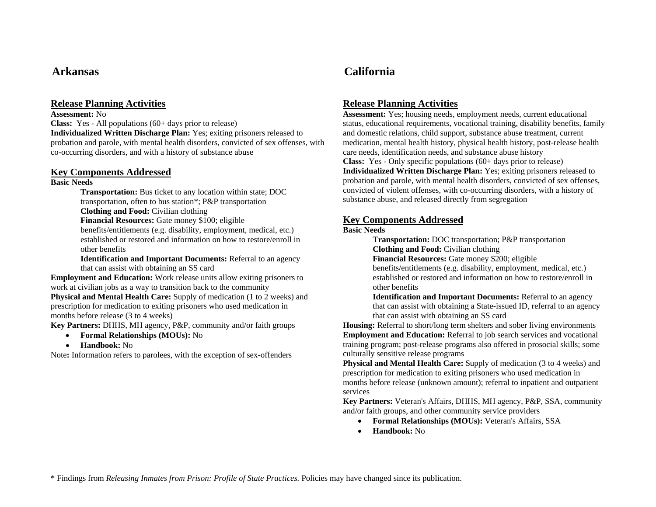**Assessment:** No

**Class:** Yes - All populations (60+ days prior to release) **Individualized Written Discharge Plan:** Yes; exiting prisoners released to probation and parole, with mental health disorders, convicted of sex offenses, with co-occurring disorders, and with a history of substance abuse

# **Key Components Addressed**

### **Basic Needs**

**Transportation:** Bus ticket to any location within state; DOC transportation, often to bus station\*; P&P transportation **Clothing and Food:** Civilian clothing

**Financial Resources:** Gate money \$100; eligible benefits/entitlements (e.g. disability, employment, medical, etc.) established or restored and information on how to restore/enroll in other benefits

**Identification and Important Documents:** Referral to an agency that can assist with obtaining an SS card

**Employment and Education:** Work release units allow exiting prisoners to work at civilian jobs as a way to transition back to the community **Physical and Mental Health Care:** Supply of medication (1 to 2 weeks) and prescription for medication to exiting prisoners who used medication in months before release (3 to 4 weeks)

**Key Partners:** DHHS, MH agency, P&P, community and/or faith groups

- •**Formal Relationships (MOUs):** No
- $\bullet$ **Handbook:** No

Note**:** Information refers to parolees, with the exception of sex-offenders

# **Arkansas California**

# **Release Planning Activities**

**Assessment:** Yes; housing needs, employment needs, current educational status, educational requirements, vocational training, disability benefits, family and domestic relations, child support, substance abuse treatment, current medication, mental health history, physical health history, post-release health care needs, identification needs, and substance abuse history

**Class:** Yes - Only specific populations (60+ days prior to release) **Individualized Written Discharge Plan:** Yes; exiting prisoners released to probation and parole, with mental health disorders, convicted of sex offenses, convicted of violent offenses, with co-occurring disorders, with a history of substance abuse, and released directly from segregation

# **Key Components Addressed**

### **Basic Needs**

**Transportation:** DOC transportation; P&P transportation **Clothing and Food:** Civilian clothing

**Financial Resources:** Gate money \$200; eligible

benefits/entitlements (e.g. disability, employment, medical, etc.) established or restored and information on how to restore/enroll in other benefits

**Identification and Important Documents:** Referral to an agency that can assist with obtaining a State-issued ID, referral to an agency that can assist with obtaining an SS card

**Housing:** Referral to short/long term shelters and sober living environments **Employment and Education:** Referral to job search services and vocational training program; post-release programs also offered in prosocial skills; some culturally sensitive release programs

**Physical and Mental Health Care:** Supply of medication (3 to 4 weeks) and prescription for medication to exiting prisoners who used medication in months before release (unknown amount); referral to inpatient and outpatient services

**Key Partners:** Veteran's Affairs, DHHS, MH agency, P&P, SSA, community and/or faith groups, and other community service providers

- **Formal Relationships (MOUs):** Veteran's Affairs, SSA
- •**Handbook:** No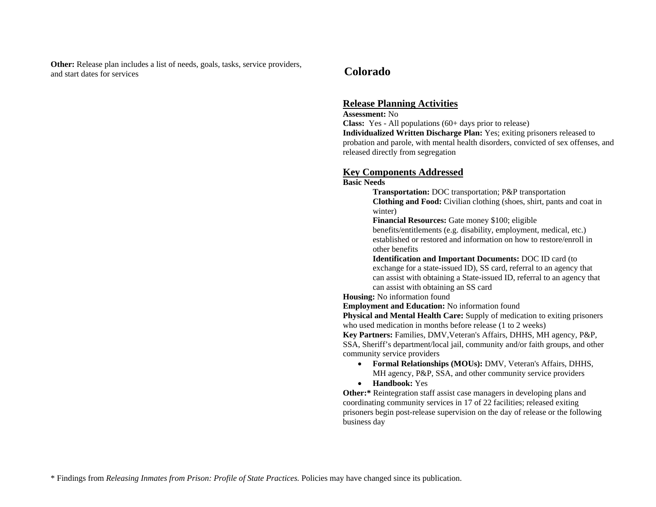**Other:** Release plan includes a list of needs, goals, tasks, service providers, and start dates for services

# **Colorado**

## **Release Planning Activities**

### **Assessment:** No

**Class:** Yes - All populations (60+ days prior to release)

**Individualized Written Discharge Plan:** Yes; exiting prisoners released to probation and parole, with mental health disorders, convicted of sex offenses, and released directly from segregation

## **Key Components Addressed**

### **Basic Needs**

**Transportation:** DOC transportation; P&P transportation **Clothing and Food:** Civilian clothing (shoes, shirt, pants and coat in winter)

**Financial Resources:** Gate money \$100; eligible

benefits/entitlements (e.g. disability, employment, medical, etc.) established or restored and information on how to restore/enroll in other benefits

**Identification and Important Documents:** DOC ID card (to exchange for a state-issued ID), SS card, referral to an agency that can assist with obtaining a State-issued ID, referral to an agency that can assist with obtaining an SS card

**Housing:** No information found

**Employment and Education:** No information found

**Physical and Mental Health Care:** Supply of medication to exiting prisoners who used medication in months before release (1 to 2 weeks)

**Key Partners:** Families, DMV,Veteran's Affairs, DHHS, MH agency, P&P, SSA, Sheriff's department/local jail, community and/or faith groups, and other community service providers

- **Formal Relationships (MOUs):** DMV, Veteran's Affairs, DHHS, MH agency, P&P, SSA, and other community service providers
- **Handbook:** Yes

**Other:**\* Reintegration staff assist case managers in developing plans and coordinating community services in 17 of 22 facilities; released exiting prisoners begin post-release supervision on the day of release or the following business day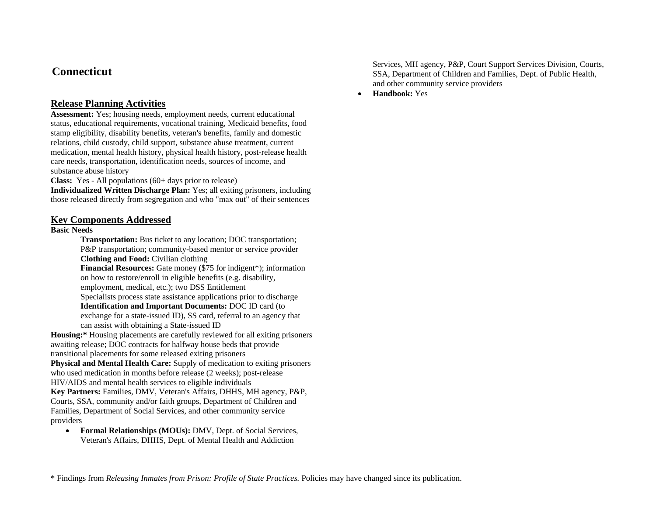# **Connecticut**

# **Release Planning Activities**

**Assessment:** Yes; housing needs, employment needs, current educational status, educational requirements, vocational training, Medicaid benefits, food stamp eligibility, disability benefits, veteran's benefits, family and domestic relations, child custody, child support, substance abuse treatment, current medication, mental health history, physical health history, post-release health care needs, transportation, identification needs, sources of income, and substance abuse history

**Class:** Yes - All populations (60+ days prior to release)

**Individualized Written Discharge Plan:** Yes; all exiting prisoners, including those released directly from segregation and who "max out" of their sentences

### **Key Components Addressed**

### **Basic Needs**

**Transportation:** Bus ticket to any location; DOC transportation; P&P transportation; community-based mentor or service provider **Clothing and Food:** Civilian clothing

**Financial Resources:** Gate money (\$75 for indigent\*); information on how to restore/enroll in eligible benefits (e.g. disability, employment, medical, etc.); two DSS Entitlement

Specialists process state assistance applications prior to discharge **Identification and Important Documents:** DOC ID card (to

exchange for a state-issued ID), SS card, referral to an agency that can assist with obtaining a State-issued ID

**Housing:\*** Housing placements are carefully reviewed for all exiting prisoners awaiting release; DOC contracts for halfway house beds that provide transitional placements for some released exiting prisoners

**Physical and Mental Health Care:** Supply of medication to exiting prisoners who used medication in months before release (2 weeks); post-release HIV/AIDS and mental health services to eligible individuals

**Key Partners:** Families, DMV, Veteran's Affairs, DHHS, MH agency, P&P, Courts, SSA, community and/or faith groups, Department of Children and Families, Department of Social Services, and other community service providers

• **Formal Relationships (MOUs):** DMV, Dept. of Social Services, Veteran's Affairs, DHHS, Dept. of Mental Health and Addiction

Services, MH agency, P&P, Court Support Services Division, Courts, SSA, Department of Children and Families, Dept. of Public Health, and other community service providers

•**Handbook:** Yes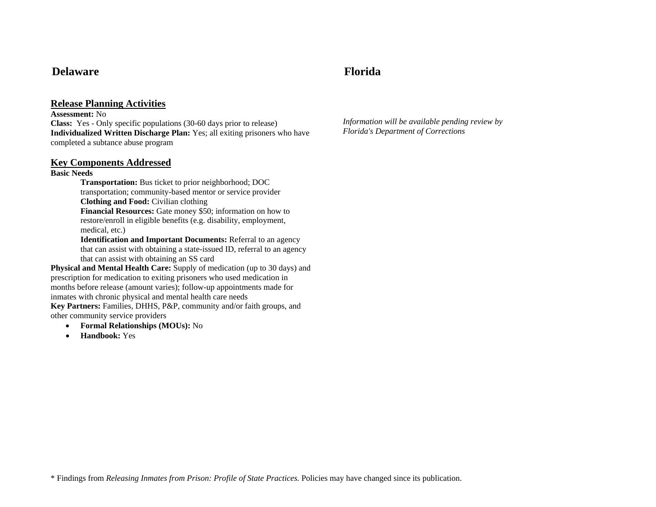# **Delaware Florida**

### **Release Planning Activities**

**Assessment:** No

**Class:** Yes - Only specific populations (30-60 days prior to release) **Individualized Written Discharge Plan:** Yes; all exiting prisoners who have completed a subtance abuse program

### **Key Components Addressed**

### **Basic Needs**

**Transportation:** Bus ticket to prior neighborhood; DOC transportation; community-based mentor or service provider **Clothing and Food:** Civilian clothing

**Financial Resources:** Gate money \$50; information on how to restore/enroll in eligible benefits (e.g. disability, employment, medical, etc.)

**Identification and Important Documents:** Referral to an agency that can assist with obtaining a state-issued ID, referral to an agency that can assist with obtaining an SS card

**Physical and Mental Health Care:** Supply of medication (up to 30 days) and prescription for medication to exiting prisoners who used medication in months before release (amount varies); follow-up appointments made for inmates with chronic physical and mental health care needs

**Key Partners:** Families, DHHS, P&P, community and/or faith groups, and other community service providers

- •**Formal Relationships (MOUs):** No
- •**Handbook:** Yes

*Information will be available pending review by Florida's Department of Corrections*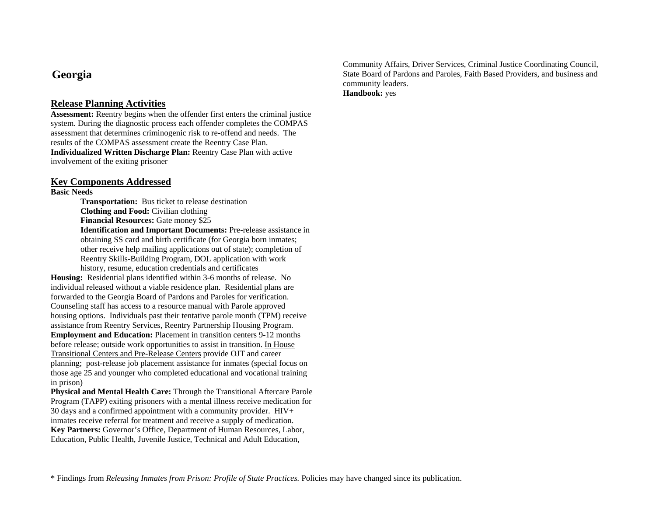# **Georgia**

# **Release Planning Activities**

**Assessment:** Reentry begins when the offender first enters the criminal justice system. During the diagnostic process each offender completes the COMPAS assessment that determines criminogenic risk to re-offend and needs. The results of the COMPAS assessment create the Reentry Case Plan. **Individualized Written Discharge Plan:** Reentry Case Plan with active involvement of the exiting prisoner

### **Key Components Addressed**

**Basic Needs** 

**Transportation:** Bus ticket to release destination **Clothing and Food:** Civilian clothing **Financial Resources:** Gate money \$25 **Identification and Important Documents:** Pre-release assistance in obtaining SS card and birth certificate (for Georgia born inmates; other receive help mailing applications out of state); completion of Reentry Skills-Building Program, DOL application with work history, resume, education credentials and certificates

**Housing:** Residential plans identified within 3-6 months of release. No individual released without a viable residence plan. Residential plans are forwarded to the Georgia Board of Pardons and Paroles for verification. Counseling staff has access to a resource manual with Parole approved housing options. Individuals past their tentative parole month (TPM) receive assistance from Reentry Services, Reentry Partnership Housing Program. **Employment and Education:** Placement in transition centers 9-12 months before release; outside work opportunities to assist in transition. In House Transitional Centers and Pre-Release Centers provide OJT and career planning; post-release job placement assistance for inmates (special focus on those age 25 and younger who completed educational and vocational training in prison)

**Physical and Mental Health Care:** Through the Transitional Aftercare Parole Program (TAPP) exiting prisoners with a mental illness receive medication for 30 days and a confirmed appointment with a community provider.  $HIV+$ inmates receive referral for treatment and receive a supply of medication. **Key Partners:** Governor's Office, Department of Human Resources, Labor, Education, Public Health, Juvenile Justice, Technical and Adult Education,

Community Affairs, Driver Services, Criminal Justice Coordinating Council, State Board of Pardons and Paroles, Faith Based Providers, and business and community leaders. **Handbook:** yes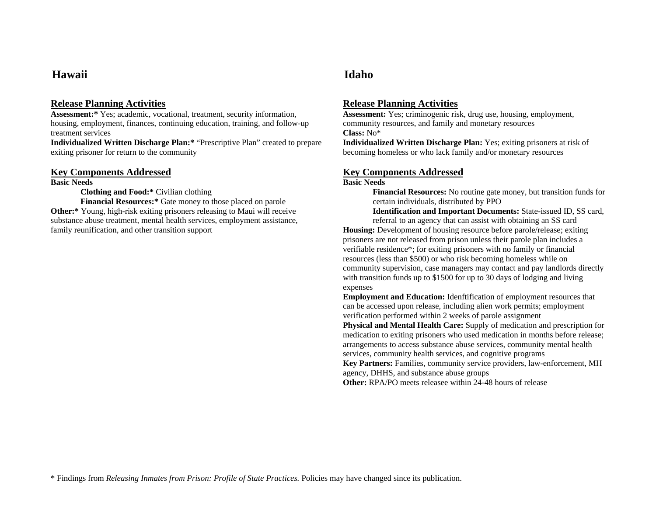# **Hawaii Idaho**

## **Release Planning Activities**

**Assessment:\*** Yes; academic, vocational, treatment, security information, housing, employment, finances, continuing education, training, and follow-up treatment services

**Individualized Written Discharge Plan:\*** "Prescriptive Plan" created to prepare exiting prisoner for return to the community

### **Key Components Addressed**

**Basic Needs** 

**Clothing and Food:\*** Civilian clothing

**Financial Resources:\*** Gate money to those placed on parole **Other:\*** Young, high-risk exiting prisoners releasing to Maui will receive substance abuse treatment, mental health services, employment assistance, family reunification, and other transition support

# **Release Planning Activities**

**Assessment:** Yes; criminogenic risk, drug use, housing, employment, community resources, and family and monetary resources **Class:** No\*

**Individualized Written Discharge Plan:** Yes; exiting prisoners at risk of becoming homeless or who lack family and/or monetary resources

# **Key Components Addressed**

### **Basic Needs**

**Financial Resources:** No routine gate money, but transition funds for certain individuals, distributed by PPO

**Identification and Important Documents:** State-issued ID, SS card,

referral to an agency that can assist with obtaining an SS card **Housing:** Development of housing resource before parole/release; exiting prisoners are not released from prison unless their parole plan includes a verifiable residence\*; for exiting prisoners with no family or financial resources (less than \$500) or who risk becoming homeless while on community supervision, case managers may contact and pay landlords directly with transition funds up to \$1500 for up to 30 days of lodging and living expenses

**Employment and Education:** Idenftification of employment resources that can be accessed upon release, including alien work permits; employment verification performed within 2 weeks of parole assignment

**Physical and Mental Health Care:** Supply of medication and prescription for medication to exiting prisoners who used medication in months before release; arrangements to access substance abuse services, community mental health services, community health services, and cognitive programs

**Key Partners:** Families, community service providers, law-enforcement, MH agency, DHHS, and substance abuse groups

**Other:** RPA/PO meets releasee within 24-48 hours of release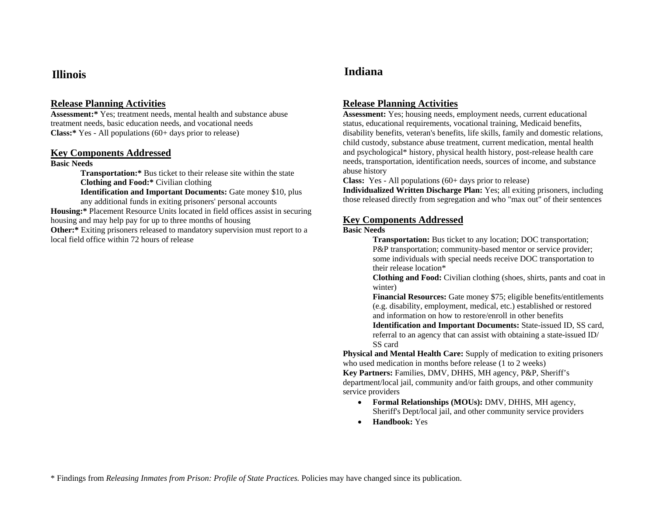**Assessment:\*** Yes; treatment needs, mental health and substance abuse treatment needs, basic education needs, and vocational needs **Class:\*** Yes - All populations (60+ days prior to release)

### **Key Components Addressed**

### **Basic Needs**

**Transportation:\*** Bus ticket to their release site within the state **Clothing and Food:\*** Civilian clothing

**Identification and Important Documents:** Gate money \$10, plus any additional funds in exiting prisoners' personal accounts

**Housing:\*** Placement Resource Units located in field offices assist in securing housing and may help pay for up to three months of housing **Other:**\* Exiting prisoners released to mandatory supervision must report to a local field office within 72 hours of release

# **Illinois Indiana**

# **Release Planning Activities**

**Assessment:** Yes; housing needs, employment needs, current educational status, educational requirements, vocational training, Medicaid benefits, disability benefits, veteran's benefits, life skills, family and domestic relations, child custody, substance abuse treatment, current medication, mental health and psychological\* history, physical health history, post-release health care needs, transportation, identification needs, sources of income, and substance abuse history

**Class:** Yes - All populations (60+ days prior to release)

**Individualized Written Discharge Plan:** Yes; all exiting prisoners, including those released directly from segregation and who "max out" of their sentences

### **Key Components Addressed**

### **Basic Needs**

**Transportation:** Bus ticket to any location; DOC transportation; P&P transportation; community-based mentor or service provider; some individuals with special needs receive DOC transportation to their release location\*

**Clothing and Food:** Civilian clothing (shoes, shirts, pants and coat in winter)

**Financial Resources:** Gate money \$75; eligible benefits/entitlements (e.g. disability, employment, medical, etc.) established or restored and information on how to restore/enroll in other benefits

**Identification and Important Documents:** State-issued ID, SS card, referral to an agency that can assist with obtaining a state-issued ID/ SS card

**Physical and Mental Health Care:** Supply of medication to exiting prisoners who used medication in months before release (1 to 2 weeks)

**Key Partners:** Families, DMV, DHHS, MH agency, P&P, Sheriff's department/local jail, community and/or faith groups, and other community service providers

- **Formal Relationships (MOUs):** DMV, DHHS, MH agency, Sheriff's Dept/local jail, and other community service providers
- •**Handbook:** Yes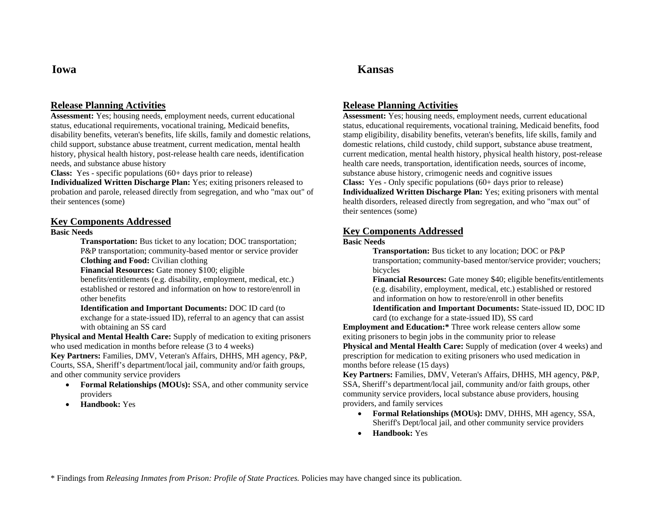**Assessment:** Yes; housing needs, employment needs, current educational status, educational requirements, vocational training, Medicaid benefits, disability benefits, veteran's benefits, life skills, family and domestic relations, child support, substance abuse treatment, current medication, mental health history, physical health history, post-release health care needs, identification needs, and substance abuse history

**Class:** Yes - specific populations (60+ days prior to release)

**Individualized Written Discharge Plan:** Yes; exiting prisoners released to probation and parole, released directly from segregation, and who "max out" of their sentences (some)

### **Key Components Addressed**

### **Basic Needs**

**Transportation:** Bus ticket to any location; DOC transportation; P&P transportation; community-based mentor or service provider **Clothing and Food:** Civilian clothing

**Financial Resources:** Gate money \$100; eligible

benefits/entitlements (e.g. disability, employment, medical, etc.) established or restored and information on how to restore/enroll in other benefits

**Identification and Important Documents:** DOC ID card (to exchange for a state-issued ID), referral to an agency that can assist with obtaining an SS card

**Physical and Mental Health Care:** Supply of medication to exiting prisoners who used medication in months before release (3 to 4 weeks)

**Key Partners:** Families, DMV, Veteran's Affairs, DHHS, MH agency, P&P, Courts, SSA, Sheriff's department/local jail, community and/or faith groups, and other community service providers

- **Formal Relationships (MOUs):** SSA, and other community service providers
- •**Handbook:** Yes

# **Iowa Kansas**

## **Release Planning Activities**

**Assessment:** Yes; housing needs, employment needs, current educational status, educational requirements, vocational training, Medicaid benefits, food stamp eligibility, disability benefits, veteran's benefits, life skills, family and domestic relations, child custody, child support, substance abuse treatment, current medication, mental health history, physical health history, post-release health care needs, transportation, identification needs, sources of income, substance abuse history, crimogenic needs and cognitive issues **Class:** Yes - Only specific populations (60+ days prior to release) **Individualized Written Discharge Plan:** Yes; exiting prisoners with mental health disorders, released directly from segregation, and who "max out" of their sentences (some)

### **Key Components Addressed**

### **Basic Needs**

**Transportation:** Bus ticket to any location; DOC or P&P transportation; community-based mentor/service provider; vouchers; bicycles

**Financial Resources:** Gate money \$40; eligible benefits/entitlements (e.g. disability, employment, medical, etc.) established or restored and information on how to restore/enroll in other benefits**Identification and Important Documents:** State-issued ID, DOC ID

card (to exchange for a state-issued ID), SS card

**Employment and Education:\*** Three work release centers allow some exiting prisoners to begin jobs in the community prior to release **Physical and Mental Health Care:** Supply of medication (over 4 weeks) and prescription for medication to exiting prisoners who used medication in months before release (15 days)

**Key Partners:** Families, DMV, Veteran's Affairs, DHHS, MH agency, P&P, SSA, Sheriff's department/local jail, community and/or faith groups, other community service providers, local substance abuse providers, housing providers, and family services

- **Formal Relationships (MOUs):** DMV, DHHS, MH agency, SSA, Sheriff's Dept/local jail, and other community service providers
- •**Handbook:** Yes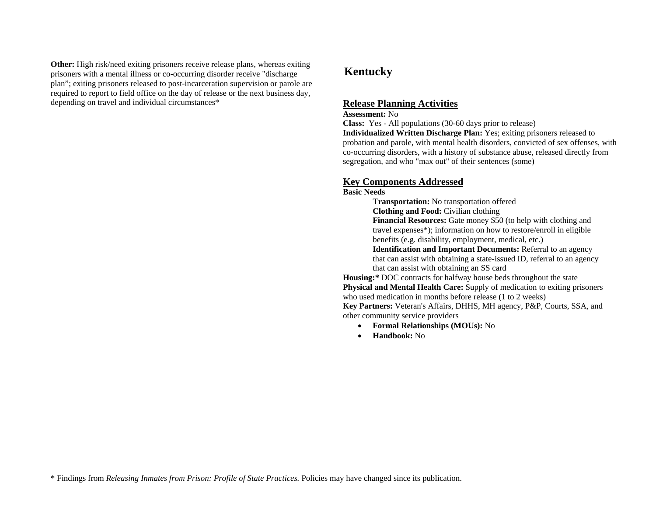**Other:** High risk/need exiting prisoners receive release plans, whereas exiting prisoners with a mental illness or co-occurring disorder receive "discharge plan"; exiting prisoners released to post-incarceration supervision or parole are required to report to field office on the day of release or the next business day, depending on travel and individual circumstances\* **Release Planning Activities**

# **Kentucky**

### **Assessment:** No

**Class:** Yes - All populations (30-60 days prior to release)

**Individualized Written Discharge Plan:** Yes; exiting prisoners released to probation and parole, with mental health disorders, convicted of sex offenses, with co-occurring disorders, with a history of substance abuse, released directly from segregation, and who "max out" of their sentences (some)

## **Key Components Addressed**

### **Basic Needs**

**Transportation:** No transportation offered **Clothing and Food:** Civilian clothing **Financial Resources:** Gate money \$50 (to help with clothing and travel expenses\*); information on how to restore/enroll in eligible benefits (e.g. disability, employment, medical, etc.) **Identification and Important Documents:** Referral to an agency

that can assist with obtaining a state-issued ID, referral to an agency that can assist with obtaining an SS card

**Housing:\*** DOC contracts for halfway house beds throughout the state **Physical and Mental Health Care:** Supply of medication to exiting prisoners who used medication in months before release (1 to 2 weeks)

**Key Partners:** Veteran's Affairs, DHHS, MH agency, P&P, Courts, SSA, and other community service providers

- **Formal Relationships (MOUs):** No
- •**Handbook:** No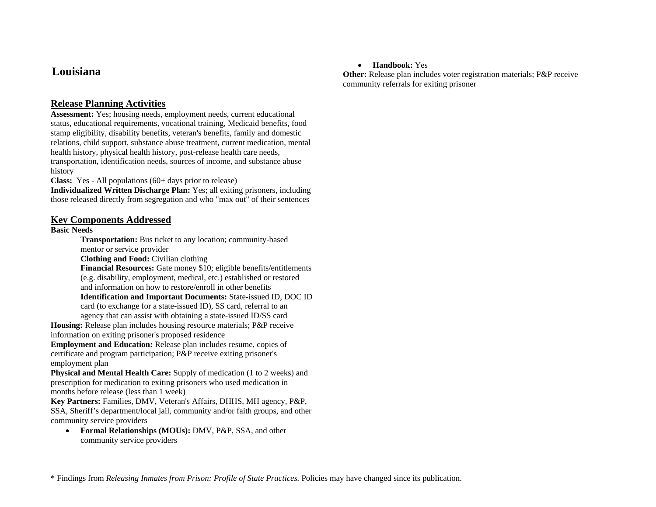# **Louisiana**

# **Release Planning Activities**

**Assessment:** Yes; housing needs, employment needs, current educational status, educational requirements, vocational training, Medicaid benefits, food stamp eligibility, disability benefits, veteran's benefits, family and domestic relations, child support, substance abuse treatment, current medication, mental health history, physical health history, post-release health care needs, transportation, identification needs, sources of income, and substance abuse history

**Class:** Yes - All populations (60+ days prior to release)

**Individualized Written Discharge Plan:** Yes; all exiting prisoners, including those released directly from segregation and who "max out" of their sentences

## **Key Components Addressed**

### **Basic Needs**

**Transportation:** Bus ticket to any location; community-based mentor or service provider

**Clothing and Food:** Civilian clothing

**Financial Resources:** Gate money \$10; eligible benefits/entitlements (e.g. disability, employment, medical, etc.) established or restored and information on how to restore/enroll in other benefits **Identification and Important Documents:** State-issued ID, DOC ID

card (to exchange for a state-issued ID), SS card, referral to an agency that can assist with obtaining a state-issued ID/SS card

**Housing:** Release plan includes housing resource materials; P&P receive information on exiting prisoner's proposed residence

**Employment and Education:** Release plan includes resume, copies of certificate and program participation; P&P receive exiting prisoner's employment plan

**Physical and Mental Health Care:** Supply of medication (1 to 2 weeks) and prescription for medication to exiting prisoners who used medication in months before release (less than 1 week)

**Key Partners:** Families, DMV, Veteran's Affairs, DHHS, MH agency, P&P, SSA, Sheriff's department/local jail, community and/or faith groups, and other community service providers

• **Formal Relationships (MOUs):** DMV, P&P, SSA, and other community service providers

## • **Handbook:** Yes

**Other:** Release plan includes voter registration materials; P&P receive community referrals for exiting prisoner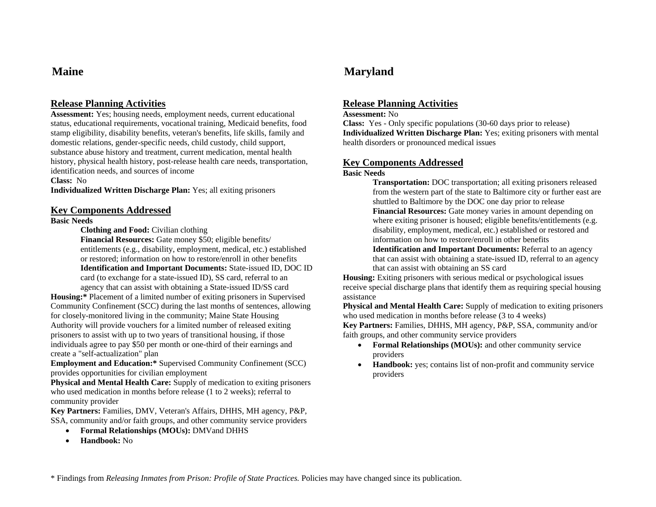**Assessment:** Yes; housing needs, employment needs, current educational status, educational requirements, vocational training, Medicaid benefits, food stamp eligibility, disability benefits, veteran's benefits, life skills, family and domestic relations, gender-specific needs, child custody, child support, substance abuse history and treatment, current medication, mental health history, physical health history, post-release health care needs, transportation, identification needs, and sources of income

**Class:** No

**Individualized Written Discharge Plan:** Yes; all exiting prisoners

### **Key Components Addressed**

### **Basic Needs**

**Clothing and Food:** Civilian clothing

**Financial Resources:** Gate money \$50; eligible benefits/ entitlements (e.g., disability, employment, medical, etc.) established or restored; information on how to restore/enroll in other benefits **Identification and Important Documents:** State-issued ID, DOC ID card (to exchange for a state-issued ID), SS card, referral to an agency that can assist with obtaining a State-issued ID/SS card

**Housing:\*** Placement of a limited number of exiting prisoners in Supervised Community Confinement (SCC) during the last months of sentences, allowing for closely-monitored living in the community; Maine State Housing Authority will provide vouchers for a limited number of released exiting prisoners to assist with up to two years of transitional housing, if those individuals agree to pay \$50 per month or one-third of their earnings and create a "self-actualization" plan

**Employment and Education:\*** Supervised Community Confinement (SCC) provides opportunities for civilian employment

**Physical and Mental Health Care:** Supply of medication to exiting prisoners who used medication in months before release (1 to 2 weeks); referral to community provider

**Key Partners:** Families, DMV, Veteran's Affairs, DHHS, MH agency, P&P, SSA, community and/or faith groups, and other community service providers

- •**Formal Relationships (MOUs):** DMVand DHHS
- •**Handbook:** No

# **Maine Maryland**

## **Release Planning Activities**

### **Assessment:** No

**Class:** Yes - Only specific populations (30-60 days prior to release) **Individualized Written Discharge Plan:** Yes; exiting prisoners with mental health disorders or pronounced medical issues

### **Key Components Addressed**

### **Basic Needs**

**Transportation:** DOC transportation; all exiting prisoners released from the western part of the state to Baltimore city or further east are shuttled to Baltimore by the DOC one day prior to release **Financial Resources:** Gate money varies in amount depending on where exiting prisoner is housed; eligible benefits/entitlements (e.g. disability, employment, medical, etc.) established or restored and information on how to restore/enroll in other benefits

**Identification and Important Documents:** Referral to an agency that can assist with obtaining a state-issued ID, referral to an agency that can assist with obtaining an SS card

**Housing:** Exiting prisoners with serious medical or psychological issues receive special discharge plans that identify them as requiring special housing assistance

**Physical and Mental Health Care:** Supply of medication to exiting prisoners who used medication in months before release (3 to 4 weeks)

**Key Partners:** Families, DHHS, MH agency, P&P, SSA, community and/or faith groups, and other community service providers

- **Formal Relationships (MOUs):** and other community service providers
- • **Handbook:** yes; contains list of non-profit and community service providers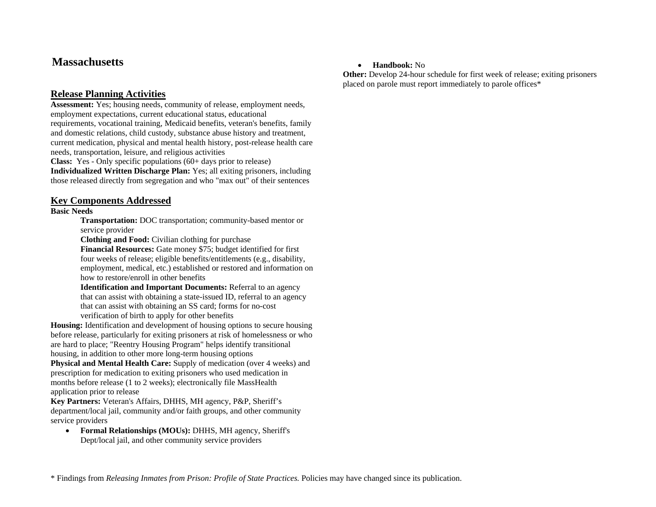# **Massachusetts**

# **Release Planning Activities**

**Assessment:** Yes; housing needs, community of release, employment needs, employment expectations, current educational status, educational requirements, vocational training, Medicaid benefits, veteran's benefits, family and domestic relations, child custody, substance abuse history and treatment, current medication, physical and mental health history, post-release health care needs, transportation, leisure, and religious activities

**Class:** Yes - Only specific populations (60+ days prior to release) **Individualized Written Discharge Plan:** Yes; all exiting prisoners, including those released directly from segregation and who "max out" of their sentences

## **Key Components Addressed**

### **Basic Needs**

**Transportation:** DOC transportation; community-based mentor or service provider

**Clothing and Food:** Civilian clothing for purchase

**Financial Resources:** Gate money \$75; budget identified for first four weeks of release; eligible benefits/entitlements (e.g., disability, employment, medical, etc.) established or restored and information on how to restore/enroll in other benefits

**Identification and Important Documents:** Referral to an agency that can assist with obtaining a state-issued ID, referral to an agency that can assist with obtaining an SS card; forms for no-cost verification of birth to apply for other benefits

**Housing:** Identification and development of housing options to secure housing before release, particularly for exiting prisoners at risk of homelessness or who are hard to place; "Reentry Housing Program" helps identify transitional housing, in addition to other more long-term housing options

**Physical and Mental Health Care:** Supply of medication (over 4 weeks) and prescription for medication to exiting prisoners who used medication in months before release (1 to 2 weeks); electronically file MassHealth application prior to release

**Key Partners:** Veteran's Affairs, DHHS, MH agency, P&P, Sheriff's department/local jail, community and/or faith groups, and other community service providers

• **Formal Relationships (MOUs):** DHHS, MH agency, Sheriff's Dept/local jail, and other community service providers

### • **Handbook:** No

**Other:** Develop 24-hour schedule for first week of release; exiting prisoners placed on parole must report immediately to parole offices\*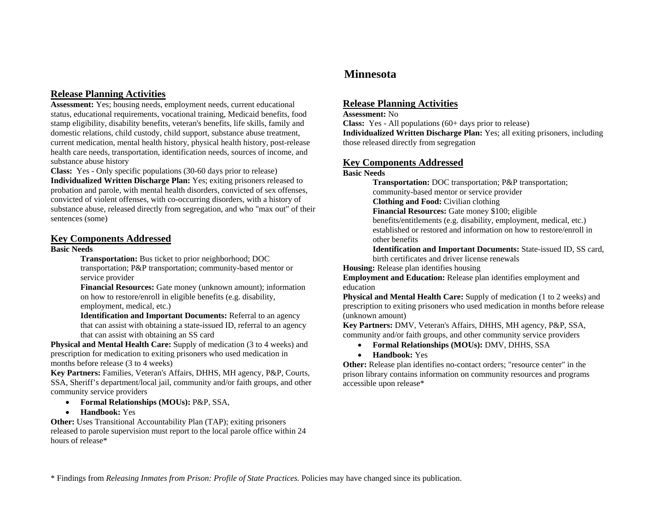**Assessment:** Yes; housing needs, employment needs, current educational status, educational requirements, vocational training, Medicaid benefits, food stamp eligibility, disability benefits, veteran's benefits, life skills, family and domestic relations, child custody, child support, substance abuse treatment, current medication, mental health history, physical health history, post-release health care needs, transportation, identification needs, sources of income, and substance abuse history

**Class:** Yes - Only specific populations (30-60 days prior to release) **Individualized Written Discharge Plan:** Yes; exiting prisoners released to probation and parole, with mental health disorders, convicted of sex offenses, convicted of violent offenses, with co-occurring disorders, with a history of substance abuse, released directly from segregation, and who "max out" of their sentences (some)

### **Key Components Addressed**

### **Basic Needs**

**Transportation:** Bus ticket to prior neighborhood; DOC transportation; P&P transportation; community-based mentor or service provider

**Financial Resources:** Gate money (unknown amount); information on how to restore/enroll in eligible benefits (e.g. disability, employment, medical, etc.)

**Identification and Important Documents:** Referral to an agency that can assist with obtaining a state-issued ID, referral to an agency that can assist with obtaining an SS card

**Physical and Mental Health Care:** Supply of medication (3 to 4 weeks) and prescription for medication to exiting prisoners who used medication in months before release (3 to 4 weeks)

**Key Partners:** Families, Veteran's Affairs, DHHS, MH agency, P&P, Courts, SSA, Sheriff's department/local jail, community and/or faith groups, and other community service providers

- **Formal Relationships (MOUs):** P&P, SSA,
- **Handbook:** Yes

**Other:** Uses Transitional Accountability Plan (TAP); exiting prisoners released to parole supervision must report to the local parole office within 24 hours of release\*

# **Minnesota**

### **Release Planning Activities**

### **Assessment:** No

**Class:** Yes - All populations (60+ days prior to release) **Individualized Written Discharge Plan:** Yes; all exiting prisoners, including those released directly from segregation

### **Key Components Addressed**

### **Basic Needs**

**Transportation:** DOC transportation; P&P transportation; community-based mentor or service provider **Clothing and Food:** Civilian clothing **Financial Resources:** Gate money \$100; eligible benefits/entitlements (e.g. disability, employment, medical, etc.) established or restored and information on how to restore/enroll in other benefits**Identification and Important Documents:** State-issued ID, SS card,

birth certificates and driver license renewals

**Housing:** Release plan identifies housing

**Employment and Education:** Release plan identifies employment and education

**Physical and Mental Health Care:** Supply of medication (1 to 2 weeks) and prescription to exiting prisoners who used medication in months before release (unknown amount)

**Key Partners:** DMV, Veteran's Affairs, DHHS, MH agency, P&P, SSA, community and/or faith groups, and other community service providers

- **Formal Relationships (MOUs):** DMV, DHHS, SSA
- **Handbook:** Yes

**Other:** Release plan identifies no-contact orders; "resource center" in the prison library contains information on community resources and programs accessible upon release\*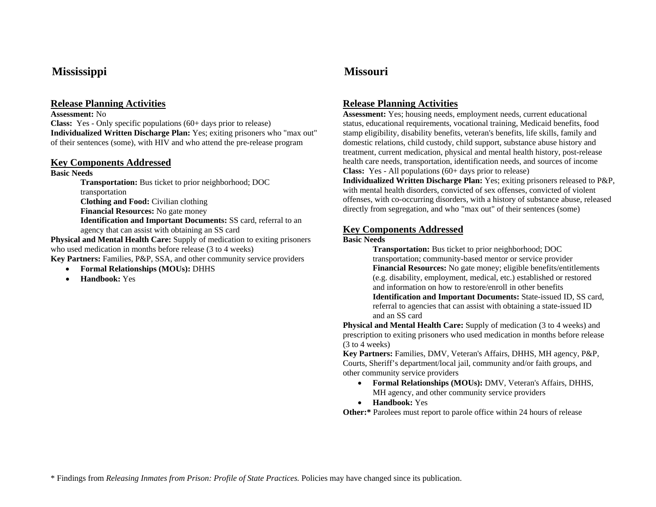# **Mississippi Missouri**

# **Release Planning Activities**

### **Assessment:** No

**Class:** Yes - Only specific populations (60+ days prior to release) **Individualized Written Discharge Plan:** Yes; exiting prisoners who "max out" of their sentences (some), with HIV and who attend the pre-release program

### **Key Components Addressed**

### **Basic Needs**

**Transportation:** Bus ticket to prior neighborhood; DOC transportation **Clothing and Food:** Civilian clothing **Financial Resources:** No gate money **Identification and Important Documents:** SS card, referral to an agency that can assist with obtaining an SS card

**Physical and Mental Health Care:** Supply of medication to exiting prisoners who used medication in months before release (3 to 4 weeks)

**Key Partners:** Families, P&P, SSA, and other community service providers

- •**Formal Relationships (MOUs):** DHHS
- •**Handbook:** Yes

# **Release Planning Activities**

**Assessment:** Yes; housing needs, employment needs, current educational status, educational requirements, vocational training, Medicaid benefits, food stamp eligibility, disability benefits, veteran's benefits, life skills, family and domestic relations, child custody, child support, substance abuse history and treatment, current medication, physical and mental health history, post-release health care needs, transportation, identification needs, and sources of income **Class:** Yes - All populations (60+ days prior to release)

**Individualized Written Discharge Plan:** Yes; exiting prisoners released to P&P, with mental health disorders, convicted of sex offenses, convicted of violent offenses, with co-occurring disorders, with a history of substance abuse, released directly from segregation, and who "max out" of their sentences (some)

# **Key Components Addressed**

### **Basic Needs**

**Transportation:** Bus ticket to prior neighborhood; DOC transportation; community-based mentor or service provider **Financial Resources:** No gate money; eligible benefits/entitlements (e.g. disability, employment, medical, etc.) established or restored and information on how to restore/enroll in other benefits **Identification and Important Documents:** State-issued ID, SS card, referral to agencies that can assist with obtaining a state-issued ID and an SS card

**Physical and Mental Health Care:** Supply of medication (3 to 4 weeks) and prescription to exiting prisoners who used medication in months before release (3 to 4 weeks)

**Key Partners:** Families, DMV, Veteran's Affairs, DHHS, MH agency, P&P, Courts, Sheriff's department/local jail, community and/or faith groups, and other community service providers

- • **Formal Relationships (MOUs):** DMV, Veteran's Affairs, DHHS, MH agency, and other community service providers
- **Handbook:** Yes

**Other:**\* Parolees must report to parole office within 24 hours of release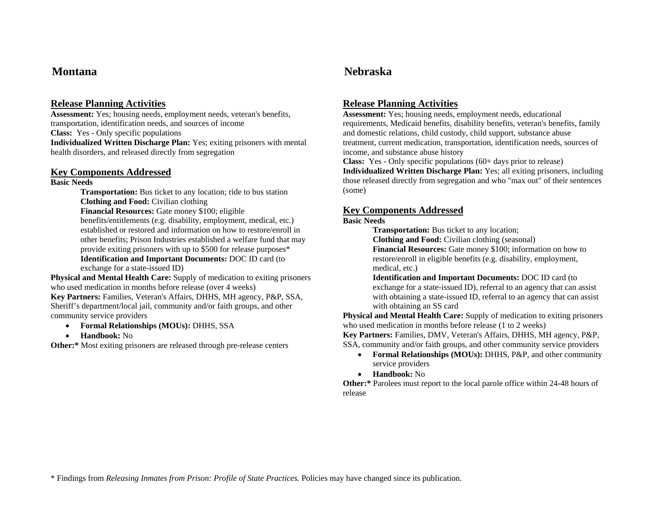**Assessment:** Yes; housing needs, employment needs, veteran's benefits, transportation, identification needs, and sources of income **Class:** Yes - Only specific populations **Individualized Written Discharge Plan:** Yes; exiting prisoners with mental health disorders, and released directly from segregation

### **Key Components Addressed**

### **Basic Needs**

**Transportation:** Bus ticket to any location; ride to bus station **Clothing and Food:** Civilian clothing **Financial Resources:** Gate money \$100; eligible benefits/entitlements (e.g. disability, employment, medical, etc.) established or restored and information on how to restore/enroll in other benefits; Prison Industries established a welfare fund that may provide exiting prisoners with up to \$500 for release purposes\*

**Identification and Important Documents:** DOC ID card (to exchange for a state-issued ID)

**Physical and Mental Health Care:** Supply of medication to exiting prisoners who used medication in months before release (over 4 weeks) **Key Partners:** Families, Veteran's Affairs, DHHS, MH agency, P&P, SSA, Sheriff's department/local jail, community and/or faith groups, and other community service providers

- **Formal Relationships (MOUs):** DHHS, SSA
- **Handbook:** No

**Other:\*** Most exiting prisoners are released through pre-release centers

# **Montana Nebraska**

# **Release Planning Activities**

**Assessment:** Yes; housing needs, employment needs, educational requirements, Medicaid benefits, disability benefits, veteran's benefits, family and domestic relations, child custody, child support, substance abuse treatment, current medication, transportation, identification needs, sources of income, and substance abuse history

**Class:** Yes - Only specific populations (60+ days prior to release) **Individualized Written Discharge Plan:** Yes; all exiting prisoners, including those released directly from segregation and who "max out" of their sentences (some)

# **Key Components Addressed**

### **Basic Needs**

**Transportation:** Bus ticket to any location;

**Clothing and Food:** Civilian clothing (seasonal)

**Financial Resources:** Gate money \$100; information on how to restore/enroll in eligible benefits (e.g. disability, employment, medical, etc.)

**Identification and Important Documents:** DOC ID card (to exchange for a state-issued ID), referral to an agency that can assist with obtaining a state-issued ID, referral to an agency that can assist with obtaining an SS card

**Physical and Mental Health Care:** Supply of medication to exiting prisoners who used medication in months before release (1 to 2 weeks)

**Key Partners:** Families, DMV, Veteran's Affairs, DHHS, MH agency, P&P, SSA, community and/or faith groups, and other community service providers

- **Formal Relationships (MOUs):** DHHS, P&P, and other community service providers
- **Handbook:** No

**Other:\*** Parolees must report to the local parole office within 24-48 hours of release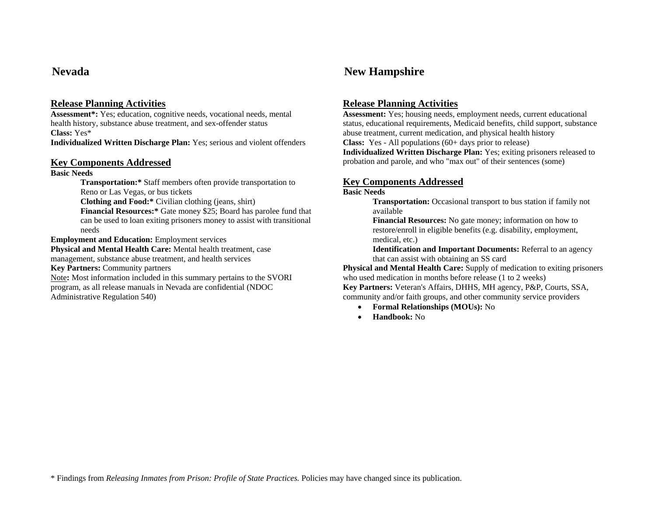**Assessment\*:** Yes; education, cognitive needs, vocational needs, mental health history, substance abuse treatment, and sex-offender status **Class:** Yes\*

**Individualized Written Discharge Plan:** Yes; serious and violent offenders

### **Key Components Addressed**

**Basic Needs** 

**Transportation:\*** Staff members often provide transportation to Reno or Las Vegas, or bus tickets **Clothing and Food:\*** Civilian clothing (jeans, shirt) **Financial Resources:\*** Gate money \$25; Board has parolee fund that can be used to loan exiting prisoners money to assist with transitional needs**Employment and Education:** Employment services **Physical and Mental Health Care:** Mental health treatment, case management, substance abuse treatment, and health services

**Key Partners:** Community partners

Note**:** Most information included in this summary pertains to the SVORI program, as all release manuals in Nevada are confidential (NDOC Administrative Regulation 540)

# **Nevada New Hampshire**

# **Release Planning Activities**

**Assessment:** Yes; housing needs, employment needs, current educational status, educational requirements, Medicaid benefits, child support, substance abuse treatment, current medication, and physical health history **Class:** Yes - All populations (60+ days prior to release) **Individualized Written Discharge Plan:** Yes; exiting prisoners released to probation and parole, and who "max out" of their sentences (some)

# **Key Components Addressed**

### **Basic Needs**

**Transportation:** Occasional transport to bus station if family not available

**Financial Resources:** No gate money; information on how to restore/enroll in eligible benefits (e.g. disability, employment, medical, etc.)

**Identification and Important Documents:** Referral to an agency that can assist with obtaining an SS card

**Physical and Mental Health Care:** Supply of medication to exiting prisoners who used medication in months before release (1 to 2 weeks)

**Key Partners:** Veteran's Affairs, DHHS, MH agency, P&P, Courts, SSA, community and/or faith groups, and other community service providers

- **Formal Relationships (MOUs):** No
- •**Handbook:** No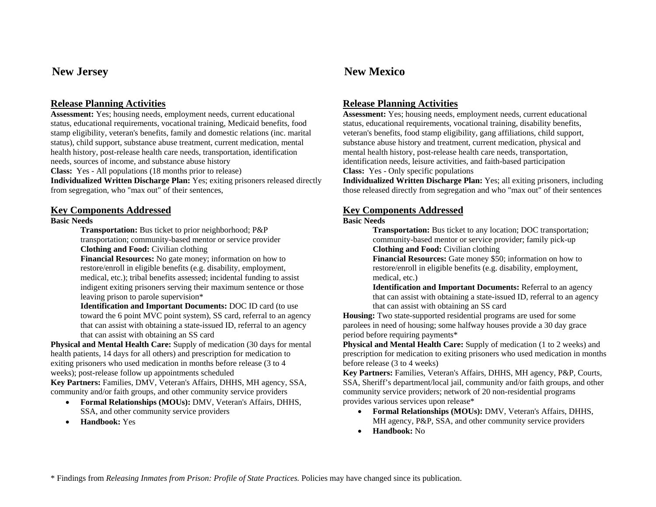**Assessment:** Yes; housing needs, employment needs, current educational status, educational requirements, vocational training, Medicaid benefits, food stamp eligibility, veteran's benefits, family and domestic relations (inc. marital status), child support, substance abuse treatment, current medication, mental health history, post-release health care needs, transportation, identification needs, sources of income, and substance abuse history **Class:** Yes - All populations (18 months prior to release)

**Individualized Written Discharge Plan:** Yes; exiting prisoners released directly from segregation, who "max out" of their sentences,

### **Key Components Addressed**

### **Basic Needs**

**Transportation:** Bus ticket to prior neighborhood; P&P transportation; community-based mentor or service provider **Clothing and Food:** Civilian clothing

**Financial Resources:** No gate money; information on how to restore/enroll in eligible benefits (e.g. disability, employment, medical, etc.); tribal benefits assessed; incidental funding to assist indigent exiting prisoners serving their maximum sentence or those leaving prison to parole supervision\*

**Identification and Important Documents:** DOC ID card (to use toward the 6 point MVC point system), SS card, referral to an agency that can assist with obtaining a state-issued ID, referral to an agency that can assist with obtaining an SS card

**Physical and Mental Health Care:** Supply of medication (30 days for mental health patients, 14 days for all others) and prescription for medication to exiting prisoners who used medication in months before release (3 to 4 weeks); post-release follow up appointments scheduled

**Key Partners:** Families, DMV, Veteran's Affairs, DHHS, MH agency, SSA, community and/or faith groups, and other community service providers

- **Formal Relationships (MOUs):** DMV, Veteran's Affairs, DHHS, SSA, and other community service providers
- •**Handbook:** Yes

# **New Jersey New Mexico**

# **Release Planning Activities**

**Assessment:** Yes; housing needs, employment needs, current educational status, educational requirements, vocational training, disability benefits, veteran's benefits, food stamp eligibility, gang affiliations, child support, substance abuse history and treatment, current medication, physical and mental health history, post-release health care needs, transportation, identification needs, leisure activities, and faith-based participation **Class:** Yes - Only specific populations

**Individualized Written Discharge Plan:** Yes; all exiting prisoners, including those released directly from segregation and who "max out" of their sentences

# **Key Components Addressed**

### **Basic Needs**

**Transportation:** Bus ticket to any location; DOC transportation; community-based mentor or service provider; family pick-up **Clothing and Food:** Civilian clothing

**Financial Resources:** Gate money \$50; information on how to restore/enroll in eligible benefits (e.g. disability, employment, medical, etc.)

**Identification and Important Documents:** Referral to an agency that can assist with obtaining a state-issued ID, referral to an agency that can assist with obtaining an SS card

**Housing:** Two state-supported residential programs are used for some parolees in need of housing; some halfway houses provide a 30 day grace period before requiring payments\*

**Physical and Mental Health Care:** Supply of medication (1 to 2 weeks) and prescription for medication to exiting prisoners who used medication in months before release (3 to 4 weeks)

**Key Partners:** Families, Veteran's Affairs, DHHS, MH agency, P&P, Courts, SSA, Sheriff's department/local jail, community and/or faith groups, and other community service providers; network of 20 non-residential programs provides various services upon release\*

- **Formal Relationships (MOUs):** DMV, Veteran's Affairs, DHHS, MH agency, P&P, SSA, and other community service providers
- •**Handbook:** No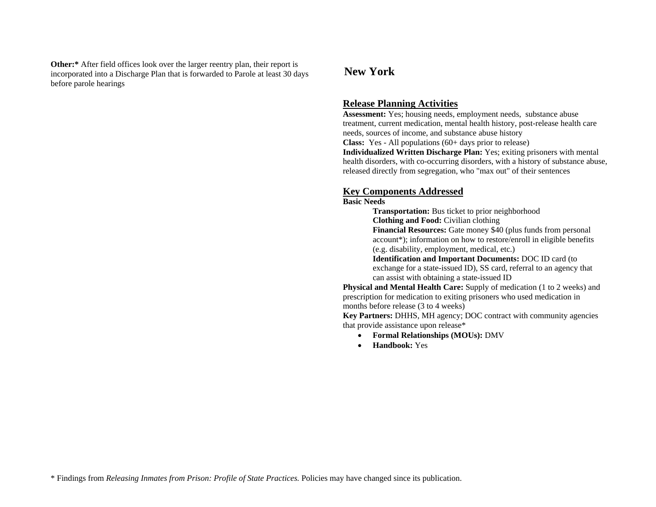**Other:\*** After field offices look over the larger reentry plan, their report is incorporated into a Discharge Plan that is forwarded to Parole at least 30 days before parole hearings

# **New York**

## **Release Planning Activities**

**Assessment:** Yes; housing needs, employment needs, substance abuse treatment, current medication, mental health history, post-release health care needs, sources of income, and substance abuse history **Class:** Yes - All populations (60+ days prior to release) **Individualized Written Discharge Plan:** Yes; exiting prisoners with mental

health disorders, with co-occurring disorders, with a history of substance abuse, released directly from segregation, who "max out" of their sentences

## **Key Components Addressed**

### **Basic Needs**

**Transportation:** Bus ticket to prior neighborhood **Clothing and Food:** Civilian clothing **Financial Resources:** Gate money \$40 (plus funds from personal account\*); information on how to restore/enroll in eligible benefits (e.g. disability, employment, medical, etc.)

**Identification and Important Documents:** DOC ID card (to exchange for a state-issued ID), SS card, referral to an agency that can assist with obtaining a state-issued ID

**Physical and Mental Health Care:** Supply of medication (1 to 2 weeks) and prescription for medication to exiting prisoners who used medication in months before release (3 to 4 weeks)

**Key Partners:** DHHS, MH agency; DOC contract with community agencies that provide assistance upon release\*

- •**Formal Relationships (MOUs):** DMV
- •**Handbook:** Yes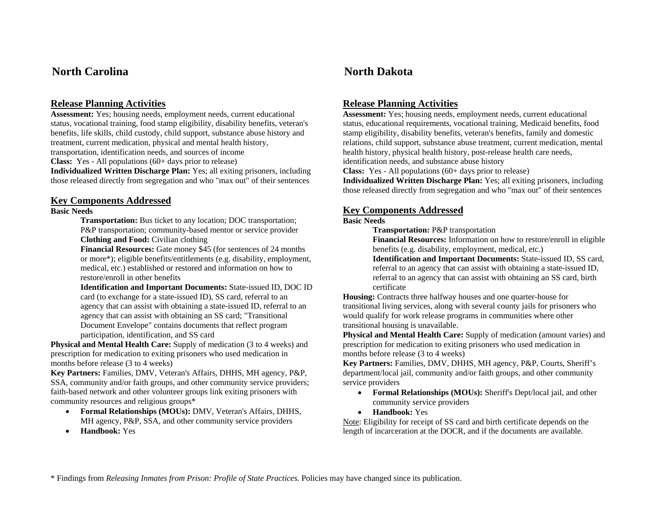# **North Carolina North Dakota**

# **Release Planning Activities**

**Assessment:** Yes; housing needs, employment needs, current educational status, vocational training, food stamp eligibility, disability benefits, veteran's benefits, life skills, child custody, child support, substance abuse history and treatment, current medication, physical and mental health history, transportation, identification needs, and sources of income

**Class:** Yes - All populations (60+ days prior to release)

**Individualized Written Discharge Plan:** Yes; all exiting prisoners, including those released directly from segregation and who "max out" of their sentences

## **Key Components Addressed**

## **Basic Needs**

**Transportation:** Bus ticket to any location; DOC transportation; P&P transportation; community-based mentor or service provider **Clothing and Food:** Civilian clothing

**Financial Resources:** Gate money \$45 (for sentences of 24 months or more\*); eligible benefits/entitlements (e.g. disability, employment, medical, etc.) established or restored and information on how to restore/enroll in other benefits

**Identification and Important Documents:** State-issued ID, DOC ID card (to exchange for a state-issued ID), SS card, referral to an agency that can assist with obtaining a state-issued ID, referral to an agency that can assist with obtaining an SS card; "Transitional Document Envelope" contains documents that reflect program participation, identification, and SS card

**Physical and Mental Health Care:** Supply of medication (3 to 4 weeks) and prescription for medication to exiting prisoners who used medication in months before release (3 to 4 weeks)

**Key Partners:** Families, DMV, Veteran's Affairs, DHHS, MH agency, P&P, SSA, community and/or faith groups, and other community service providers; faith-based network and other volunteer groups link exiting prisoners with community resources and religious groups\*

- **Formal Relationships (MOUs):** DMV, Veteran's Affairs, DHHS, MH agency, P&P, SSA, and other community service providers
- •**Handbook:** Yes

# **Release Planning Activities**

**Assessment:** Yes; housing needs, employment needs, current educational status, educational requirements, vocational training, Medicaid benefits, food stamp eligibility, disability benefits, veteran's benefits, family and domestic relations, child support, substance abuse treatment, current medication, mental health history, physical health history, post-release health care needs,

identification needs, and substance abuse history

**Class:** Yes - All populations (60+ days prior to release)

**Individualized Written Discharge Plan:** Yes; all exiting prisoners, including those released directly from segregation and who "max out" of their sentences

### **Key Components Addressed**

### **Basic Needs**

**Transportation:** P&P transportation

**Financial Resources:** Information on how to restore/enroll in eligible benefits (e.g. disability, employment, medical, etc.)

**Identification and Important Documents:** State-issued ID, SS card, referral to an agency that can assist with obtaining a state-issued ID, referral to an agency that can assist with obtaining an SS card, birth certificate

**Housing:** Contracts three halfway houses and one quarter-house for transitional living services, along with several county jails for prisoners who would qualify for work release programs in communities where other transitional housing is unavailable.

**Physical and Mental Health Care:** Supply of medication (amount varies) and prescription for medication to exiting prisoners who used medication in months before release (3 to 4 weeks)

**Key Partners:** Families, DMV, DHHS, MH agency, P&P, Courts, Sheriff's department/local jail, community and/or faith groups, and other community service providers

- **Formal Relationships (MOUs):** Sheriff's Dept/local jail, and other community service providers
- **Handbook:** Yes

Note: Eligibility for receipt of SS card and birth certificate depends on the length of incarceration at the DOCR, and if the documents are available.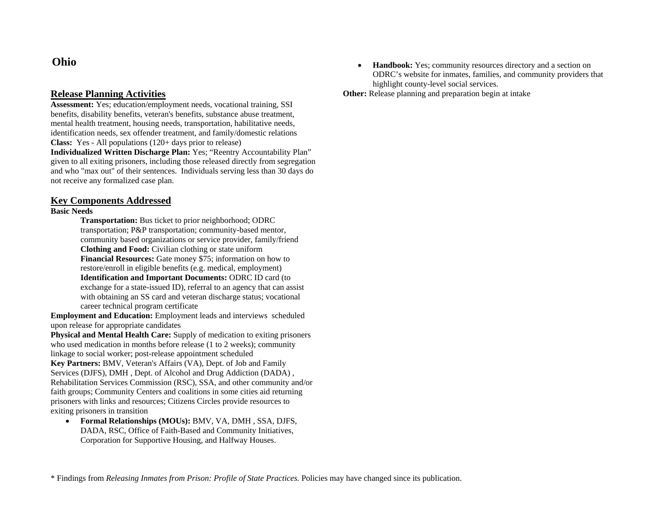# **Ohio**

## **Release Planning Activities**

**Assessment:** Yes; education/employment needs, vocational training, SSI benefits, disability benefits, veteran's benefits, substance abuse treatment, mental health treatment, housing needs, transportation, habilitative needs, identification needs, sex offender treatment, and family/domestic relations **Class:** Yes - All populations (120+ days prior to release)

**Individualized Written Discharge Plan:** Yes; "Reentry Accountability Plan" given to all exiting prisoners, including those released directly from segregation and who "max out" of their sentences. Individuals serving less than 30 days do not receive any formalized case plan.

## **Key Components Addressed**

### **Basic Needs**

**Transportation:** Bus ticket to prior neighborhood; ODRC transportation; P&P transportation; community-based mentor, community based organizations or service provider, family/friend **Clothing and Food:** Civilian clothing or state uniform **Financial Resources:** Gate money \$75; information on how to restore/enroll in eligible benefits (e.g. medical, employment) **Identification and Important Documents:** ODRC ID card (to exchange for a state-issued ID), referral to an agency that can assist with obtaining an SS card and veteran discharge status; vocational career technical program certificate

**Employment and Education:** Employment leads and interviews scheduled upon release for appropriate candidates

**Physical and Mental Health Care:** Supply of medication to exiting prisoners who used medication in months before release (1 to 2 weeks); community linkage to social worker; post-release appointment scheduled

**Key Partners:** BMV, Veteran's Affairs (VA), Dept. of Job and Family Services (DJFS), DMH , Dept. of Alcohol and Drug Addiction (DADA) , Rehabilitation Services Commission (RSC), SSA, and other community and/or faith groups; Community Centers and coalitions in some cities aid returning prisoners with links and resources; Citizens Circles provide resources to exiting prisoners in transition

• **Formal Relationships (MOUs):** BMV, VA, DMH , SSA, DJFS, DADA, RSC, Office of Faith-Based and Community Initiatives, Corporation for Supportive Housing, and Halfway Houses.

• **Handbook:** Yes; community resources directory and a section on ODRC's website for inmates, families, and community providers that highlight county-level social services.

**Other:** Release planning and preparation begin at intake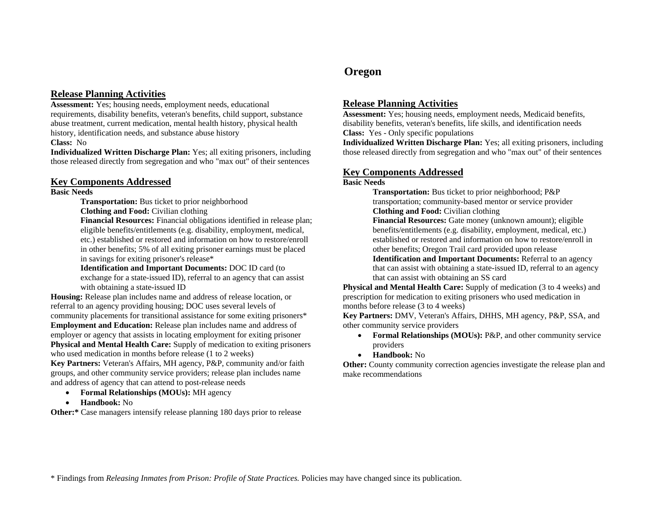**Assessment:** Yes; housing needs, employment needs, educational requirements, disability benefits, veteran's benefits, child support, substance abuse treatment, current medication, mental health history, physical health history, identification needs, and substance abuse history **Class:** No

**Individualized Written Discharge Plan:** Yes; all exiting prisoners, including those released directly from segregation and who "max out" of their sentences

### **Key Components Addressed**

### **Basic Needs**

**Transportation:** Bus ticket to prior neighborhood

**Clothing and Food:** Civilian clothing

**Financial Resources:** Financial obligations identified in release plan; eligible benefits/entitlements (e.g. disability, employment, medical, etc.) established or restored and information on how to restore/enroll in other benefits; 5% of all exiting prisoner earnings must be placed in savings for exiting prisoner's release\*

**Identification and Important Documents:** DOC ID card (to exchange for a state-issued ID), referral to an agency that can assist with obtaining a state-issued ID

**Housing:** Release plan includes name and address of release location, or referral to an agency providing housing; DOC uses several levels of community placements for transitional assistance for some exiting prisoners\* **Employment and Education:** Release plan includes name and address of employer or agency that assists in locating employment for exiting prisoner **Physical and Mental Health Care:** Supply of medication to exiting prisoners who used medication in months before release (1 to 2 weeks)

**Key Partners:** Veteran's Affairs, MH agency, P&P, community and/or faith groups, and other community service providers; release plan includes name and address of agency that can attend to post-release needs

- **Formal Relationships (MOUs):** MH agency
- **Handbook:** No

**Other:\*** Case managers intensify release planning 180 days prior to release

# **Oregon**

# **Release Planning Activities**

**Assessment:** Yes; housing needs, employment needs, Medicaid benefits, disability benefits, veteran's benefits, life skills, and identification needs **Class:** Yes - Only specific populations

**Individualized Written Discharge Plan:** Yes; all exiting prisoners, including those released directly from segregation and who "max out" of their sentences

# **Key Components Addressed**

### **Basic Needs**

**Transportation:** Bus ticket to prior neighborhood; P&P transportation; community-based mentor or service provider **Clothing and Food:** Civilian clothing

**Financial Resources:** Gate money (unknown amount); eligible benefits/entitlements (e.g. disability, employment, medical, etc.) established or restored and information on how to restore/enroll in other benefits; Oregon Trail card provided upon release **Identification and Important Documents:** Referral to an agency

that can assist with obtaining a state-issued ID, referral to an agency that can assist with obtaining an SS card

**Physical and Mental Health Care:** Supply of medication (3 to 4 weeks) and prescription for medication to exiting prisoners who used medication in months before release (3 to 4 weeks)

**Key Partners:** DMV, Veteran's Affairs, DHHS, MH agency, P&P, SSA, and other community service providers

- • **Formal Relationships (MOUs):** P&P, and other community service providers
- **Handbook:** No

**Other:** County community correction agencies investigate the release plan and make recommendations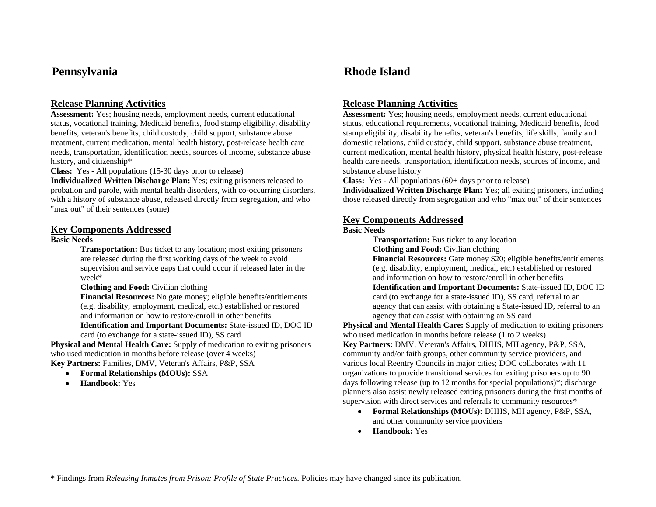# **Pennsylvania Rhode Island**

# **Release Planning Activities**

**Assessment:** Yes; housing needs, employment needs, current educational status, vocational training, Medicaid benefits, food stamp eligibility, disability benefits, veteran's benefits, child custody, child support, substance abuse treatment, current medication, mental health history, post-release health care needs, transportation, identification needs, sources of income, substance abuse history, and citizenship\*

**Class:** Yes - All populations (15-30 days prior to release)

**Individualized Written Discharge Plan:** Yes; exiting prisoners released to probation and parole, with mental health disorders, with co-occurring disorders, with a history of substance abuse, released directly from segregation, and who "max out" of their sentences (some)

### **Key Components Addressed**

### **Basic Needs**

**Transportation:** Bus ticket to any location; most exiting prisoners are released during the first working days of the week to avoid supervision and service gaps that could occur if released later in the week\*

**Clothing and Food:** Civilian clothing

**Financial Resources:** No gate money; eligible benefits/entitlements (e.g. disability, employment, medical, etc.) established or restored and information on how to restore/enroll in other benefits **Identification and Important Documents:** State-issued ID, DOC ID

card (to exchange for a state-issued ID), SS card

**Physical and Mental Health Care:** Supply of medication to exiting prisoners who used medication in months before release (over 4 weeks)

**Key Partners:** Families, DMV, Veteran's Affairs, P&P, SSA

- •**Formal Relationships (MOUs):** SSA
- •**Handbook:** Yes

# **Release Planning Activities**

**Assessment:** Yes; housing needs, employment needs, current educational status, educational requirements, vocational training, Medicaid benefits, food stamp eligibility, disability benefits, veteran's benefits, life skills, family and domestic relations, child custody, child support, substance abuse treatment, current medication, mental health history, physical health history, post-release health care needs, transportation, identification needs, sources of income, and substance abuse history

**Class:** Yes - All populations (60+ days prior to release)

**Individualized Written Discharge Plan:** Yes; all exiting prisoners, including those released directly from segregation and who "max out" of their sentences

### **Key Components Addressed**

### **Basic Needs**

**Transportation:** Bus ticket to any location

**Clothing and Food:** Civilian clothing

**Financial Resources:** Gate money \$20; eligible benefits/entitlements (e.g. disability, employment, medical, etc.) established or restored and information on how to restore/enroll in other benefits**Identification and Important Documents:** State-issued ID, DOC ID card (to exchange for a state-issued ID), SS card, referral to an agency that can assist with obtaining a State-issued ID, referral to an

agency that can assist with obtaining an SS card

**Physical and Mental Health Care:** Supply of medication to exiting prisoners who used medication in months before release (1 to 2 weeks)

**Key Partners:** DMV, Veteran's Affairs, DHHS, MH agency, P&P, SSA, community and/or faith groups, other community service providers, and various local Reentry Councils in major cities; DOC collaborates with 11 organizations to provide transitional services for exiting prisoners up to 90 days following release (up to 12 months for special populations)\*; discharge planners also assist newly released exiting prisoners during the first months of supervision with direct services and referrals to community resources\*

- **Formal Relationships (MOUs):** DHHS, MH agency, P&P, SSA, and other community service providers
- •**Handbook:** Yes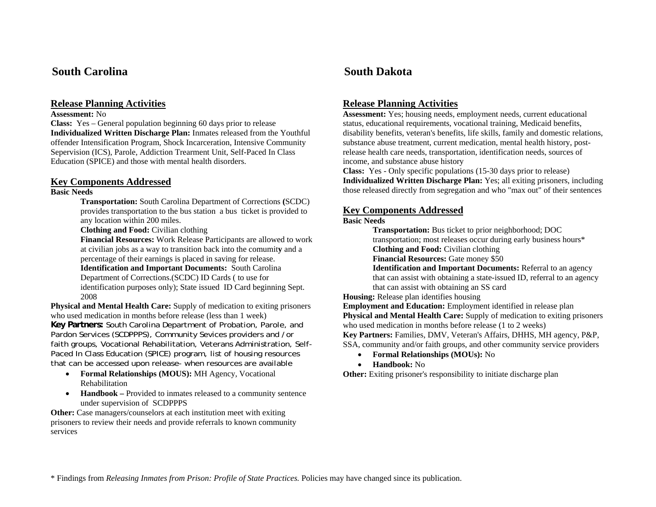# **South Carolina South Dakota**

# **Release Planning Activities**

### **Assessment:** No

**Class:** Yes – General population beginning 60 days prior to release **Individualized Written Discharge Plan:** Inmates released from the Youthful offender Intensification Program, Shock Incarceration, Intensive Community Sepervision (ICS), Parole, Addiction Trearment Unit, Self-Paced In Class Education (SPICE) and those with mental health disorders.

# **Key Components Addressed**

### **Basic Needs**

**Transportation:** South Carolina Department of Corrections **(**SCDC) provides transportation to the bus station a bus ticket is provided to any location within 200 miles.

**Clothing and Food:** Civilian clothing

**Financial Resources:** Work Release Participants are allowed to work at civilian jobs as a way to transition back into the comumit**y** and a percentage of their earnings is placed in saving for release. **Identification and Important Documents:** South Carolina Department of Corrections.(SCDC) ID Cards ( to use for identification purposes only); State issued ID Card beginning Sept. 2008

**Physical and Mental Health Care:** Supply of medication to exiting prisoners who used medication in months before release (less than 1 week) **Key Partners:** South Carolina Department of Probation, Parole, and Pardon Services (SCDPPPS), Community Sevices providers and /or faith groups, Vocational Rehabilitation, Veterans Administration, Self-Paced In Class Education (SPICE) program, list of housing resources that can be accessed upon release- when resources are available

- **Formal Relationships (MOUS):** MH Agency, Vocational Rehabilitation
- **Handbook** Provided to inmates released to a community sentence under supervision of SCDPPPS

**Other:** Case managers/counselors at each institution meet with exiting prisoners to review their needs and provide referrals to known community services

# **Release Planning Activities**

**Assessment:** Yes; housing needs, employment needs, current educational status, educational requirements, vocational training, Medicaid benefits, disability benefits, veteran's benefits, life skills, family and domestic relations, substance abuse treatment, current medication, mental health history, postrelease health care needs, transportation, identification needs, sources of income, and substance abuse history

**Class:** Yes - Only specific populations (15-30 days prior to release) **Individualized Written Discharge Plan:** Yes; all exiting prisoners, including those released directly from segregation and who "max out" of their sentences

# **Key Components Addressed**

### **Basic Needs**

**Transportation:** Bus ticket to prior neighborhood; DOC transportation; most releases occur during early business hours\* **Clothing and Food:** Civilian clothing

**Financial Resources:** Gate money \$50

**Identification and Important Documents:** Referral to an agency that can assist with obtaining a state-issued ID, referral to an agency that can assist with obtaining an SS card

**Housing:** Release plan identifies housing

**Employment and Education:** Employment identified in release plan **Physical and Mental Health Care:** Supply of medication to exiting prisoners who used medication in months before release (1 to 2 weeks)

**Key Partners:** Families, DMV, Veteran's Affairs, DHHS, MH agency, P&P, SSA, community and/or faith groups, and other community service providers

- •**Formal Relationships (MOUs):** No
- •**Handbook:** No

**Other:** Exiting prisoner's responsibility to initiate discharge plan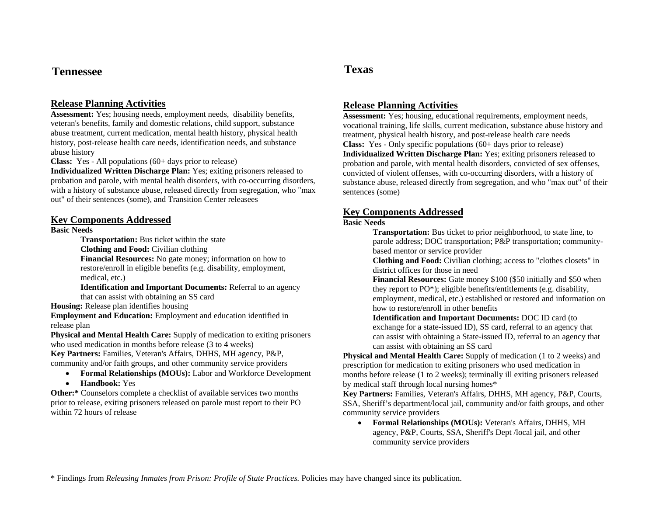# **Tennessee Texas**

# **Release Planning Activities**

**Assessment:** Yes; housing needs, employment needs, disability benefits, veteran's benefits, family and domestic relations, child support, substance abuse treatment, current medication, mental health history, physical health history, post-release health care needs, identification needs, and substance abuse history

**Class:** Yes - All populations (60+ days prior to release)

**Individualized Written Discharge Plan:** Yes; exiting prisoners released to probation and parole, with mental health disorders, with co-occurring disorders, with a history of substance abuse, released directly from segregation, who "max out" of their sentences (some), and Transition Center releasees

### **Key Components Addressed**

### **Basic Needs**

**Transportation:** Bus ticket within the state

**Clothing and Food:** Civilian clothing

**Financial Resources:** No gate money; information on how to restore/enroll in eligible benefits (e.g. disability, employment, medical, etc.)

**Identification and Important Documents:** Referral to an agency that can assist with obtaining an SS card

**Housing:** Release plan identifies housing

**Employment and Education:** Employment and education identified in release plan

**Physical and Mental Health Care:** Supply of medication to exiting prisoners who used medication in months before release (3 to 4 weeks)

**Key Partners:** Families, Veteran's Affairs, DHHS, MH agency, P&P, community and/or faith groups, and other community service providers

- **Formal Relationships (MOUs):** Labor and Workforce Development
- **Handbook:** Yes

**Other:\*** Counselors complete a checklist of available services two months prior to release, exiting prisoners released on parole must report to their PO within 72 hours of release

# **Release Planning Activities**

**Assessment:** Yes; housing, educational requirements, employment needs, vocational training, life skills, current medication, substance abuse history and treatment, physical health history, and post-release health care needs **Class:** Yes - Only specific populations (60+ days prior to release) **Individualized Written Discharge Plan:** Yes; exiting prisoners released to probation and parole, with mental health disorders, convicted of sex offenses, convicted of violent offenses, with co-occurring disorders, with a history of substance abuse, released directly from segregation, and who "max out" of their sentences (some)

# **Key Components Addressed**

### **Basic Needs**

**Transportation:** Bus ticket to prior neighborhood, to state line, to parole address; DOC transportation; P&P transportation; communitybased mentor or service provider

**Clothing and Food:** Civilian clothing; access to "clothes closets" in district offices for those in need

**Financial Resources:** Gate money \$100 (\$50 initially and \$50 when they report to PO\*); eligible benefits/entitlements (e.g. disability, employment, medical, etc.) established or restored and information on how to restore/enroll in other benefits

**Identification and Important Documents:** DOC ID card (to exchange for a state-issued ID), SS card, referral to an agency that can assist with obtaining a State-issued ID, referral to an agency that can assist with obtaining an SS card

**Physical and Mental Health Care:** Supply of medication (1 to 2 weeks) and prescription for medication to exiting prisoners who used medication in months before release (1 to 2 weeks); terminally ill exiting prisoners released by medical staff through local nursing homes\*

**Key Partners:** Families, Veteran's Affairs, DHHS, MH agency, P&P, Courts, SSA, Sheriff's department/local jail, community and/or faith groups, and other community service providers

• **Formal Relationships (MOUs):** Veteran's Affairs, DHHS, MH agency, P&P, Courts, SSA, Sheriff's Dept /local jail, and other community service providers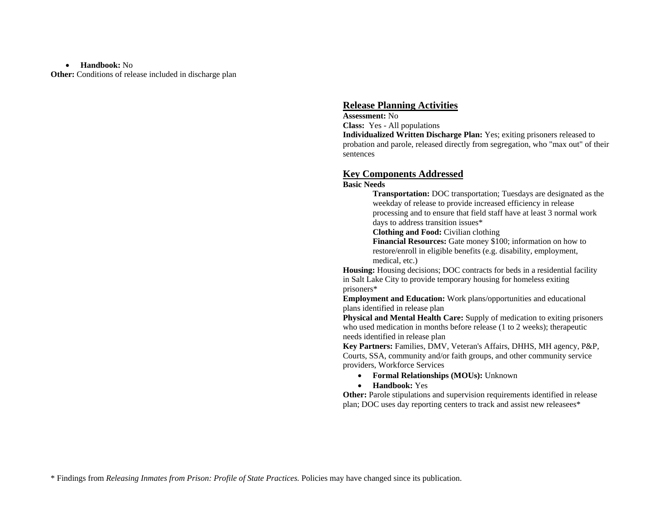### • **Handbook:** No

**Other:** Conditions of release included in discharge plan

### **Release Planning Activities**

**Assessment:** No**Class:** Yes - All populations

**Individualized Written Discharge Plan:** Yes; exiting prisoners released to probation and parole, released directly from segregation, who "max out" of their sentences

### **Key Components Addressed**

### **Basic Needs**

**Transportation:** DOC transportation; Tuesdays are designated as the weekday of release to provide increased efficiency in release processing and to ensure that field staff have at least 3 normal work days to address transition issues\*

**Clothing and Food:** Civilian clothing

**Financial Resources:** Gate money \$100; information on how to restore/enroll in eligible benefits (e.g. disability, employment, medical, etc.)

**Housing:** Housing decisions; DOC contracts for beds in a residential facility in Salt Lake City to provide temporary housing for homeless exiting prisoners\*

**Employment and Education:** Work plans/opportunities and educational plans identified in release plan

**Physical and Mental Health Care:** Supply of medication to exiting prisoners who used medication in months before release (1 to 2 weeks); therapeutic needs identified in release plan

**Key Partners:** Families, DMV, Veteran's Affairs, DHHS, MH agency, P&P, Courts, SSA, community and/or faith groups, and other community service providers, Workforce Services

- **Formal Relationships (MOUs):** Unknown
- **Handbook:** Yes

**Other:** Parole stipulations and supervision requirements identified in release plan; DOC uses day reporting centers to track and assist new releasees\*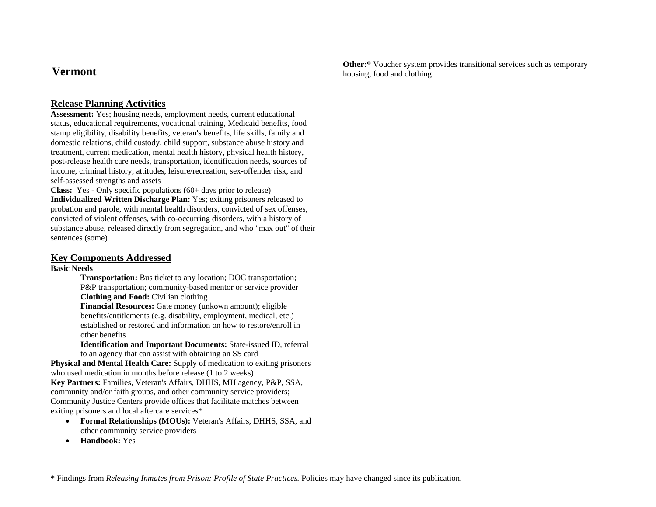**Other:**\* Voucher system provides transitional services such as temporary housing, food and clothing

# **Release Planning Activities**

**Assessment:** Yes; housing needs, employment needs, current educational status, educational requirements, vocational training, Medicaid benefits, food stamp eligibility, disability benefits, veteran's benefits, life skills, family and domestic relations, child custody, child support, substance abuse history and treatment, current medication, mental health history, physical health history, post-release health care needs, transportation, identification needs, sources of income, criminal history, attitudes, leisure/recreation, sex-offender risk, and self-assessed strengths and assets

**Class:** Yes - Only specific populations (60+ days prior to release) **Individualized Written Discharge Plan:** Yes; exiting prisoners released to probation and parole, with mental health disorders, convicted of sex offenses, convicted of violent offenses, with co-occurring disorders, with a history of substance abuse, released directly from segregation, and who "max out" of their sentences (some)

## **Key Components Addressed**

### **Basic Needs**

**Transportation:** Bus ticket to any location; DOC transportation; P&P transportation; community-based mentor or service provider **Clothing and Food:** Civilian clothing

**Financial Resources:** Gate money (unkown amount); eligible benefits/entitlements (e.g. disability, employment, medical, etc.) established or restored and information on how to restore/enroll in other benefits

**Identification and Important Documents:** State-issued ID, referral to an agency that can assist with obtaining an SS card

**Physical and Mental Health Care:** Supply of medication to exiting prisoners who used medication in months before release (1 to 2 weeks) **Key Partners:** Families, Veteran's Affairs, DHHS, MH agency, P&P, SSA, community and/or faith groups, and other community service providers; Community Justice Centers provide offices that facilitate matches between exiting prisoners and local aftercare services\*

- **Formal Relationships (MOUs):** Veteran's Affairs, DHHS, SSA, and other community service providers
- •**Handbook:** Yes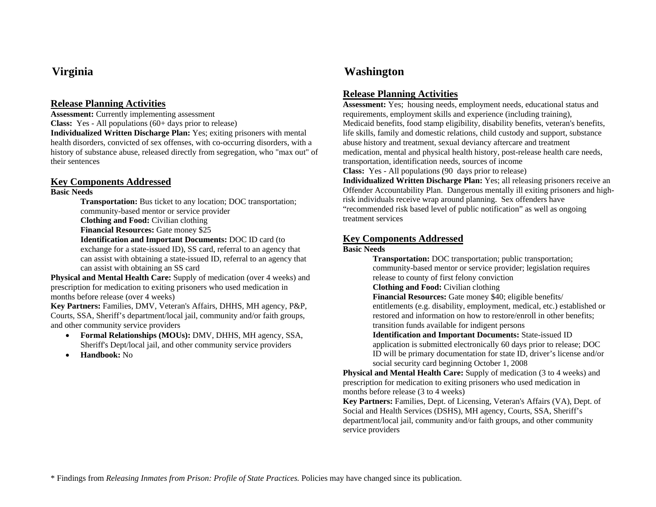**Assessment:** Currently implementing assessment **Class:** Yes - All populations (60+ days prior to release)

**Individualized Written Discharge Plan:** Yes; exiting prisoners with mental health disorders, convicted of sex offenses, with co-occurring disorders, with a history of substance abuse, released directly from segregation, who "max out" of their sentences

## **Key Components Addressed**

### **Basic Needs**

**Transportation:** Bus ticket to any location; DOC transportation; community-based mentor or service provider

**Clothing and Food:** Civilian clothing

**Financial Resources:** Gate money \$25

**Identification and Important Documents:** DOC ID card (to

exchange for a state-issued ID), SS card, referral to an agency that can assist with obtaining a state-issued ID, referral to an agency that can assist with obtaining an SS card

**Physical and Mental Health Care:** Supply of medication (over 4 weeks) and prescription for medication to exiting prisoners who used medication in months before release (over 4 weeks)

**Key Partners:** Families, DMV, Veteran's Affairs, DHHS, MH agency, P&P, Courts, SSA, Sheriff's department/local jail, community and/or faith groups, and other community service providers

- **Formal Relationships (MOUs):** DMV, DHHS, MH agency, SSA, Sheriff's Dept/local jail, and other community service providers
- •**Handbook:** No

# **Virginia Washington**

# **Release Planning Activities**

**Assessment:** Yes; housing needs, employment needs, educational status and requirements, employment skills and experience (including training), Medicaid benefits, food stamp eligibility, disability benefits, veteran's benefits, life skills, family and domestic relations, child custody and support, substance abuse history and treatment, sexual deviancy aftercare and treatment medication, mental and physical health history, post-release health care needs, transportation, identification needs, sources of income

**Class:** Yes - All populations (90 days prior to release) **Individualized Written Discharge Plan:** Yes; all releasing prisoners receive an

Offender Accountability Plan. Dangerous mentally ill exiting prisoners and highrisk individuals receive wrap around planning. Sex offenders have "recommended risk based level of public notification" as well as ongoing treatment services

# **Key Components Addressed**

### **Basic Needs**

**Transportation:** DOC transportation; public transportation; community-based mentor or service provider; legislation requires release to county of first felony conviction

**Clothing and Food:** Civilian clothing

**Financial Resources:** Gate money \$40; eligible benefits/ entitlements (e.g. disability, employment, medical, etc.) established or restored and information on how to restore/enroll in other benefits; transition funds available for indigent persons

**Identification and Important Documents:** State-issued ID application is submitted electronically 60 days prior to release; DOC ID will be primary documentation for state ID, driver's license and/or social security card beginning October 1, 2008

**Physical and Mental Health Care:** Supply of medication (3 to 4 weeks) and prescription for medication to exiting prisoners who used medication in months before release (3 to 4 weeks)

**Key Partners:** Families, Dept. of Licensing, Veteran's Affairs (VA), Dept. of Social and Health Services (DSHS), MH agency, Courts, SSA, Sheriff's department/local jail, community and/or faith groups, and other community service providers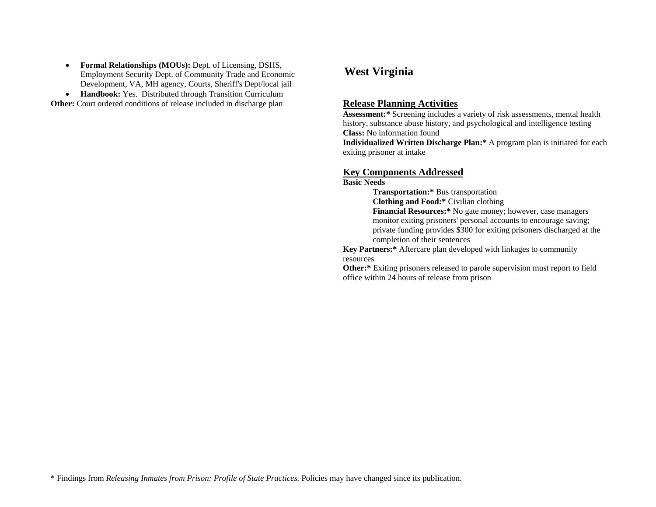$\bullet$  **Formal Relationships (MOUs):** Dept. of Licensing, DSHS, Employment Security Dept. of Community Trade and Economic Development, VA, MH agency, Courts, Sheriff's Dept/local jail

• **Handbook:** Yes. Distributed through Transition Curriculum

# **West Virginia**

## **Other:** Court ordered conditions of release included in discharge plan **Release Planning Activities**

**Assessment:\*** Screening includes a variety of risk assessments, mental health history, substance abuse history, and psychological and intelligence testing **Class:** No information found

**Individualized Written Discharge Plan:\*** A program plan is initiated for each exiting prisoner at intake

### **Key Components Addressed**

### **Basic Needs**

**Transportation:\*** Bus transportation **Clothing and Food:\*** Civilian clothing **Financial Resources:\*** No gate money; however, case managers monitor exiting prisoners' personal accounts to encourage saving; private funding provides \$300 for exiting prisoners discharged at the completion of their sentences

**Key Partners:\*** Aftercare plan developed with linkages to community resources

**Other:\*** Exiting prisoners released to parole supervision must report to field office within 24 hours of release from prison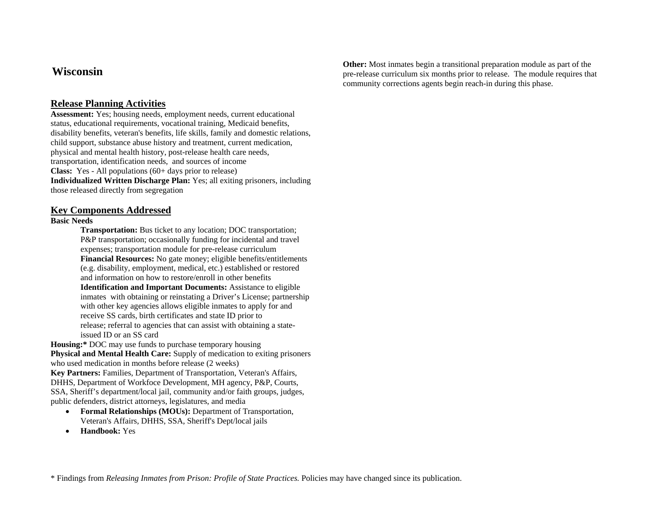# **Wisconsin**

## **Release Planning Activities**

**Assessment:** Yes; housing needs, employment needs, current educational status, educational requirements, vocational training, Medicaid benefits, disability benefits, veteran's benefits, life skills, family and domestic relations, child support, substance abuse history and treatment, current medication, physical and mental health history, post-release health care needs, transportation, identification needs, and sources of income **Class:** Yes - All populations (60+ days prior to release) **Individualized Written Discharge Plan:** Yes; all exiting prisoners, including those released directly from segregation

### **Key Components Addressed**

### **Basic Needs**

**Transportation:** Bus ticket to any location; DOC transportation; P&P transportation; occasionally funding for incidental and travel expenses; transportation module for pre-release curriculum **Financial Resources:** No gate money; eligible benefits/entitlements (e.g. disability, employment, medical, etc.) established or restored and information on how to restore/enroll in other benefits**Identification and Important Documents:** Assistance to eligible inmates with obtaining or reinstating a Driver's License; partnership with other key agencies allows eligible inmates to apply for and receive SS cards, birth certificates and state ID prior to release; referral to agencies that can assist with obtaining a stateissued ID or an SS card

**Housing:\*** DOC may use funds to purchase temporary housing **Physical and Mental Health Care:** Supply of medication to exiting prisoners who used medication in months before release (2 weeks) **Key Partners:** Families, Department of Transportation, Veteran's Affairs, DHHS, Department of Workfoce Development, MH agency, P&P, Courts, SSA, Sheriff's department/local jail, community and/or faith groups, judges, public defenders, district attorneys, legislatures, and media

- **Formal Relationships (MOUs):** Department of Transportation, Veteran's Affairs, DHHS, SSA, Sheriff's Dept/local jails
- •**Handbook:** Yes

**Other:** Most inmates begin a transitional preparation module as part of the pre-release curriculum six months prior to release. The module requires that community corrections agents begin reach-in during this phase.